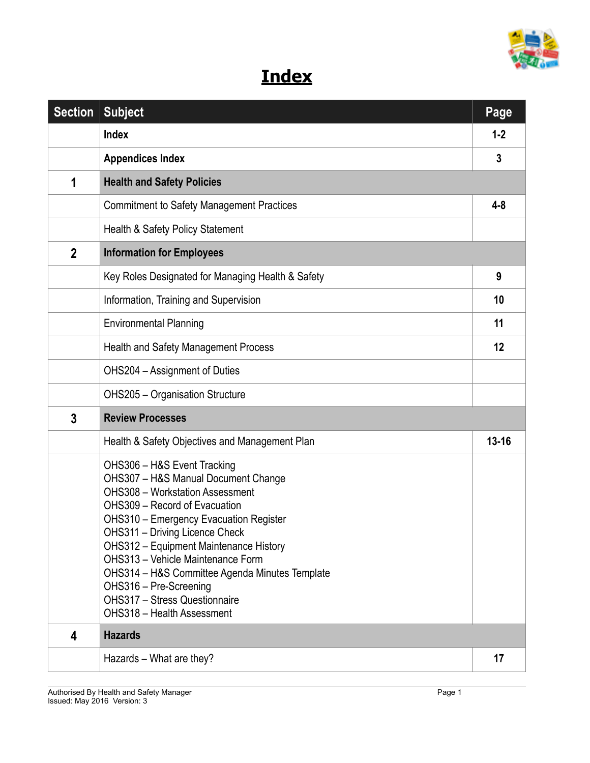

## **Index**

| <b>Section</b> | <b>Subject</b>                                                                                                                                                                                                                                                                                                                                                                                                                                             | Page      |
|----------------|------------------------------------------------------------------------------------------------------------------------------------------------------------------------------------------------------------------------------------------------------------------------------------------------------------------------------------------------------------------------------------------------------------------------------------------------------------|-----------|
|                | <b>Index</b>                                                                                                                                                                                                                                                                                                                                                                                                                                               | $1 - 2$   |
|                | <b>Appendices Index</b>                                                                                                                                                                                                                                                                                                                                                                                                                                    | 3         |
| 1              | <b>Health and Safety Policies</b>                                                                                                                                                                                                                                                                                                                                                                                                                          |           |
|                | <b>Commitment to Safety Management Practices</b>                                                                                                                                                                                                                                                                                                                                                                                                           | $4 - 8$   |
|                | Health & Safety Policy Statement                                                                                                                                                                                                                                                                                                                                                                                                                           |           |
| $\mathbf{2}$   | <b>Information for Employees</b>                                                                                                                                                                                                                                                                                                                                                                                                                           |           |
|                | Key Roles Designated for Managing Health & Safety                                                                                                                                                                                                                                                                                                                                                                                                          | 9         |
|                | Information, Training and Supervision                                                                                                                                                                                                                                                                                                                                                                                                                      | 10        |
|                | <b>Environmental Planning</b>                                                                                                                                                                                                                                                                                                                                                                                                                              | 11        |
|                | <b>Health and Safety Management Process</b>                                                                                                                                                                                                                                                                                                                                                                                                                | 12        |
|                | OHS204 - Assignment of Duties                                                                                                                                                                                                                                                                                                                                                                                                                              |           |
|                | <b>OHS205 - Organisation Structure</b>                                                                                                                                                                                                                                                                                                                                                                                                                     |           |
| 3              | <b>Review Processes</b>                                                                                                                                                                                                                                                                                                                                                                                                                                    |           |
|                | Health & Safety Objectives and Management Plan                                                                                                                                                                                                                                                                                                                                                                                                             | $13 - 16$ |
|                | OHS306 - H&S Event Tracking<br>OHS307 - H&S Manual Document Change<br><b>OHS308 - Workstation Assessment</b><br>OHS309 - Record of Evacuation<br><b>OHS310 - Emergency Evacuation Register</b><br>OHS311 - Driving Licence Check<br>OHS312 - Equipment Maintenance History<br>OHS313 - Vehicle Maintenance Form<br>OHS314 - H&S Committee Agenda Minutes Template<br>OHS316 - Pre-Screening<br>OHS317 - Stress Questionnaire<br>OHS318 - Health Assessment |           |
| 4              | <b>Hazards</b>                                                                                                                                                                                                                                                                                                                                                                                                                                             |           |
|                | Hazards – What are they?                                                                                                                                                                                                                                                                                                                                                                                                                                   | 17        |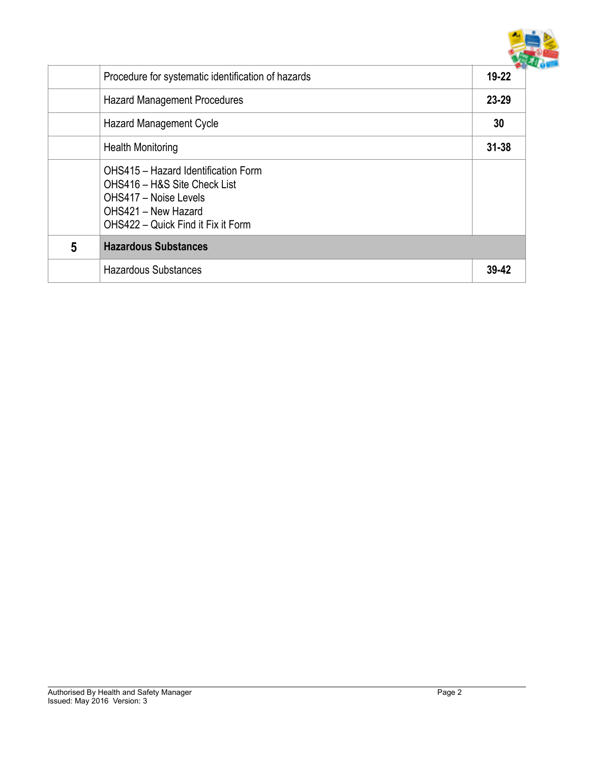

|   | Procedure for systematic identification of hazards                                                                                                        | $19 - 22$ |
|---|-----------------------------------------------------------------------------------------------------------------------------------------------------------|-----------|
|   | <b>Hazard Management Procedures</b>                                                                                                                       | 23-29     |
|   | <b>Hazard Management Cycle</b>                                                                                                                            | 30        |
|   | <b>Health Monitoring</b>                                                                                                                                  | $31 - 38$ |
|   | OHS415 - Hazard Identification Form<br>OHS416 - H&S Site Check List<br>OHS417 - Noise Levels<br>OHS421 - New Hazard<br>OHS422 - Quick Find it Fix it Form |           |
| 5 | <b>Hazardous Substances</b>                                                                                                                               |           |
|   | <b>Hazardous Substances</b>                                                                                                                               | 39-42     |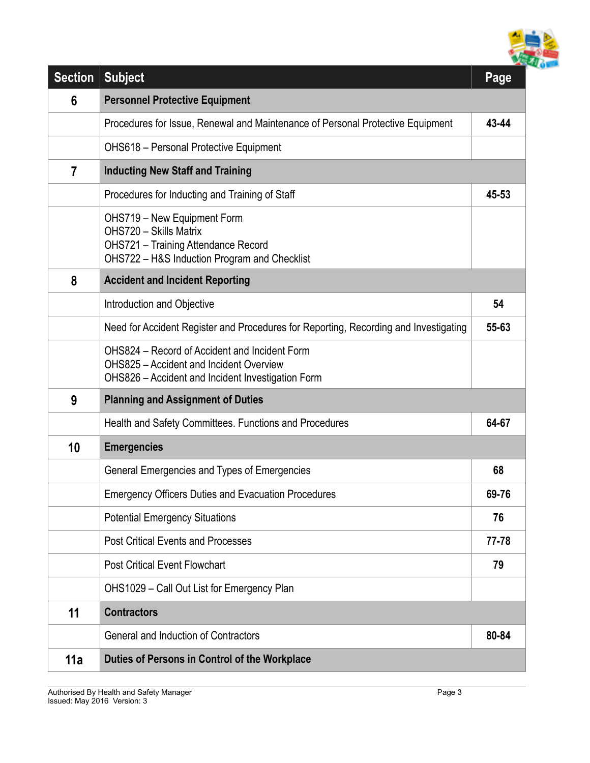

| <b>Section</b>          | <b>Subject</b>                                                                                                                                       | Page  |
|-------------------------|------------------------------------------------------------------------------------------------------------------------------------------------------|-------|
| 6                       | <b>Personnel Protective Equipment</b>                                                                                                                |       |
|                         | Procedures for Issue, Renewal and Maintenance of Personal Protective Equipment                                                                       | 43-44 |
|                         | <b>OHS618 - Personal Protective Equipment</b>                                                                                                        |       |
| $\overline{\mathbf{7}}$ | <b>Inducting New Staff and Training</b>                                                                                                              |       |
|                         | Procedures for Inducting and Training of Staff                                                                                                       | 45-53 |
|                         | OHS719 - New Equipment Form<br>OHS720 - Skills Matrix<br><b>OHS721 - Training Attendance Record</b><br>OHS722 - H&S Induction Program and Checklist  |       |
| 8                       | <b>Accident and Incident Reporting</b>                                                                                                               |       |
|                         | Introduction and Objective                                                                                                                           | 54    |
|                         | Need for Accident Register and Procedures for Reporting, Recording and Investigating                                                                 | 55-63 |
|                         | OHS824 – Record of Accident and Incident Form<br><b>OHS825 - Accident and Incident Overview</b><br>OHS826 - Accident and Incident Investigation Form |       |
| 9                       | <b>Planning and Assignment of Duties</b>                                                                                                             |       |
|                         | Health and Safety Committees. Functions and Procedures                                                                                               | 64-67 |
| 10                      | <b>Emergencies</b>                                                                                                                                   |       |
|                         | General Emergencies and Types of Emergencies                                                                                                         | 68    |
|                         | <b>Emergency Officers Duties and Evacuation Procedures</b>                                                                                           | 69-76 |
|                         | <b>Potential Emergency Situations</b>                                                                                                                | 76    |
|                         | <b>Post Critical Events and Processes</b>                                                                                                            | 77-78 |
|                         | <b>Post Critical Event Flowchart</b>                                                                                                                 | 79    |
|                         | OHS1029 - Call Out List for Emergency Plan                                                                                                           |       |
| 11                      | <b>Contractors</b>                                                                                                                                   |       |
|                         | <b>General and Induction of Contractors</b>                                                                                                          | 80-84 |
| 11a                     | Duties of Persons in Control of the Workplace                                                                                                        |       |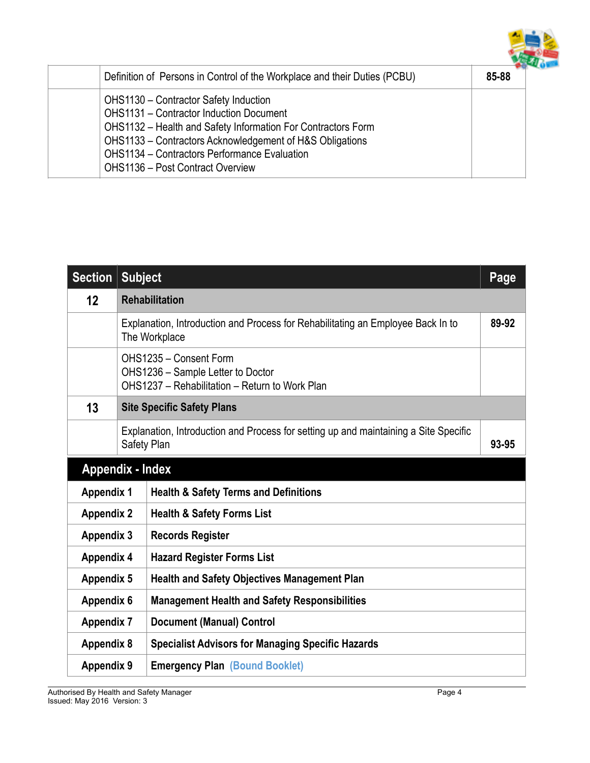

| Definition of Persons in Control of the Workplace and their Duties (PCBU)                                                                                                                                                                                                                                             | 85-88 |
|-----------------------------------------------------------------------------------------------------------------------------------------------------------------------------------------------------------------------------------------------------------------------------------------------------------------------|-------|
| OHS1130 - Contractor Safety Induction<br><b>OHS1131 - Contractor Induction Document</b><br>OHS1132 - Health and Safety Information For Contractors Form<br>OHS1133 - Contractors Acknowledgement of H&S Obligations<br><b>OHS1134 - Contractors Performance Evaluation</b><br><b>OHS1136 - Post Contract Overview</b> |       |

| <b>Section</b>                                                        | <b>Subject</b>                                                                                                |                                                          | Page  |  |
|-----------------------------------------------------------------------|---------------------------------------------------------------------------------------------------------------|----------------------------------------------------------|-------|--|
| 12                                                                    | <b>Rehabilitation</b>                                                                                         |                                                          |       |  |
|                                                                       | 89-92<br>Explanation, Introduction and Process for Rehabilitating an Employee Back In to<br>The Workplace     |                                                          |       |  |
|                                                                       | OHS1235 - Consent Form<br>OHS1236 - Sample Letter to Doctor<br>OHS1237 - Rehabilitation - Return to Work Plan |                                                          |       |  |
| 13                                                                    | <b>Site Specific Safety Plans</b>                                                                             |                                                          |       |  |
|                                                                       | Explanation, Introduction and Process for setting up and maintaining a Site Specific<br>Safety Plan           |                                                          | 93-95 |  |
| <b>Appendix - Index</b>                                               |                                                                                                               |                                                          |       |  |
| <b>Health &amp; Safety Terms and Definitions</b><br><b>Appendix 1</b> |                                                                                                               |                                                          |       |  |
| <b>Appendix 2</b>                                                     |                                                                                                               | <b>Health &amp; Safety Forms List</b>                    |       |  |
| <b>Appendix 3</b>                                                     |                                                                                                               | <b>Records Register</b>                                  |       |  |
| <b>Appendix 4</b>                                                     |                                                                                                               | <b>Hazard Register Forms List</b>                        |       |  |
| <b>Appendix 5</b>                                                     |                                                                                                               | <b>Health and Safety Objectives Management Plan</b>      |       |  |
| <b>Appendix 6</b>                                                     |                                                                                                               | <b>Management Health and Safety Responsibilities</b>     |       |  |
| <b>Appendix 7</b>                                                     |                                                                                                               | <b>Document (Manual) Control</b>                         |       |  |
| <b>Appendix 8</b>                                                     |                                                                                                               | <b>Specialist Advisors for Managing Specific Hazards</b> |       |  |
| <b>Appendix 9</b>                                                     |                                                                                                               | <b>Emergency Plan (Bound Booklet)</b>                    |       |  |

Authorised By Health and Safety Manager **Page 4** and the state of the state of the state Page 4 Issued: May 2016 Version: 3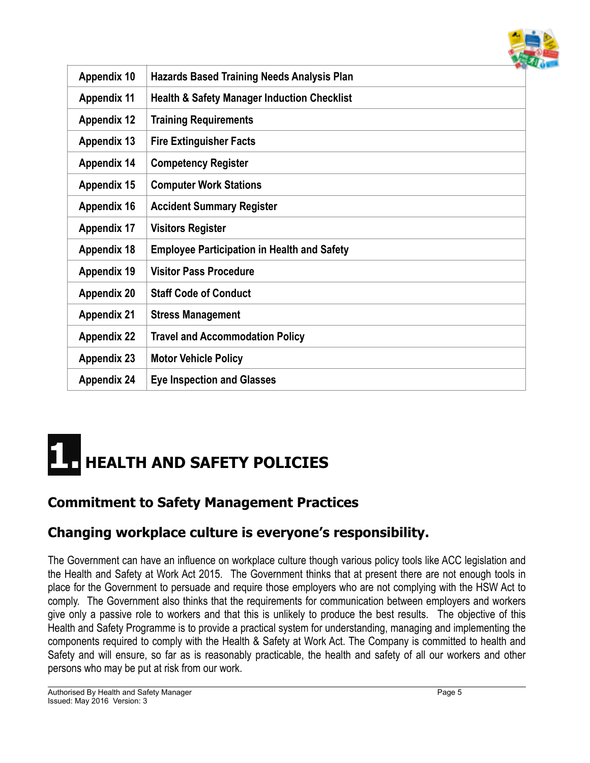

| <b>Appendix 10</b> | <b>Hazards Based Training Needs Analysis Plan</b>      |
|--------------------|--------------------------------------------------------|
| <b>Appendix 11</b> | <b>Health &amp; Safety Manager Induction Checklist</b> |
| <b>Appendix 12</b> | <b>Training Requirements</b>                           |
| <b>Appendix 13</b> | <b>Fire Extinguisher Facts</b>                         |
| <b>Appendix 14</b> | <b>Competency Register</b>                             |
| <b>Appendix 15</b> | <b>Computer Work Stations</b>                          |
| <b>Appendix 16</b> | <b>Accident Summary Register</b>                       |
| <b>Appendix 17</b> | <b>Visitors Register</b>                               |
| <b>Appendix 18</b> | <b>Employee Participation in Health and Safety</b>     |
| <b>Appendix 19</b> | <b>Visitor Pass Procedure</b>                          |
| <b>Appendix 20</b> | <b>Staff Code of Conduct</b>                           |
| <b>Appendix 21</b> | <b>Stress Management</b>                               |
| <b>Appendix 22</b> | <b>Travel and Accommodation Policy</b>                 |
| <b>Appendix 23</b> | <b>Motor Vehicle Policy</b>                            |
| <b>Appendix 24</b> | <b>Eye Inspection and Glasses</b>                      |

## **1. HEALTH AND SAFETY POLICIES**

## **Commitment to Safety Management Practices**

## **Changing workplace culture is everyone's responsibility.**

The Government can have an influence on workplace culture though various policy tools like ACC legislation and the Health and Safety at Work Act 2015. The Government thinks that at present there are not enough tools in place for the Government to persuade and require those employers who are not complying with the HSW Act to comply. The Government also thinks that the requirements for communication between employers and workers give only a passive role to workers and that this is unlikely to produce the best results. The objective of this Health and Safety Programme is to provide a practical system for understanding, managing and implementing the components required to comply with the Health & Safety at Work Act. The Company is committed to health and Safety and will ensure, so far as is reasonably practicable, the health and safety of all our workers and other persons who may be put at risk from our work.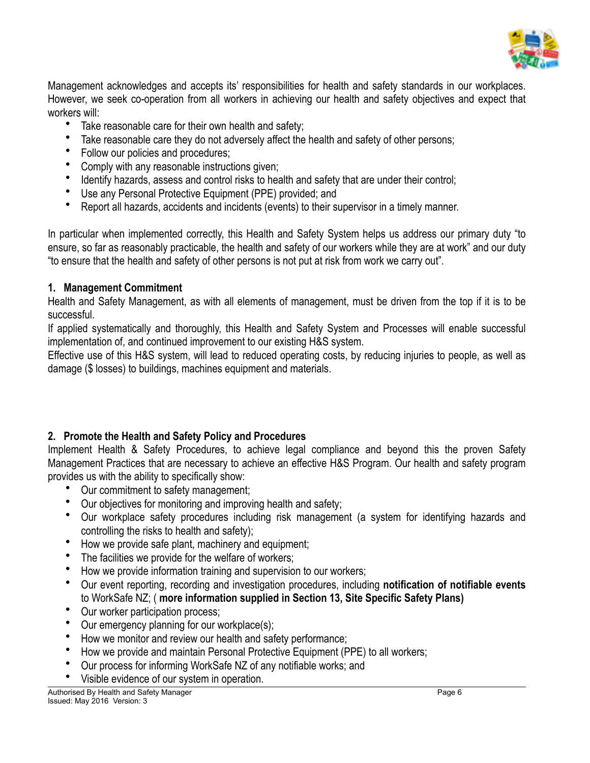

Management acknowledges and accepts its' responsibilities for health and safety standards in our workplaces. However, we seek co-operation from all workers in achieving our health and safety objectives and expect that workers will:

- Take reasonable care for their own health and safety;
- Take reasonable care they do not adversely affect the health and safety of other persons;
- Follow our policies and procedures;
- Comply with any reasonable instructions given;
- Identify hazards, assess and control risks to health and safety that are under their control;
- Use any Personal Protective Equipment (PPE) provided; and
- Report all hazards, accidents and incidents (events) to their supervisor in a timely manner.

In particular when implemented correctly, this Health and Safety System helps us address our primary duty "to ensure, so far as reasonably practicable, the health and safety of our workers while they are at work" and our duty "to ensure that the health and safety of other persons is not put at risk from work we carry out".

#### **1. Management Commitment**

Health and Safety Management, as with all elements of management, must be driven from the top if it is to be successful.

If applied systematically and thoroughly, this Health and Safety System and Processes will enable successful implementation of, and continued improvement to our existing H&S system.

Effective use of this H&S system, will lead to reduced operating costs, by reducing injuries to people, as well as damage (\$ losses) to buildings, machines equipment and materials.

#### **2. Promote the Health and Safety Policy and Procedures**

Implement Health & Safety Procedures, to achieve legal compliance and beyond this the proven Safety Management Practices that are necessary to achieve an effective H&S Program. Our health and safety program provides us with the ability to specifically show:

- Our commitment to safety management;
- Our objectives for monitoring and improving health and safety;
- Our workplace safety procedures including risk management (a system for identifying hazards and controlling the risks to health and safety);
- How we provide safe plant, machinery and equipment;
- The facilities we provide for the welfare of workers;
- How we provide information training and supervision to our workers;
- Our event reporting, recording and investigation procedures, including **notification of notifiable events** to WorkSafe NZ; ( **more information supplied in Section 13, Site Specific Safety Plans)**
- Our worker participation process;
- Our emergency planning for our workplace(s);
- How we monitor and review our health and safety performance;
- How we provide and maintain Personal Protective Equipment (PPE) to all workers;
- Our process for informing WorkSafe NZ of any notifiable works; and
- Visible evidence of our system in operation.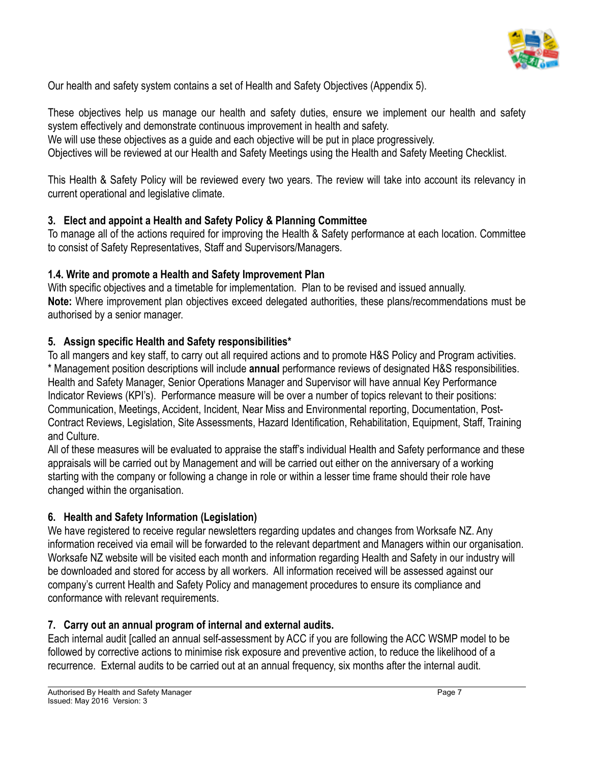

Our health and safety system contains a set of Health and Safety Objectives (Appendix 5).

These objectives help us manage our health and safety duties, ensure we implement our health and safety system effectively and demonstrate continuous improvement in health and safety.

We will use these objectives as a guide and each objective will be put in place progressively.

Objectives will be reviewed at our Health and Safety Meetings using the Health and Safety Meeting Checklist.

This Health & Safety Policy will be reviewed every two years. The review will take into account its relevancy in current operational and legislative climate.

#### **3. Elect and appoint a Health and Safety Policy & Planning Committee**

To manage all of the actions required for improving the Health & Safety performance at each location. Committee to consist of Safety Representatives, Staff and Supervisors/Managers.

#### **1.4. Write and promote a Health and Safety Improvement Plan**

With specific objectives and a timetable for implementation. Plan to be revised and issued annually. **Note:** Where improvement plan objectives exceed delegated authorities, these plans/recommendations must be authorised by a senior manager.

#### **5. Assign specific Health and Safety responsibilities\***

To all mangers and key staff, to carry out all required actions and to promote H&S Policy and Program activities. \* Management position descriptions will include **annual** performance reviews of designated H&S responsibilities. Health and Safety Manager, Senior Operations Manager and Supervisor will have annual Key Performance Indicator Reviews (KPI's). Performance measure will be over a number of topics relevant to their positions: Communication, Meetings, Accident, Incident, Near Miss and Environmental reporting, Documentation, Post-Contract Reviews, Legislation, Site Assessments, Hazard Identification, Rehabilitation, Equipment, Staff, Training and Culture.

All of these measures will be evaluated to appraise the staff's individual Health and Safety performance and these appraisals will be carried out by Management and will be carried out either on the anniversary of a working starting with the company or following a change in role or within a lesser time frame should their role have changed within the organisation.

#### **6. Health and Safety Information (Legislation)**

We have registered to receive regular newsletters regarding updates and changes from Worksafe NZ. Any information received via email will be forwarded to the relevant department and Managers within our organisation. Worksafe NZ website will be visited each month and information regarding Health and Safety in our industry will be downloaded and stored for access by all workers. All information received will be assessed against our company's current Health and Safety Policy and management procedures to ensure its compliance and conformance with relevant requirements.

#### **7. Carry out an annual program of internal and external audits.**

Each internal audit [called an annual self-assessment by ACC if you are following the ACC WSMP model to be followed by corrective actions to minimise risk exposure and preventive action, to reduce the likelihood of a recurrence. External audits to be carried out at an annual frequency, six months after the internal audit.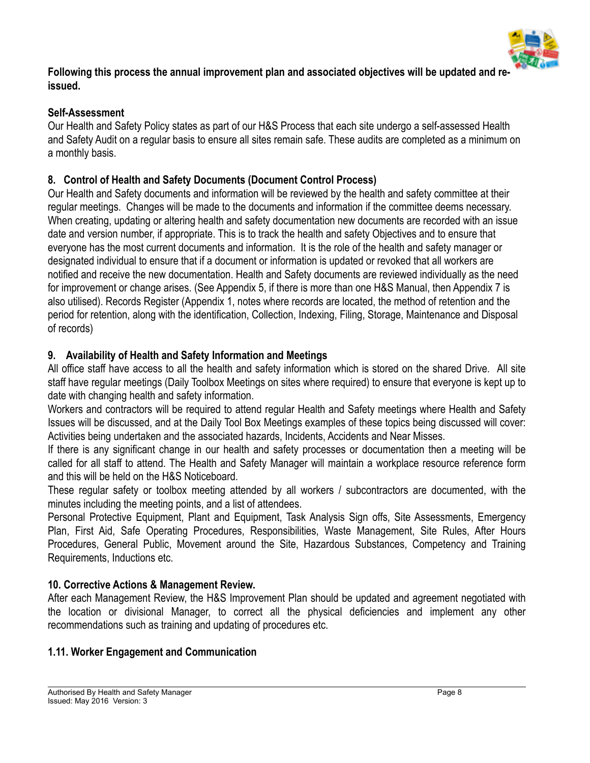

**Following this process the annual improvement plan and associated objectives will be updated and reissued.**

#### **Self-Assessment**

Our Health and Safety Policy states as part of our H&S Process that each site undergo a self-assessed Health and Safety Audit on a regular basis to ensure all sites remain safe. These audits are completed as a minimum on a monthly basis.

#### **8. Control of Health and Safety Documents (Document Control Process)**

Our Health and Safety documents and information will be reviewed by the health and safety committee at their regular meetings. Changes will be made to the documents and information if the committee deems necessary. When creating, updating or altering health and safety documentation new documents are recorded with an issue date and version number, if appropriate. This is to track the health and safety Objectives and to ensure that everyone has the most current documents and information. It is the role of the health and safety manager or designated individual to ensure that if a document or information is updated or revoked that all workers are notified and receive the new documentation. Health and Safety documents are reviewed individually as the need for improvement or change arises. (See Appendix 5, if there is more than one H&S Manual, then Appendix 7 is also utilised). Records Register (Appendix 1, notes where records are located, the method of retention and the period for retention, along with the identification, Collection, Indexing, Filing, Storage, Maintenance and Disposal of records)

#### **9. Availability of Health and Safety Information and Meetings**

All office staff have access to all the health and safety information which is stored on the shared Drive. All site staff have regular meetings (Daily Toolbox Meetings on sites where required) to ensure that everyone is kept up to date with changing health and safety information.

Workers and contractors will be required to attend regular Health and Safety meetings where Health and Safety Issues will be discussed, and at the Daily Tool Box Meetings examples of these topics being discussed will cover: Activities being undertaken and the associated hazards, Incidents, Accidents and Near Misses.

If there is any significant change in our health and safety processes or documentation then a meeting will be called for all staff to attend. The Health and Safety Manager will maintain a workplace resource reference form and this will be held on the H&S Noticeboard.

These regular safety or toolbox meeting attended by all workers / subcontractors are documented, with the minutes including the meeting points, and a list of attendees.

Personal Protective Equipment, Plant and Equipment, Task Analysis Sign offs, Site Assessments, Emergency Plan, First Aid, Safe Operating Procedures, Responsibilities, Waste Management, Site Rules, After Hours Procedures, General Public, Movement around the Site, Hazardous Substances, Competency and Training Requirements, Inductions etc.

#### **10. Corrective Actions & Management Review.**

After each Management Review, the H&S Improvement Plan should be updated and agreement negotiated with the location or divisional Manager, to correct all the physical deficiencies and implement any other recommendations such as training and updating of procedures etc.

#### **1.11. Worker Engagement and Communication**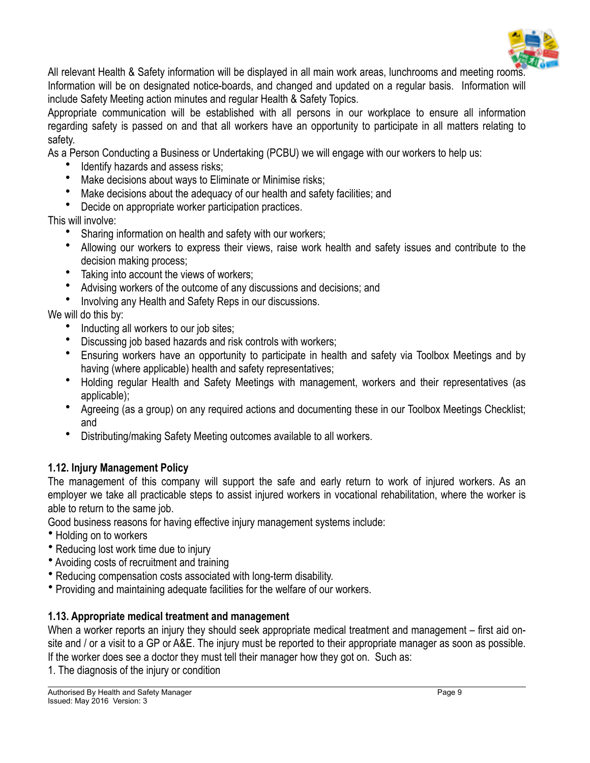

All relevant Health & Safety information will be displayed in all main work areas, lunchrooms and meeting rooms. Information will be on designated notice-boards, and changed and updated on a regular basis. Information will include Safety Meeting action minutes and regular Health & Safety Topics.

Appropriate communication will be established with all persons in our workplace to ensure all information regarding safety is passed on and that all workers have an opportunity to participate in all matters relating to safety.

As a Person Conducting a Business or Undertaking (PCBU) we will engage with our workers to help us:

- Identify hazards and assess risks;
- Make decisions about ways to Eliminate or Minimise risks;
- Make decisions about the adequacy of our health and safety facilities; and

• Decide on appropriate worker participation practices.

This will involve:

- Sharing information on health and safety with our workers;
- Allowing our workers to express their views, raise work health and safety issues and contribute to the decision making process;
- Taking into account the views of workers;
- Advising workers of the outcome of any discussions and decisions; and
- Involving any Health and Safety Reps in our discussions.

#### We will do this by:

- Inducting all workers to our job sites;
- Discussing job based hazards and risk controls with workers;
- Ensuring workers have an opportunity to participate in health and safety via Toolbox Meetings and by having (where applicable) health and safety representatives;
- Holding regular Health and Safety Meetings with management, workers and their representatives (as applicable);
- Agreeing (as a group) on any required actions and documenting these in our Toolbox Meetings Checklist; and
- Distributing/making Safety Meeting outcomes available to all workers.

#### **1.12. Injury Management Policy**

The management of this company will support the safe and early return to work of injured workers. As an employer we take all practicable steps to assist injured workers in vocational rehabilitation, where the worker is able to return to the same job.

Good business reasons for having effective injury management systems include:

- Holding on to workers
- Reducing lost work time due to injury
- Avoiding costs of recruitment and training
- Reducing compensation costs associated with long-term disability.
- Providing and maintaining adequate facilities for the welfare of our workers.

#### **1.13. Appropriate medical treatment and management**

When a worker reports an injury they should seek appropriate medical treatment and management – first aid onsite and / or a visit to a GP or A&E. The injury must be reported to their appropriate manager as soon as possible. If the worker does see a doctor they must tell their manager how they got on. Such as:

1. The diagnosis of the injury or condition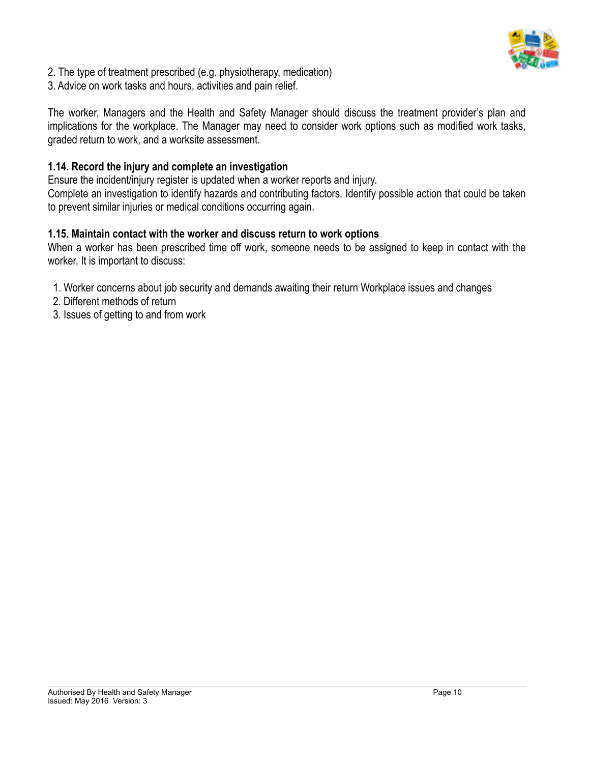

- 2. The type of treatment prescribed (e.g. physiotherapy, medication)
- 3. Advice on work tasks and hours, activities and pain relief.

The worker, Managers and the Health and Safety Manager should discuss the treatment provider's plan and implications for the workplace. The Manager may need to consider work options such as modified work tasks, graded return to work, and a worksite assessment.

#### **1.14. Record the injury and complete an investigation**

Ensure the incident/injury register is updated when a worker reports and injury. Complete an investigation to identify hazards and contributing factors. Identify possible action that could be taken to prevent similar injuries or medical conditions occurring again.

#### **1.15. Maintain contact with the worker and discuss return to work options**

When a worker has been prescribed time off work, someone needs to be assigned to keep in contact with the worker. It is important to discuss:

- 1. Worker concerns about job security and demands awaiting their return Workplace issues and changes
- 2. Different methods of return
- 3. Issues of getting to and from work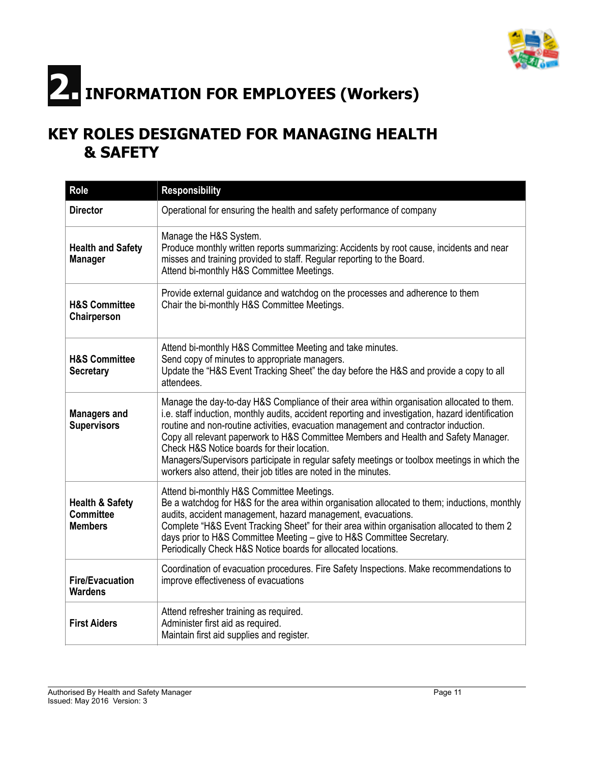

# **2. INFORMATION FOR EMPLOYEES (Workers)**

## **KEY ROLES DESIGNATED FOR MANAGING HEALTH & SAFETY**

| <b>Role</b>                                                      | <b>Responsibility</b>                                                                                                                                                                                                                                                                                                                                                                                                                                                                                                                                                                          |
|------------------------------------------------------------------|------------------------------------------------------------------------------------------------------------------------------------------------------------------------------------------------------------------------------------------------------------------------------------------------------------------------------------------------------------------------------------------------------------------------------------------------------------------------------------------------------------------------------------------------------------------------------------------------|
| <b>Director</b>                                                  | Operational for ensuring the health and safety performance of company                                                                                                                                                                                                                                                                                                                                                                                                                                                                                                                          |
| <b>Health and Safety</b><br><b>Manager</b>                       | Manage the H&S System.<br>Produce monthly written reports summarizing: Accidents by root cause, incidents and near<br>misses and training provided to staff. Regular reporting to the Board.<br>Attend bi-monthly H&S Committee Meetings.                                                                                                                                                                                                                                                                                                                                                      |
| <b>H&amp;S Committee</b><br>Chairperson                          | Provide external guidance and watchdog on the processes and adherence to them<br>Chair the bi-monthly H&S Committee Meetings.                                                                                                                                                                                                                                                                                                                                                                                                                                                                  |
| <b>H&amp;S Committee</b><br><b>Secretary</b>                     | Attend bi-monthly H&S Committee Meeting and take minutes.<br>Send copy of minutes to appropriate managers.<br>Update the "H&S Event Tracking Sheet" the day before the H&S and provide a copy to all<br>attendees.                                                                                                                                                                                                                                                                                                                                                                             |
| <b>Managers and</b><br><b>Supervisors</b>                        | Manage the day-to-day H&S Compliance of their area within organisation allocated to them.<br>i.e. staff induction, monthly audits, accident reporting and investigation, hazard identification<br>routine and non-routine activities, evacuation management and contractor induction.<br>Copy all relevant paperwork to H&S Committee Members and Health and Safety Manager.<br>Check H&S Notice boards for their location.<br>Managers/Supervisors participate in regular safety meetings or toolbox meetings in which the<br>workers also attend, their job titles are noted in the minutes. |
| <b>Health &amp; Safety</b><br><b>Committee</b><br><b>Members</b> | Attend bi-monthly H&S Committee Meetings.<br>Be a watchdog for H&S for the area within organisation allocated to them; inductions, monthly<br>audits, accident management, hazard management, evacuations.<br>Complete "H&S Event Tracking Sheet" for their area within organisation allocated to them 2<br>days prior to H&S Committee Meeting - give to H&S Committee Secretary.<br>Periodically Check H&S Notice boards for allocated locations.                                                                                                                                            |
| <b>Fire/Evacuation</b><br><b>Wardens</b>                         | Coordination of evacuation procedures. Fire Safety Inspections. Make recommendations to<br>improve effectiveness of evacuations                                                                                                                                                                                                                                                                                                                                                                                                                                                                |
| <b>First Aiders</b>                                              | Attend refresher training as required.<br>Administer first aid as required.<br>Maintain first aid supplies and register.                                                                                                                                                                                                                                                                                                                                                                                                                                                                       |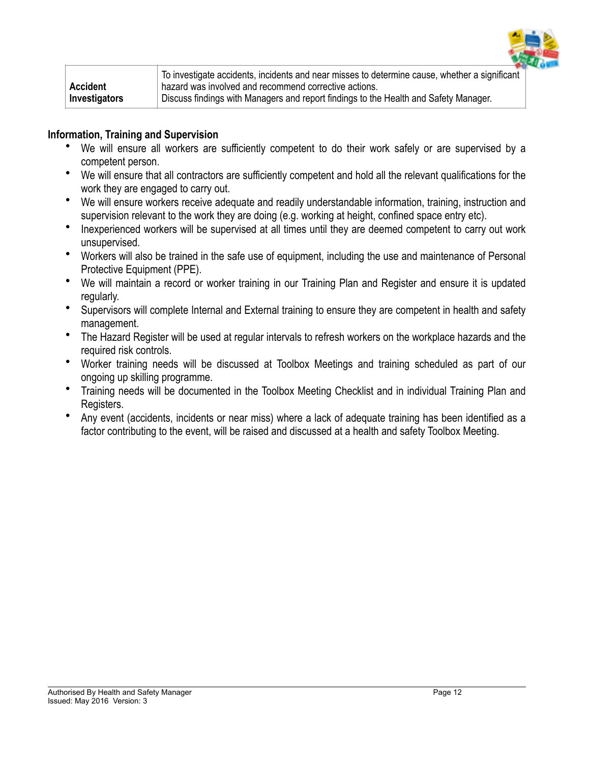

|                 | To investigate accidents, incidents and near misses to determine cause, whether a significant |
|-----------------|-----------------------------------------------------------------------------------------------|
| <b>Accident</b> | hazard was involved and recommend corrective actions.                                         |
| Investigators   | Discuss findings with Managers and report findings to the Health and Safety Manager.          |

#### **Information, Training and Supervision**

- We will ensure all workers are sufficiently competent to do their work safely or are supervised by a competent person.
- We will ensure that all contractors are sufficiently competent and hold all the relevant qualifications for the work they are engaged to carry out.
- We will ensure workers receive adequate and readily understandable information, training, instruction and supervision relevant to the work they are doing (e.g. working at height, confined space entry etc).
- Inexperienced workers will be supervised at all times until they are deemed competent to carry out work unsupervised.
- Workers will also be trained in the safe use of equipment, including the use and maintenance of Personal Protective Equipment (PPE).
- We will maintain a record or worker training in our Training Plan and Register and ensure it is updated regularly.
- Supervisors will complete Internal and External training to ensure they are competent in health and safety management.
- The Hazard Register will be used at regular intervals to refresh workers on the workplace hazards and the required risk controls.
- Worker training needs will be discussed at Toolbox Meetings and training scheduled as part of our ongoing up skilling programme.
- Training needs will be documented in the Toolbox Meeting Checklist and in individual Training Plan and Registers.
- Any event (accidents, incidents or near miss) where a lack of adequate training has been identified as a factor contributing to the event, will be raised and discussed at a health and safety Toolbox Meeting.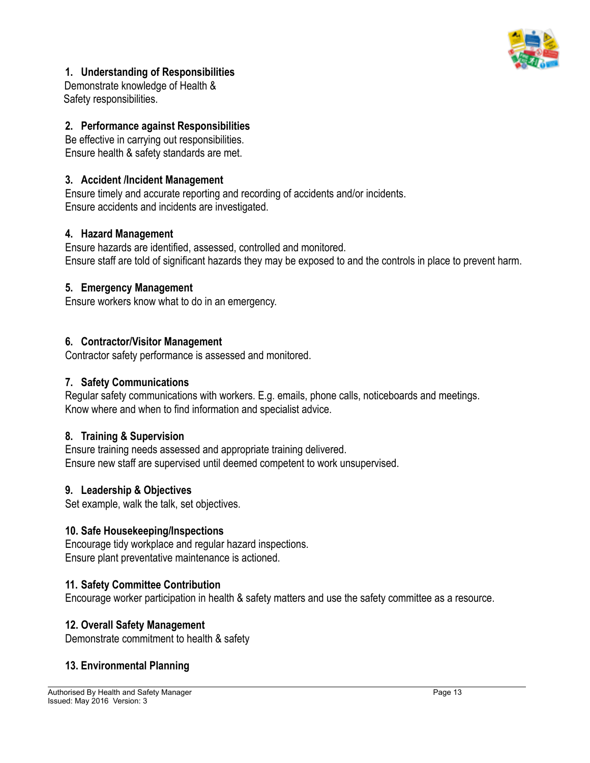

#### **1. Understanding of Responsibilities**

Demonstrate knowledge of Health & Safety responsibilities.

#### **2. Performance against Responsibilities**

Be effective in carrying out responsibilities. Ensure health & safety standards are met.

#### **3. Accident /Incident Management**

Ensure timely and accurate reporting and recording of accidents and/or incidents. Ensure accidents and incidents are investigated.

#### **4. Hazard Management**

Ensure hazards are identified, assessed, controlled and monitored. Ensure staff are told of significant hazards they may be exposed to and the controls in place to prevent harm.

#### **5. Emergency Management**

Ensure workers know what to do in an emergency.

#### **6. Contractor/Visitor Management**

Contractor safety performance is assessed and monitored.

#### **7. Safety Communications**

Regular safety communications with workers. E.g. emails, phone calls, noticeboards and meetings. Know where and when to find information and specialist advice.

#### **8. Training & Supervision**

Ensure training needs assessed and appropriate training delivered. Ensure new staff are supervised until deemed competent to work unsupervised.

#### **9. Leadership & Objectives**

Set example, walk the talk, set objectives.

#### **10. Safe Housekeeping/Inspections**

Encourage tidy workplace and regular hazard inspections. Ensure plant preventative maintenance is actioned.

#### **11. Safety Committee Contribution**

Encourage worker participation in health & safety matters and use the safety committee as a resource.

#### **12. Overall Safety Management**

Demonstrate commitment to health & safety

#### **13. Environmental Planning**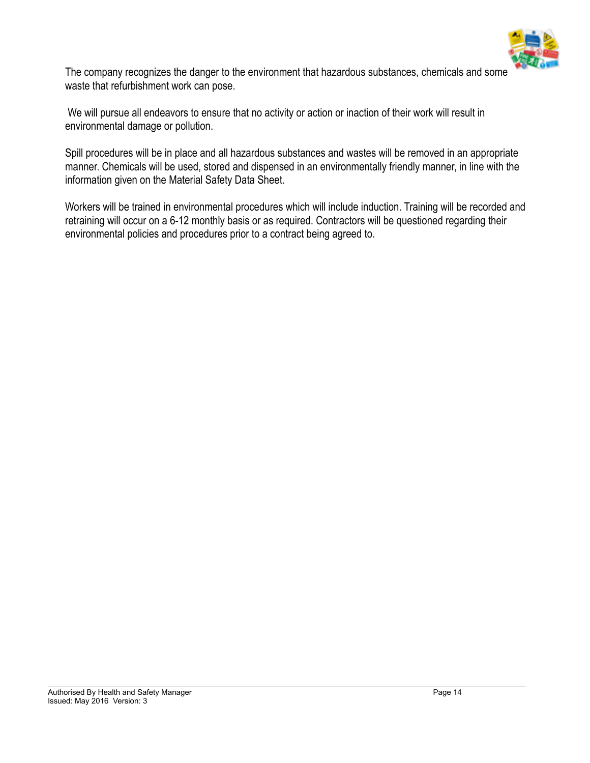

The company recognizes the danger to the environment that hazardous substances, chemicals and some waste that refurbishment work can pose.

 We will pursue all endeavors to ensure that no activity or action or inaction of their work will result in environmental damage or pollution.

Spill procedures will be in place and all hazardous substances and wastes will be removed in an appropriate manner. Chemicals will be used, stored and dispensed in an environmentally friendly manner, in line with the information given on the Material Safety Data Sheet.

Workers will be trained in environmental procedures which will include induction. Training will be recorded and retraining will occur on a 6-12 monthly basis or as required. Contractors will be questioned regarding their environmental policies and procedures prior to a contract being agreed to.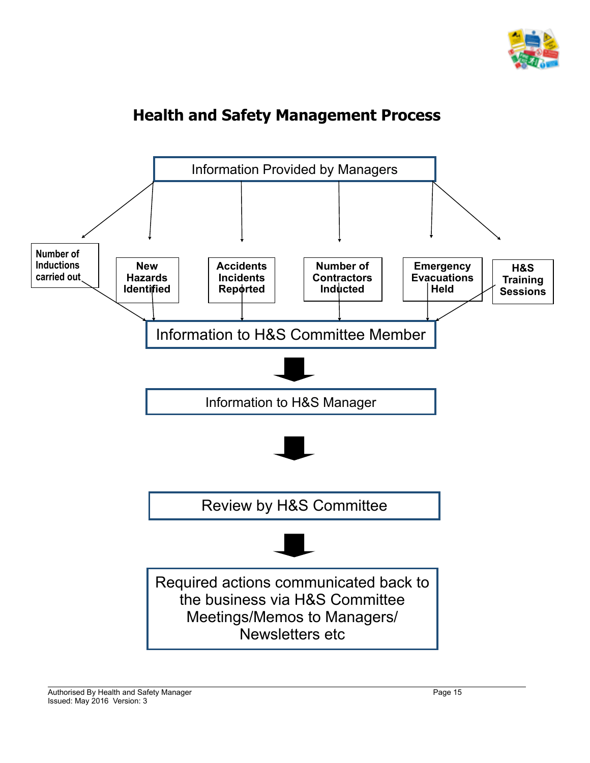

## **Health and Safety Management Process**

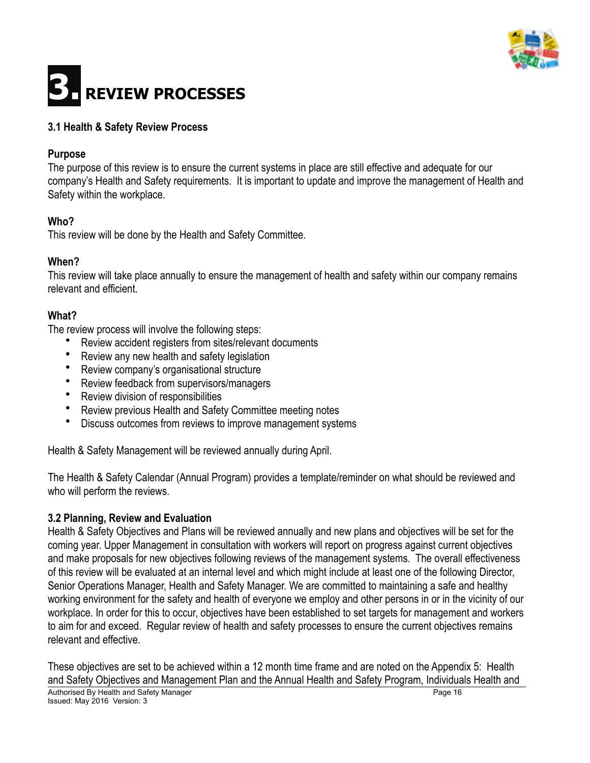

# **3. REVIEW PROCESSES**

#### **3.1 Health & Safety Review Process**

#### **Purpose**

The purpose of this review is to ensure the current systems in place are still effective and adequate for our company's Health and Safety requirements. It is important to update and improve the management of Health and Safety within the workplace.

#### **Who?**

This review will be done by the Health and Safety Committee.

#### **When?**

This review will take place annually to ensure the management of health and safety within our company remains relevant and efficient.

#### **What?**

The review process will involve the following steps:

- Review accident registers from sites/relevant documents
- Review any new health and safety legislation
- Review company's organisational structure
- Review feedback from supervisors/managers
- Review division of responsibilities
- Review previous Health and Safety Committee meeting notes
- Discuss outcomes from reviews to improve management systems

Health & Safety Management will be reviewed annually during April.

The Health & Safety Calendar (Annual Program) provides a template/reminder on what should be reviewed and who will perform the reviews.

#### **3.2 Planning, Review and Evaluation**

Health & Safety Objectives and Plans will be reviewed annually and new plans and objectives will be set for the coming year. Upper Management in consultation with workers will report on progress against current objectives and make proposals for new objectives following reviews of the management systems. The overall effectiveness of this review will be evaluated at an internal level and which might include at least one of the following Director, Senior Operations Manager, Health and Safety Manager. We are committed to maintaining a safe and healthy working environment for the safety and health of everyone we employ and other persons in or in the vicinity of our workplace. In order for this to occur, objectives have been established to set targets for management and workers to aim for and exceed. Regular review of health and safety processes to ensure the current objectives remains relevant and effective.

These objectives are set to be achieved within a 12 month time frame and are noted on the Appendix 5: Health and Safety Objectives and Management Plan and the Annual Health and Safety Program, Individuals Health and Authorised By Health and Safety Manager Page 16 and Safety Manager Page 16 and Safety Manager Page 16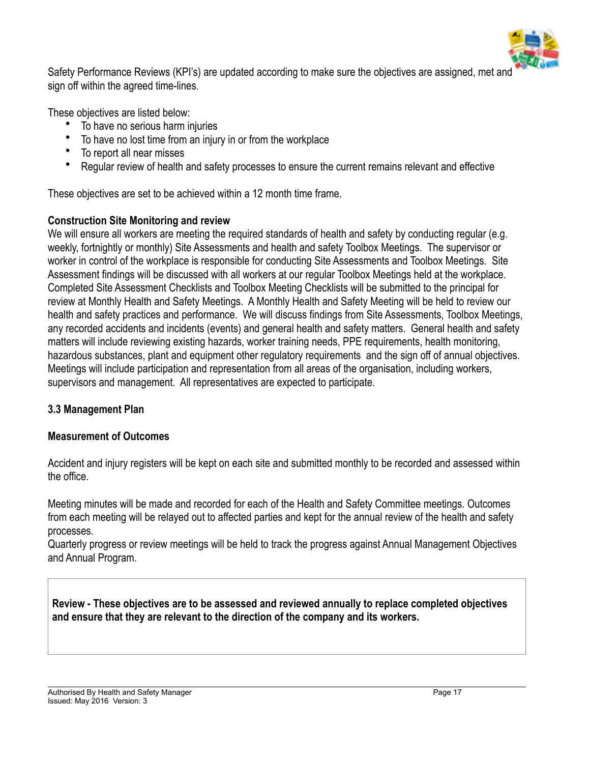

Safety Performance Reviews (KPI's) are updated according to make sure the objectives are assigned, met and sign off within the agreed time-lines.

These objectives are listed below:

- To have no serious harm injuries
- To have no lost time from an injury in or from the workplace
- To report all near misses
- Regular review of health and safety processes to ensure the current remains relevant and effective

These objectives are set to be achieved within a 12 month time frame.

#### **Construction Site Monitoring and review**

We will ensure all workers are meeting the required standards of health and safety by conducting regular (e.g. weekly, fortnightly or monthly) Site Assessments and health and safety Toolbox Meetings. The supervisor or worker in control of the workplace is responsible for conducting Site Assessments and Toolbox Meetings. Site Assessment findings will be discussed with all workers at our regular Toolbox Meetings held at the workplace. Completed Site Assessment Checklists and Toolbox Meeting Checklists will be submitted to the principal for review at Monthly Health and Safety Meetings. A Monthly Health and Safety Meeting will be held to review our health and safety practices and performance. We will discuss findings from Site Assessments, Toolbox Meetings, any recorded accidents and incidents (events) and general health and safety matters. General health and safety matters will include reviewing existing hazards, worker training needs, PPE requirements, health monitoring, hazardous substances, plant and equipment other regulatory requirements and the sign off of annual objectives. Meetings will include participation and representation from all areas of the organisation, including workers, supervisors and management. All representatives are expected to participate.

#### **3.3 Management Plan**

#### **Measurement of Outcomes**

Accident and injury registers will be kept on each site and submitted monthly to be recorded and assessed within the office.

Meeting minutes will be made and recorded for each of the Health and Safety Committee meetings. Outcomes from each meeting will be relayed out to affected parties and kept for the annual review of the health and safety processes.

Quarterly progress or review meetings will be held to track the progress against Annual Management Objectives and Annual Program.

**Review - These objectives are to be assessed and reviewed annually to replace completed objectives and ensure that they are relevant to the direction of the company and its workers.**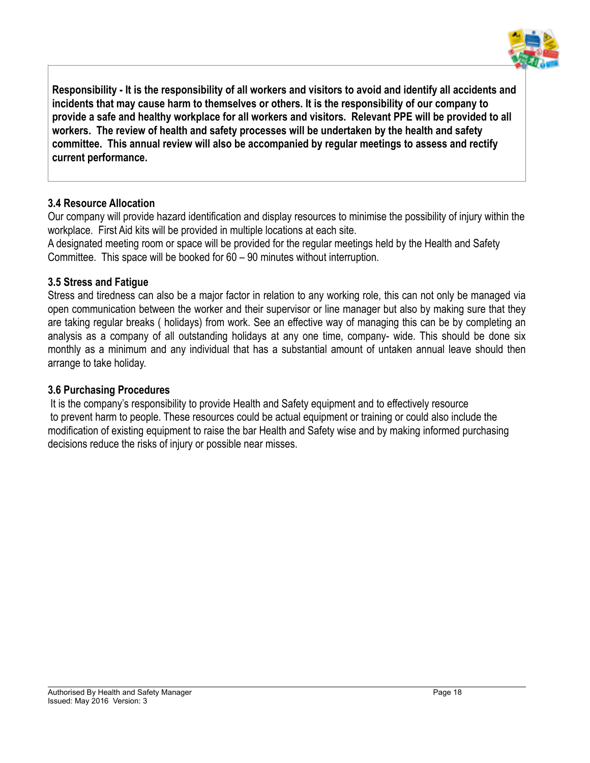

**Responsibility - It is the responsibility of all workers and visitors to avoid and identify all accidents and incidents that may cause harm to themselves or others. It is the responsibility of our company to provide a safe and healthy workplace for all workers and visitors. Relevant PPE will be provided to all workers. The review of health and safety processes will be undertaken by the health and safety committee. This annual review will also be accompanied by regular meetings to assess and rectify current performance.** 

#### **3.4 Resource Allocation**

Our company will provide hazard identification and display resources to minimise the possibility of injury within the workplace. First Aid kits will be provided in multiple locations at each site.

A designated meeting room or space will be provided for the regular meetings held by the Health and Safety Committee. This space will be booked for 60 – 90 minutes without interruption.

#### **3.5 Stress and Fatigue**

Stress and tiredness can also be a major factor in relation to any working role, this can not only be managed via open communication between the worker and their supervisor or line manager but also by making sure that they are taking regular breaks ( holidays) from work. See an effective way of managing this can be by completing an analysis as a company of all outstanding holidays at any one time, company- wide. This should be done six monthly as a minimum and any individual that has a substantial amount of untaken annual leave should then arrange to take holiday.

#### **3.6 Purchasing Procedures**

It is the company's responsibility to provide Health and Safety equipment and to effectively resource to prevent harm to people. These resources could be actual equipment or training or could also include the modification of existing equipment to raise the bar Health and Safety wise and by making informed purchasing decisions reduce the risks of injury or possible near misses.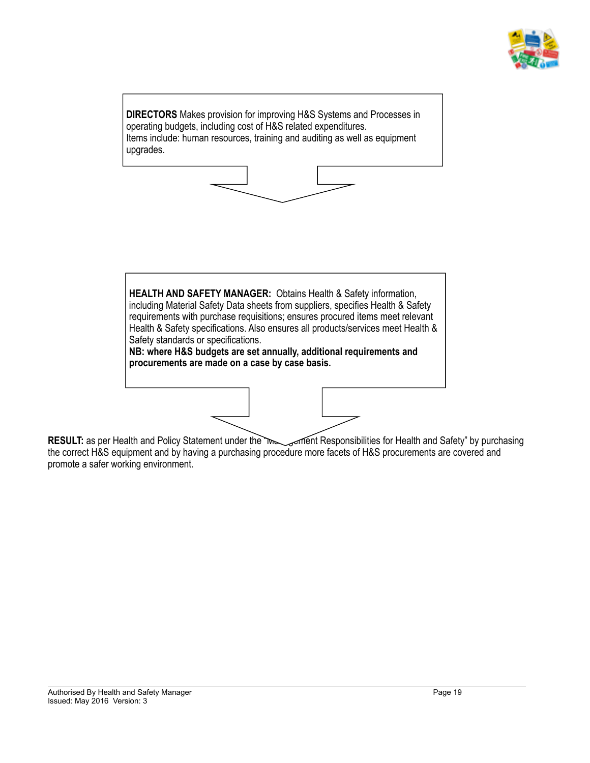



**RESULT:** as per Health and Policy Statement under the management Responsibilities for Health and Safety" by purchasing the correct H&S equipment and by having a purchasing procedure more facets of H&S procurements are covered and promote a safer working environment.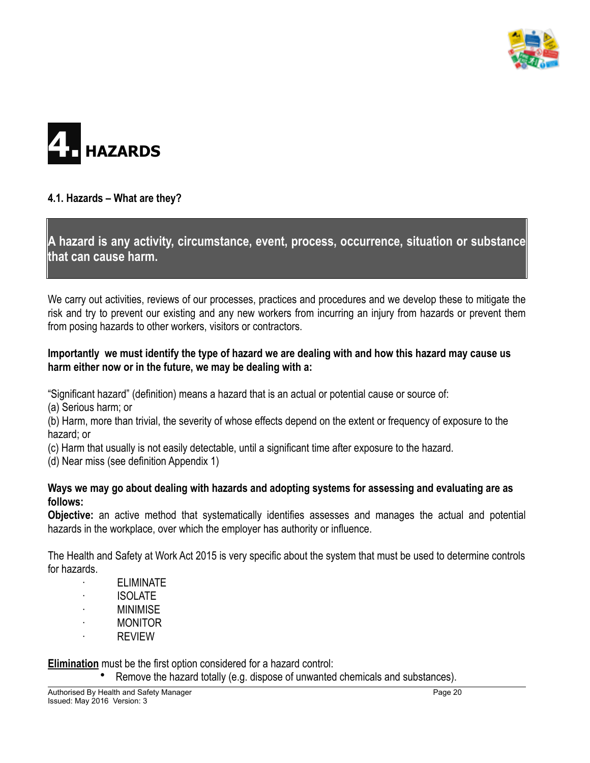



#### **4.1. Hazards – What are they?**

**A hazard is any activity, circumstance, event, process, occurrence, situation or substance that can cause harm.**

We carry out activities, reviews of our processes, practices and procedures and we develop these to mitigate the risk and try to prevent our existing and any new workers from incurring an injury from hazards or prevent them from posing hazards to other workers, visitors or contractors.

#### **Importantly we must identify the type of hazard we are dealing with and how this hazard may cause us harm either now or in the future, we may be dealing with a:**

"Significant hazard" (definition) means a hazard that is an actual or potential cause or source of:

(a) Serious harm; or

(b) Harm, more than trivial, the severity of whose effects depend on the extent or frequency of exposure to the hazard; or

(c) Harm that usually is not easily detectable, until a significant time after exposure to the hazard.

(d) Near miss (see definition Appendix 1)

#### **Ways we may go about dealing with hazards and adopting systems for assessing and evaluating are as follows:**

**Objective:** an active method that systematically identifies assesses and manages the actual and potential hazards in the workplace, over which the employer has authority or influence.

The Health and Safety at Work Act 2015 is very specific about the system that must be used to determine controls for hazards.

- **ELIMINATE**  · ISOLATE **MINIMISE**
- · MONITOR
- · REVIEW

**Elimination** must be the first option considered for a hazard control:

• Remove the hazard totally (e.g. dispose of unwanted chemicals and substances).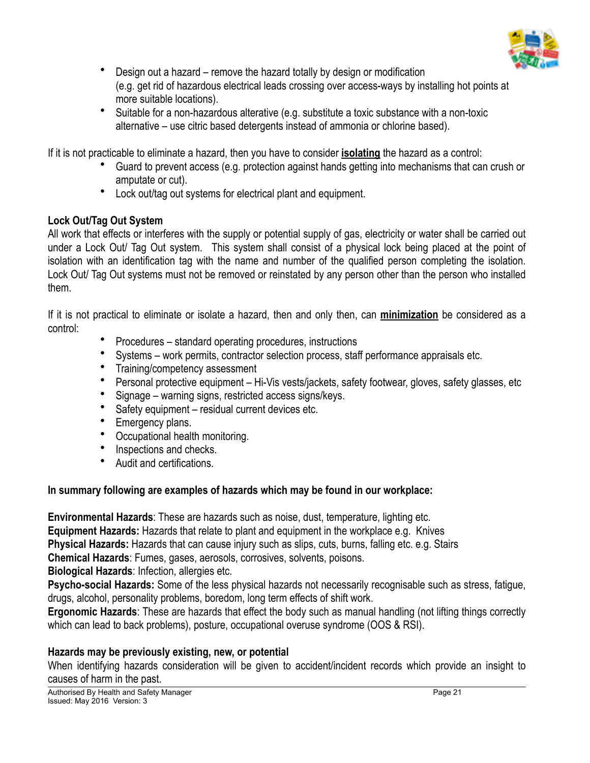

- Design out a hazard remove the hazard totally by design or modification (e.g. get rid of hazardous electrical leads crossing over access-ways by installing hot points at more suitable locations).
- Suitable for a non-hazardous alterative (e.g. substitute a toxic substance with a non-toxic alternative – use citric based detergents instead of ammonia or chlorine based).

If it is not practicable to eliminate a hazard, then you have to consider **isolating** the hazard as a control:

- Guard to prevent access (e.g. protection against hands getting into mechanisms that can crush or amputate or cut).
- Lock out/tag out systems for electrical plant and equipment.

#### **Lock Out/Tag Out System**

All work that effects or interferes with the supply or potential supply of gas, electricity or water shall be carried out under a Lock Out/ Tag Out system. This system shall consist of a physical lock being placed at the point of isolation with an identification tag with the name and number of the qualified person completing the isolation. Lock Out/ Tag Out systems must not be removed or reinstated by any person other than the person who installed them.

If it is not practical to eliminate or isolate a hazard, then and only then, can **minimization** be considered as a control:

- Procedures standard operating procedures, instructions
- Systems work permits, contractor selection process, staff performance appraisals etc.
- Training/competency assessment
- Personal protective equipment Hi-Vis vests/jackets, safety footwear, gloves, safety glasses, etc
- Signage warning signs, restricted access signs/keys.
- Safety equipment residual current devices etc.
- Emergency plans.
- Occupational health monitoring.
- Inspections and checks.
- Audit and certifications.

#### **In summary following are examples of hazards which may be found in our workplace:**

**Environmental Hazards**: These are hazards such as noise, dust, temperature, lighting etc. **Equipment Hazards:** Hazards that relate to plant and equipment in the workplace e.g. Knives **Physical Hazards:** Hazards that can cause injury such as slips, cuts, burns, falling etc. e.g. Stairs **Chemical Hazards**: Fumes, gases, aerosols, corrosives, solvents, poisons. **Biological Hazards**: Infection, allergies etc.

**Psycho-social Hazards:** Some of the less physical hazards not necessarily recognisable such as stress, fatigue, drugs, alcohol, personality problems, boredom, long term effects of shift work.

**Ergonomic Hazards**: These are hazards that effect the body such as manual handling (not lifting things correctly which can lead to back problems), posture, occupational overuse syndrome (OOS & RSI).

#### **Hazards may be previously existing, new, or potential**

When identifying hazards consideration will be given to accident/incident records which provide an insight to causes of harm in the past.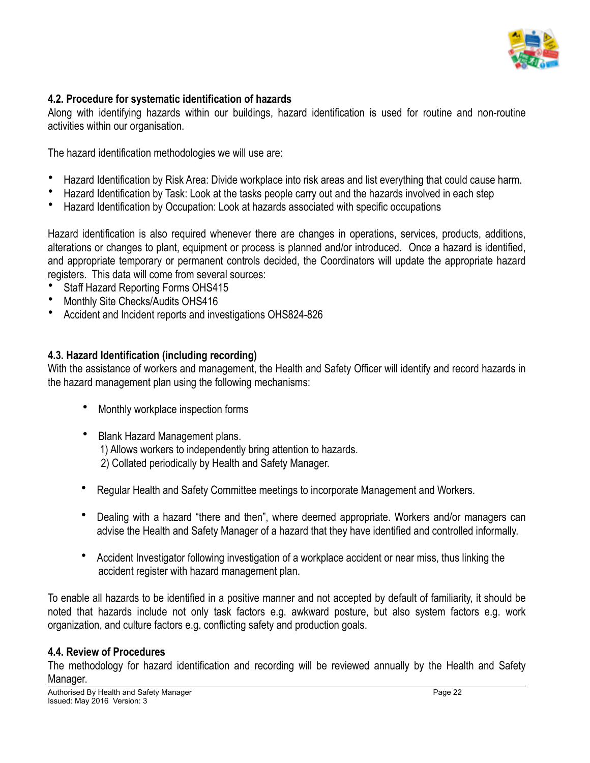

#### **4.2. Procedure for systematic identification of hazards**

Along with identifying hazards within our buildings, hazard identification is used for routine and non-routine activities within our organisation.

The hazard identification methodologies we will use are:

- Hazard Identification by Risk Area: Divide workplace into risk areas and list everything that could cause harm.
- Hazard Identification by Task: Look at the tasks people carry out and the hazards involved in each step
- Hazard Identification by Occupation: Look at hazards associated with specific occupations

Hazard identification is also required whenever there are changes in operations, services, products, additions, alterations or changes to plant, equipment or process is planned and/or introduced. Once a hazard is identified, and appropriate temporary or permanent controls decided, the Coordinators will update the appropriate hazard registers. This data will come from several sources:

- Staff Hazard Reporting Forms OHS415
- Monthly Site Checks/Audits OHS416
- Accident and Incident reports and investigations OHS824-826

#### **4.3. Hazard Identification (including recording)**

With the assistance of workers and management, the Health and Safety Officer will identify and record hazards in the hazard management plan using the following mechanisms:

- Monthly workplace inspection forms
- Blank Hazard Management plans. 1) Allows workers to independently bring attention to hazards. 2) Collated periodically by Health and Safety Manager.
- Regular Health and Safety Committee meetings to incorporate Management and Workers.
- Dealing with a hazard "there and then", where deemed appropriate. Workers and/or managers can advise the Health and Safety Manager of a hazard that they have identified and controlled informally.
- Accident Investigator following investigation of a workplace accident or near miss, thus linking the accident register with hazard management plan.

To enable all hazards to be identified in a positive manner and not accepted by default of familiarity, it should be noted that hazards include not only task factors e.g. awkward posture, but also system factors e.g. work organization, and culture factors e.g. conflicting safety and production goals.

#### **4.4. Review of Procedures**

The methodology for hazard identification and recording will be reviewed annually by the Health and Safety Manager.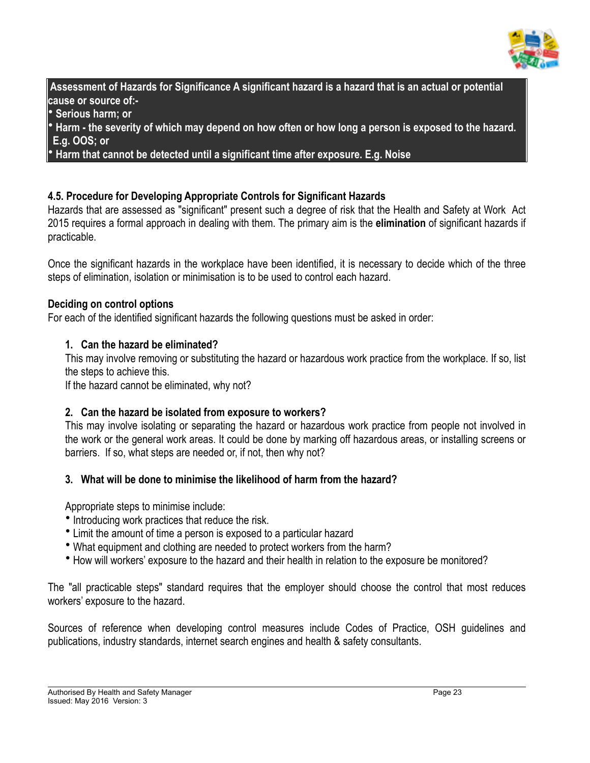

 **Assessment of Hazards for Significance A significant hazard is a hazard that is an actual or potential cause or source of:-**

• **Serious harm; or** 

• **Harm - the severity of which may depend on how often or how long a person is exposed to the hazard. E.g. OOS; or** 

• **Harm that cannot be detected until a significant time after exposure. E.g. Noise** 

#### **4.5. Procedure for Developing Appropriate Controls for Significant Hazards**

Hazards that are assessed as "significant" present such a degree of risk that the Health and Safety at Work Act 2015 requires a formal approach in dealing with them. The primary aim is the **elimination** of significant hazards if practicable.

Once the significant hazards in the workplace have been identified, it is necessary to decide which of the three steps of elimination, isolation or minimisation is to be used to control each hazard.

#### **Deciding on control options**

For each of the identified significant hazards the following questions must be asked in order:

#### **1. Can the hazard be eliminated?**

This may involve removing or substituting the hazard or hazardous work practice from the workplace. If so, list the steps to achieve this.

If the hazard cannot be eliminated, why not?

#### **2. Can the hazard be isolated from exposure to workers?**

This may involve isolating or separating the hazard or hazardous work practice from people not involved in the work or the general work areas. It could be done by marking off hazardous areas, or installing screens or barriers. If so, what steps are needed or, if not, then why not?

#### **3. What will be done to minimise the likelihood of harm from the hazard?**

Appropriate steps to minimise include:

- Introducing work practices that reduce the risk.
- Limit the amount of time a person is exposed to a particular hazard
- What equipment and clothing are needed to protect workers from the harm?
- How will workers' exposure to the hazard and their health in relation to the exposure be monitored?

The "all practicable steps" standard requires that the employer should choose the control that most reduces workers' exposure to the hazard.

Sources of reference when developing control measures include Codes of Practice, OSH guidelines and publications, industry standards, internet search engines and health & safety consultants.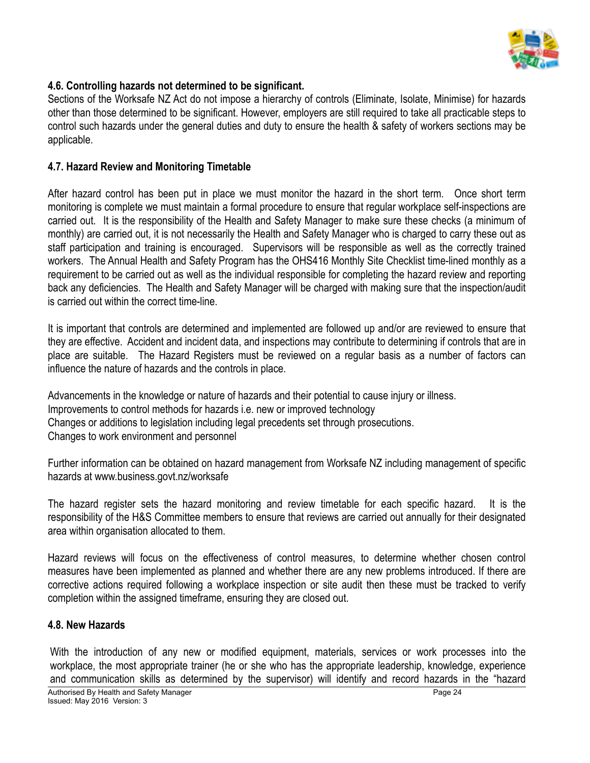

#### **4.6. Controlling hazards not determined to be significant.**

Sections of the Worksafe NZ Act do not impose a hierarchy of controls (Eliminate, Isolate, Minimise) for hazards other than those determined to be significant. However, employers are still required to take all practicable steps to control such hazards under the general duties and duty to ensure the health & safety of workers sections may be applicable.

#### **4.7. Hazard Review and Monitoring Timetable**

After hazard control has been put in place we must monitor the hazard in the short term. Once short term monitoring is complete we must maintain a formal procedure to ensure that regular workplace self-inspections are carried out. It is the responsibility of the Health and Safety Manager to make sure these checks (a minimum of monthly) are carried out, it is not necessarily the Health and Safety Manager who is charged to carry these out as staff participation and training is encouraged. Supervisors will be responsible as well as the correctly trained workers. The Annual Health and Safety Program has the OHS416 Monthly Site Checklist time-lined monthly as a requirement to be carried out as well as the individual responsible for completing the hazard review and reporting back any deficiencies. The Health and Safety Manager will be charged with making sure that the inspection/audit is carried out within the correct time-line.

It is important that controls are determined and implemented are followed up and/or are reviewed to ensure that they are effective. Accident and incident data, and inspections may contribute to determining if controls that are in place are suitable. The Hazard Registers must be reviewed on a regular basis as a number of factors can influence the nature of hazards and the controls in place.

Advancements in the knowledge or nature of hazards and their potential to cause injury or illness. Improvements to control methods for hazards i.e. new or improved technology Changes or additions to legislation including legal precedents set through prosecutions. Changes to work environment and personnel

Further information can be obtained on hazard management from Worksafe NZ including management of specific hazards at www.business.govt.nz/worksafe

The hazard register sets the hazard monitoring and review timetable for each specific hazard. It is the responsibility of the H&S Committee members to ensure that reviews are carried out annually for their designated area within organisation allocated to them.

Hazard reviews will focus on the effectiveness of control measures, to determine whether chosen control measures have been implemented as planned and whether there are any new problems introduced. If there are corrective actions required following a workplace inspection or site audit then these must be tracked to verify completion within the assigned timeframe, ensuring they are closed out.

#### **4.8. New Hazards**

With the introduction of any new or modified equipment, materials, services or work processes into the workplace, the most appropriate trainer (he or she who has the appropriate leadership, knowledge, experience and communication skills as determined by the supervisor) will identify and record hazards in the "hazard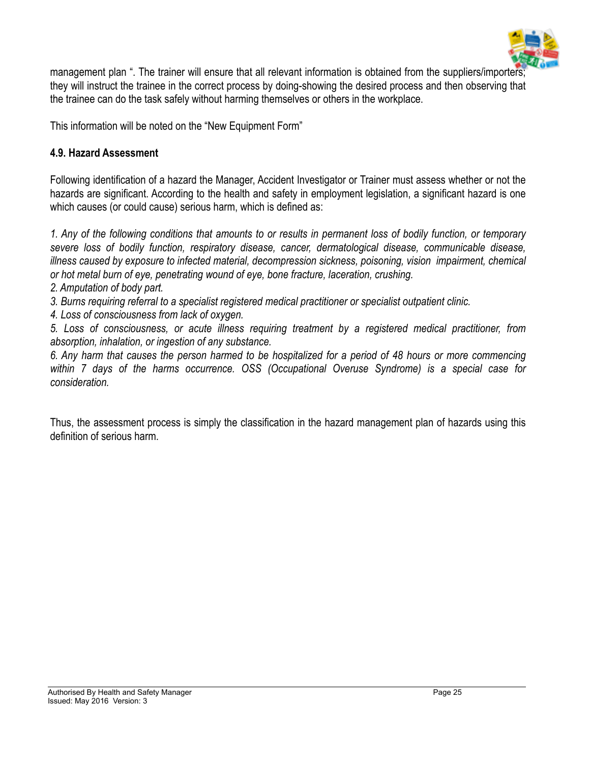

management plan ". The trainer will ensure that all relevant information is obtained from the suppliers/importers; they will instruct the trainee in the correct process by doing-showing the desired process and then observing that the trainee can do the task safely without harming themselves or others in the workplace.

This information will be noted on the "New Equipment Form"

#### **4.9. Hazard Assessment**

Following identification of a hazard the Manager, Accident Investigator or Trainer must assess whether or not the hazards are significant. According to the health and safety in employment legislation, a significant hazard is one which causes (or could cause) serious harm, which is defined as:

*1. Any of the following conditions that amounts to or results in permanent loss of bodily function, or temporary severe loss of bodily function, respiratory disease, cancer, dermatological disease, communicable disease, illness caused by exposure to infected material, decompression sickness, poisoning, vision impairment, chemical or hot metal burn of eye, penetrating wound of eye, bone fracture, laceration, crushing.*

- *2. Amputation of body part.*
- *3. Burns requiring referral to a specialist registered medical practitioner or specialist outpatient clinic.*
- *4. Loss of consciousness from lack of oxygen.*

*5. Loss of consciousness, or acute illness requiring treatment by a registered medical practitioner, from absorption, inhalation, or ingestion of any substance.*

*6. Any harm that causes the person harmed to be hospitalized for a period of 48 hours or more commencing within 7 days of the harms occurrence. OSS (Occupational Overuse Syndrome) is a special case for consideration.*

Thus, the assessment process is simply the classification in the hazard management plan of hazards using this definition of serious harm.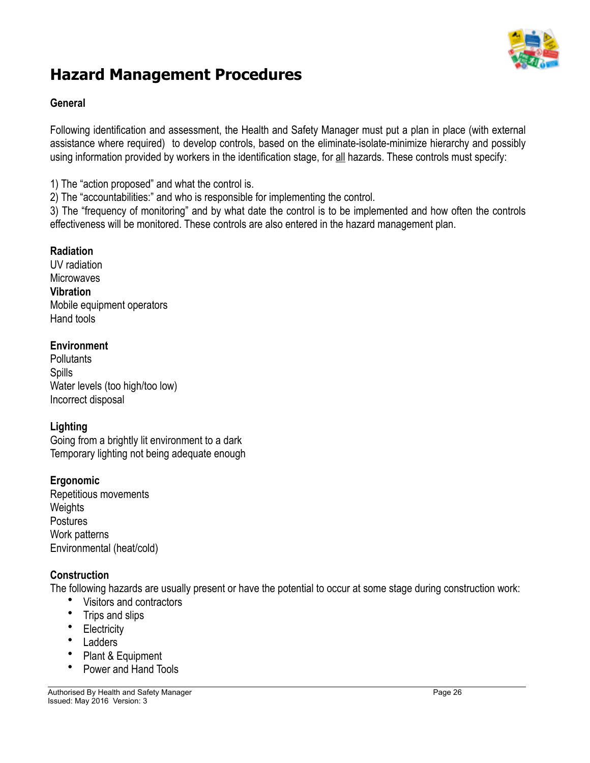

## **Hazard Management Procedures**

#### **General**

Following identification and assessment, the Health and Safety Manager must put a plan in place (with external assistance where required) to develop controls, based on the eliminate-isolate-minimize hierarchy and possibly using information provided by workers in the identification stage, for all hazards. These controls must specify:

1) The "action proposed" and what the control is.

2) The "accountabilities:" and who is responsible for implementing the control.

3) The "frequency of monitoring" and by what date the control is to be implemented and how often the controls effectiveness will be monitored. These controls are also entered in the hazard management plan.

#### **Radiation**

UV radiation **Microwaves Vibration** Mobile equipment operators Hand tools

#### **Environment**

**Pollutants Spills** Water levels (too high/too low) Incorrect disposal

#### **Lighting**

Going from a brightly lit environment to a dark Temporary lighting not being adequate enough

#### **Ergonomic**

Repetitious movements **Weights Postures** Work patterns Environmental (heat/cold)

#### **Construction**

The following hazards are usually present or have the potential to occur at some stage during construction work:

- Visitors and contractors
- Trips and slips
- Electricity
- **Ladders**
- Plant & Equipment
- Power and Hand Tools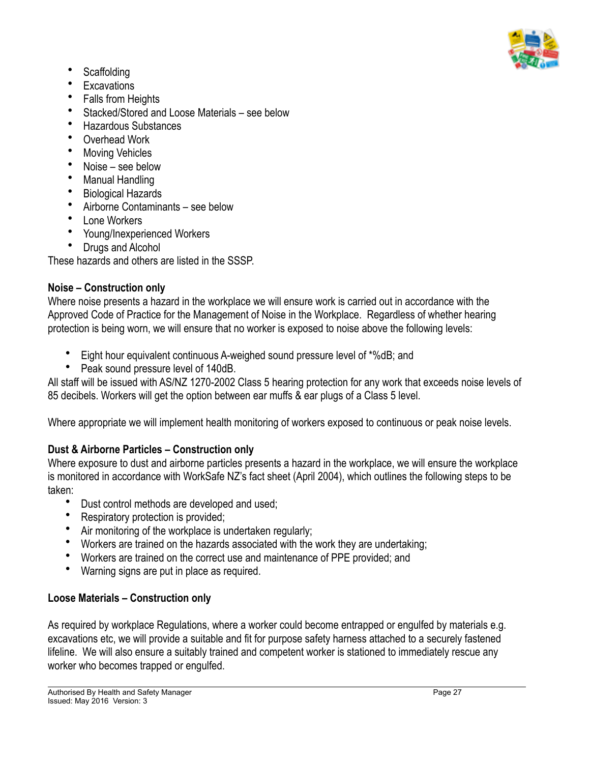

- Scaffolding
- **Excavations**
- Falls from Heights
- Stacked/Stored and Loose Materials see below
- Hazardous Substances
- Overhead Work
- **Moving Vehicles**
- Noise see below
- Manual Handling
- Biological Hazards
- Airborne Contaminants see below
- Lone Workers
- Young/Inexperienced Workers
- Drugs and Alcohol

These hazards and others are listed in the SSSP.

#### **Noise – Construction only**

Where noise presents a hazard in the workplace we will ensure work is carried out in accordance with the Approved Code of Practice for the Management of Noise in the Workplace. Regardless of whether hearing protection is being worn, we will ensure that no worker is exposed to noise above the following levels:

- Eight hour equivalent continuous A-weighed sound pressure level of \*%dB; and
- Peak sound pressure level of 140dB.

All staff will be issued with AS/NZ 1270-2002 Class 5 hearing protection for any work that exceeds noise levels of 85 decibels. Workers will get the option between ear muffs & ear plugs of a Class 5 level.

Where appropriate we will implement health monitoring of workers exposed to continuous or peak noise levels.

## **Dust & Airborne Particles – Construction only**

Where exposure to dust and airborne particles presents a hazard in the workplace, we will ensure the workplace is monitored in accordance with WorkSafe NZ's fact sheet (April 2004), which outlines the following steps to be taken:

- Dust control methods are developed and used;
- Respiratory protection is provided;
- Air monitoring of the workplace is undertaken regularly;
- Workers are trained on the hazards associated with the work they are undertaking;
- Workers are trained on the correct use and maintenance of PPE provided; and
- Warning signs are put in place as required.

## **Loose Materials – Construction only**

As required by workplace Regulations, where a worker could become entrapped or engulfed by materials e.g. excavations etc, we will provide a suitable and fit for purpose safety harness attached to a securely fastened lifeline. We will also ensure a suitably trained and competent worker is stationed to immediately rescue any worker who becomes trapped or engulfed.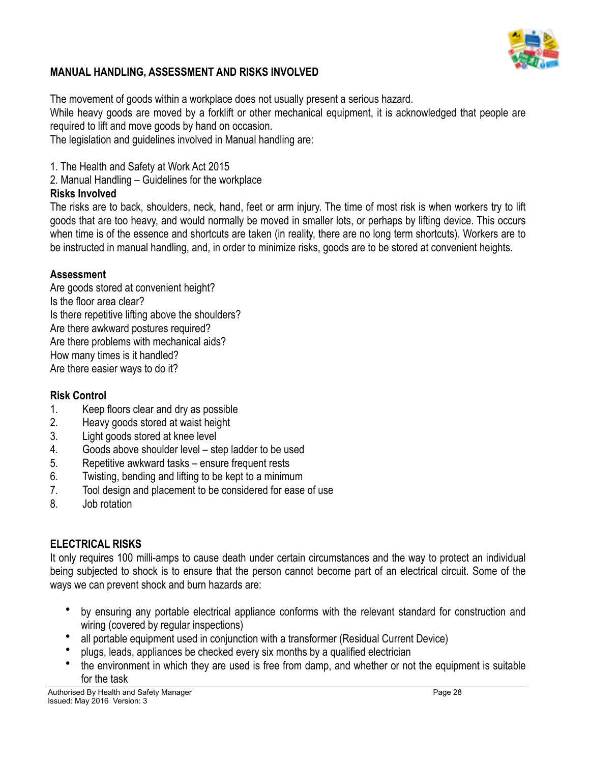

#### **MANUAL HANDLING, ASSESSMENT AND RISKS INVOLVED**

The movement of goods within a workplace does not usually present a serious hazard. While heavy goods are moved by a forklift or other mechanical equipment, it is acknowledged that people are required to lift and move goods by hand on occasion.

The legislation and guidelines involved in Manual handling are:

1. The Health and Safety at Work Act 2015

2. Manual Handling – Guidelines for the workplace

#### **Risks Involved**

The risks are to back, shoulders, neck, hand, feet or arm injury. The time of most risk is when workers try to lift goods that are too heavy, and would normally be moved in smaller lots, or perhaps by lifting device. This occurs when time is of the essence and shortcuts are taken (in reality, there are no long term shortcuts). Workers are to be instructed in manual handling, and, in order to minimize risks, goods are to be stored at convenient heights.

#### **Assessment**

Are goods stored at convenient height? Is the floor area clear? Is there repetitive lifting above the shoulders? Are there awkward postures required? Are there problems with mechanical aids? How many times is it handled? Are there easier ways to do it?

#### **Risk Control**

- 1. Keep floors clear and dry as possible
- 2. Heavy goods stored at waist height
- 3. Light goods stored at knee level
- 4. Goods above shoulder level step ladder to be used
- 5. Repetitive awkward tasks ensure frequent rests
- 6. Twisting, bending and lifting to be kept to a minimum
- 7. Tool design and placement to be considered for ease of use
- 8. Job rotation

#### **ELECTRICAL RISKS**

It only requires 100 milli-amps to cause death under certain circumstances and the way to protect an individual being subjected to shock is to ensure that the person cannot become part of an electrical circuit. Some of the ways we can prevent shock and burn hazards are:

- by ensuring any portable electrical appliance conforms with the relevant standard for construction and wiring (covered by regular inspections)
- all portable equipment used in conjunction with a transformer (Residual Current Device)
- plugs, leads, appliances be checked every six months by a qualified electrician
- the environment in which they are used is free from damp, and whether or not the equipment is suitable for the task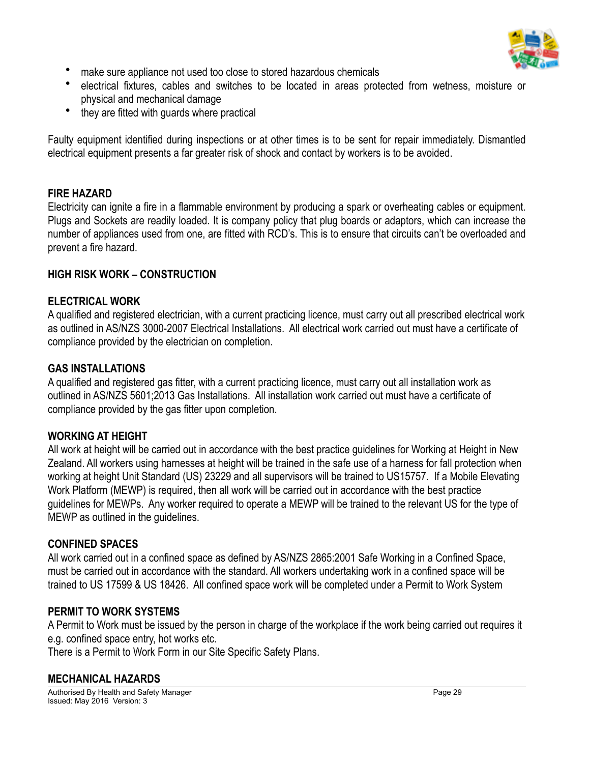

- make sure appliance not used too close to stored hazardous chemicals
- electrical fixtures, cables and switches to be located in areas protected from wetness, moisture or physical and mechanical damage
- they are fitted with quards where practical

Faulty equipment identified during inspections or at other times is to be sent for repair immediately. Dismantled electrical equipment presents a far greater risk of shock and contact by workers is to be avoided.

#### **FIRE HAZARD**

Electricity can ignite a fire in a flammable environment by producing a spark or overheating cables or equipment. Plugs and Sockets are readily loaded. It is company policy that plug boards or adaptors, which can increase the number of appliances used from one, are fitted with RCD's. This is to ensure that circuits can't be overloaded and prevent a fire hazard.

#### **HIGH RISK WORK – CONSTRUCTION**

#### **ELECTRICAL WORK**

A qualified and registered electrician, with a current practicing licence, must carry out all prescribed electrical work as outlined in AS/NZS 3000-2007 Electrical Installations. All electrical work carried out must have a certificate of compliance provided by the electrician on completion.

#### **GAS INSTALLATIONS**

A qualified and registered gas fitter, with a current practicing licence, must carry out all installation work as outlined in AS/NZS 5601;2013 Gas Installations. All installation work carried out must have a certificate of compliance provided by the gas fitter upon completion.

#### **WORKING AT HEIGHT**

All work at height will be carried out in accordance with the best practice guidelines for Working at Height in New Zealand. All workers using harnesses at height will be trained in the safe use of a harness for fall protection when working at height Unit Standard (US) 23229 and all supervisors will be trained to US15757. If a Mobile Elevating Work Platform (MEWP) is required, then all work will be carried out in accordance with the best practice guidelines for MEWPs. Any worker required to operate a MEWP will be trained to the relevant US for the type of MEWP as outlined in the guidelines.

#### **CONFINED SPACES**

All work carried out in a confined space as defined by AS/NZS 2865:2001 Safe Working in a Confined Space, must be carried out in accordance with the standard. All workers undertaking work in a confined space will be trained to US 17599 & US 18426. All confined space work will be completed under a Permit to Work System

#### **PERMIT TO WORK SYSTEMS**

A Permit to Work must be issued by the person in charge of the workplace if the work being carried out requires it e.g. confined space entry, hot works etc.

There is a Permit to Work Form in our Site Specific Safety Plans.

#### **MECHANICAL HAZARDS**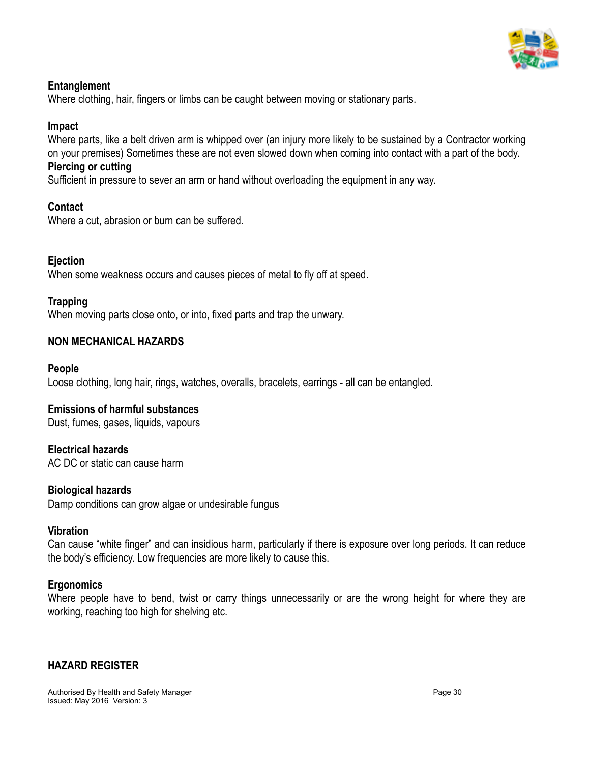

#### **Entanglement**

Where clothing, hair, fingers or limbs can be caught between moving or stationary parts.

#### **Impact**

Where parts, like a belt driven arm is whipped over (an injury more likely to be sustained by a Contractor working on your premises) Sometimes these are not even slowed down when coming into contact with a part of the body.

#### **Piercing or cutting**

Sufficient in pressure to sever an arm or hand without overloading the equipment in any way.

#### **Contact**

Where a cut, abrasion or burn can be suffered.

#### **Ejection**

When some weakness occurs and causes pieces of metal to fly off at speed.

#### **Trapping**

When moving parts close onto, or into, fixed parts and trap the unwary.

#### **NON MECHANICAL HAZARDS**

#### **People**

Loose clothing, long hair, rings, watches, overalls, bracelets, earrings - all can be entangled.

#### **Emissions of harmful substances**

Dust, fumes, gases, liquids, vapours

#### **Electrical hazards**

AC DC or static can cause harm

#### **Biological hazards**

Damp conditions can grow algae or undesirable fungus

#### **Vibration**

Can cause "white finger" and can insidious harm, particularly if there is exposure over long periods. It can reduce the body's efficiency. Low frequencies are more likely to cause this.

#### **Ergonomics**

Where people have to bend, twist or carry things unnecessarily or are the wrong height for where they are working, reaching too high for shelving etc.

#### **HAZARD REGISTER**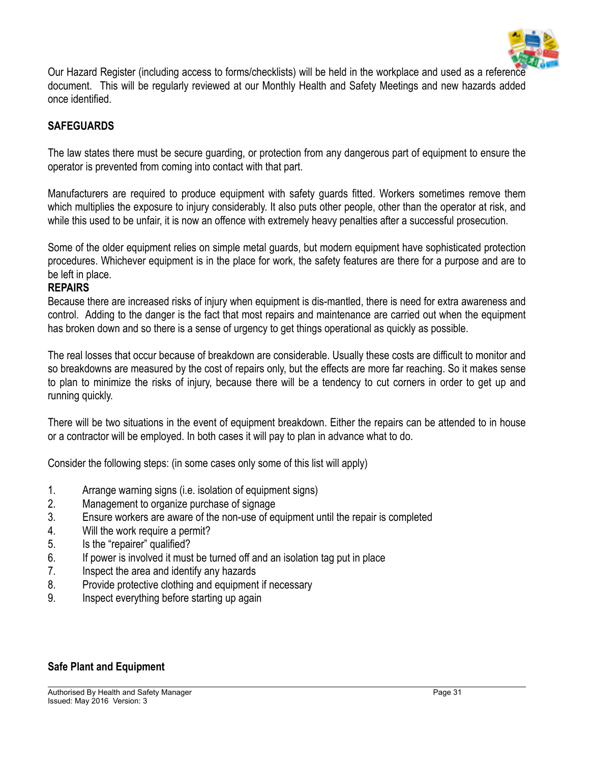

Our Hazard Register (including access to forms/checklists) will be held in the workplace and used as a reference document. This will be regularly reviewed at our Monthly Health and Safety Meetings and new hazards added once identified.

#### **SAFEGUARDS**

The law states there must be secure guarding, or protection from any dangerous part of equipment to ensure the operator is prevented from coming into contact with that part.

Manufacturers are required to produce equipment with safety guards fitted. Workers sometimes remove them which multiplies the exposure to injury considerably. It also puts other people, other than the operator at risk, and while this used to be unfair, it is now an offence with extremely heavy penalties after a successful prosecution.

Some of the older equipment relies on simple metal guards, but modern equipment have sophisticated protection procedures. Whichever equipment is in the place for work, the safety features are there for a purpose and are to be left in place.

#### **REPAIRS**

Because there are increased risks of injury when equipment is dis-mantled, there is need for extra awareness and control. Adding to the danger is the fact that most repairs and maintenance are carried out when the equipment has broken down and so there is a sense of urgency to get things operational as quickly as possible.

The real losses that occur because of breakdown are considerable. Usually these costs are difficult to monitor and so breakdowns are measured by the cost of repairs only, but the effects are more far reaching. So it makes sense to plan to minimize the risks of injury, because there will be a tendency to cut corners in order to get up and running quickly.

There will be two situations in the event of equipment breakdown. Either the repairs can be attended to in house or a contractor will be employed. In both cases it will pay to plan in advance what to do.

Consider the following steps: (in some cases only some of this list will apply)

- 1. Arrange warning signs (i.e. isolation of equipment signs)
- 2. Management to organize purchase of signage
- 3. Ensure workers are aware of the non-use of equipment until the repair is completed
- 4. Will the work require a permit?
- 5. Is the "repairer" qualified?
- 6. If power is involved it must be turned off and an isolation tag put in place
- 7. Inspect the area and identify any hazards
- 8. Provide protective clothing and equipment if necessary
- 9. Inspect everything before starting up again

#### **Safe Plant and Equipment**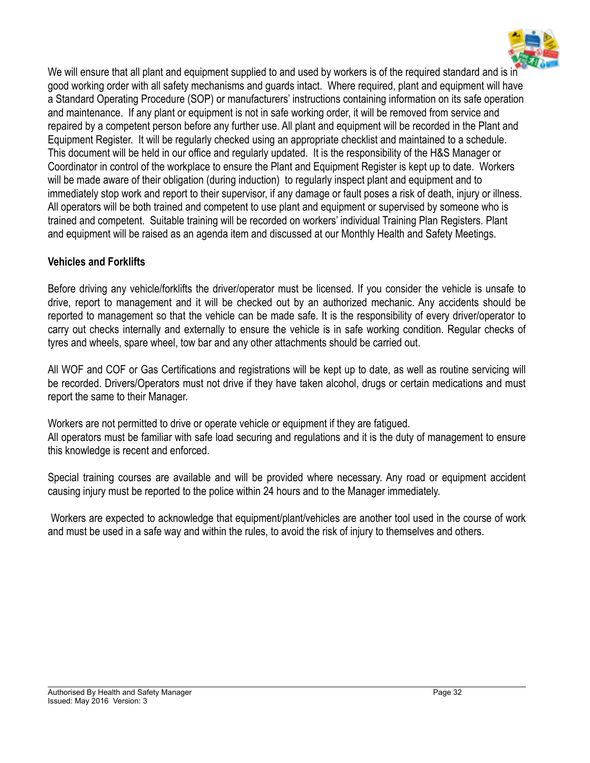

We will ensure that all plant and equipment supplied to and used by workers is of the required standard and is in good working order with all safety mechanisms and guards intact. Where required, plant and equipment will have a Standard Operating Procedure (SOP) or manufacturers' instructions containing information on its safe operation and maintenance. If any plant or equipment is not in safe working order, it will be removed from service and repaired by a competent person before any further use. All plant and equipment will be recorded in the Plant and Equipment Register. It will be regularly checked using an appropriate checklist and maintained to a schedule. This document will be held in our office and regularly updated. It is the responsibility of the H&S Manager or Coordinator in control of the workplace to ensure the Plant and Equipment Register is kept up to date. Workers will be made aware of their obligation (during induction) to regularly inspect plant and equipment and to immediately stop work and report to their supervisor, if any damage or fault poses a risk of death, injury or illness. All operators will be both trained and competent to use plant and equipment or supervised by someone who is trained and competent. Suitable training will be recorded on workers' individual Training Plan Registers. Plant and equipment will be raised as an agenda item and discussed at our Monthly Health and Safety Meetings.

#### **Vehicles and Forklifts**

Before driving any vehicle/forklifts the driver/operator must be licensed. If you consider the vehicle is unsafe to drive, report to management and it will be checked out by an authorized mechanic. Any accidents should be reported to management so that the vehicle can be made safe. It is the responsibility of every driver/operator to carry out checks internally and externally to ensure the vehicle is in safe working condition. Regular checks of tyres and wheels, spare wheel, tow bar and any other attachments should be carried out.

All WOF and COF or Gas Certifications and registrations will be kept up to date, as well as routine servicing will be recorded. Drivers/Operators must not drive if they have taken alcohol, drugs or certain medications and must report the same to their Manager.

Workers are not permitted to drive or operate vehicle or equipment if they are fatigued. All operators must be familiar with safe load securing and regulations and it is the duty of management to ensure this knowledge is recent and enforced.

Special training courses are available and will be provided where necessary. Any road or equipment accident causing injury must be reported to the police within 24 hours and to the Manager immediately.

 Workers are expected to acknowledge that equipment/plant/vehicles are another tool used in the course of work and must be used in a safe way and within the rules, to avoid the risk of injury to themselves and others.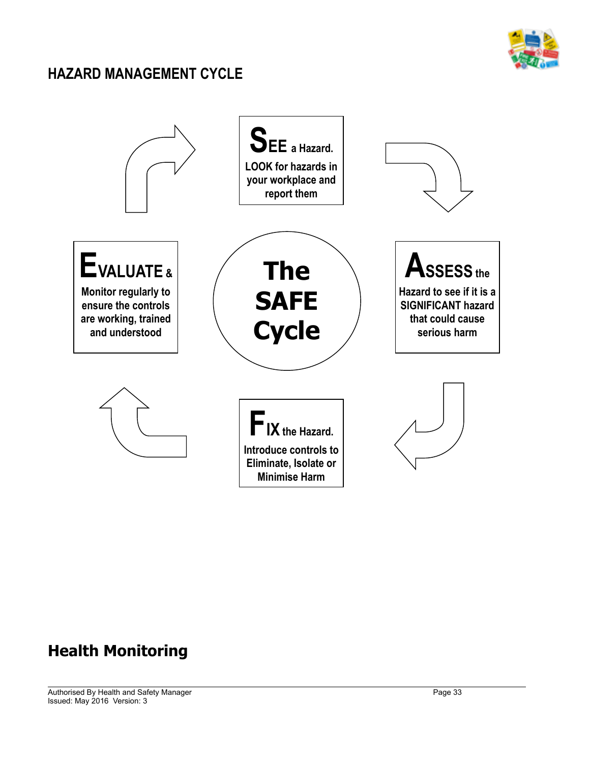

### **HAZARD MANAGEMENT CYCLE**



## **Health Monitoring**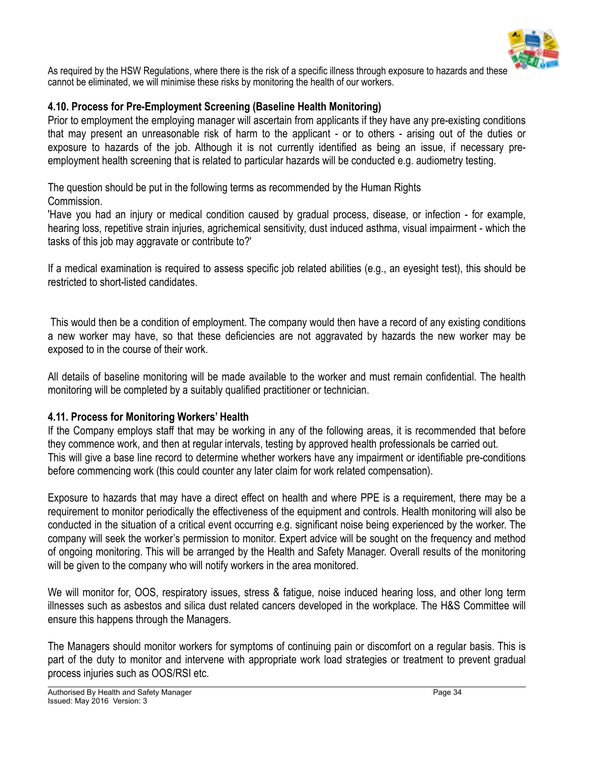![](_page_33_Picture_0.jpeg)

As required by the HSW Regulations, where there is the risk of a specific illness through exposure to hazards and these cannot be eliminated, we will minimise these risks by monitoring the health of our workers.

#### **4.10. Process for Pre-Employment Screening (Baseline Health Monitoring)**

Prior to employment the employing manager will ascertain from applicants if they have any pre-existing conditions that may present an unreasonable risk of harm to the applicant - or to others - arising out of the duties or exposure to hazards of the job. Although it is not currently identified as being an issue, if necessary preemployment health screening that is related to particular hazards will be conducted e.g. audiometry testing.

The question should be put in the following terms as recommended by the Human Rights Commission.

'Have you had an injury or medical condition caused by gradual process, disease, or infection - for example, hearing loss, repetitive strain injuries, agrichemical sensitivity, dust induced asthma, visual impairment - which the tasks of this job may aggravate or contribute to?'

If a medical examination is required to assess specific job related abilities (e.g., an eyesight test), this should be restricted to short-listed candidates.

 This would then be a condition of employment. The company would then have a record of any existing conditions a new worker may have, so that these deficiencies are not aggravated by hazards the new worker may be exposed to in the course of their work.

All details of baseline monitoring will be made available to the worker and must remain confidential. The health monitoring will be completed by a suitably qualified practitioner or technician.

#### **4.11. Process for Monitoring Workers' Health**

If the Company employs staff that may be working in any of the following areas, it is recommended that before they commence work, and then at regular intervals, testing by approved health professionals be carried out. This will give a base line record to determine whether workers have any impairment or identifiable pre-conditions before commencing work (this could counter any later claim for work related compensation).

Exposure to hazards that may have a direct effect on health and where PPE is a requirement, there may be a requirement to monitor periodically the effectiveness of the equipment and controls. Health monitoring will also be conducted in the situation of a critical event occurring e.g. significant noise being experienced by the worker. The company will seek the worker's permission to monitor. Expert advice will be sought on the frequency and method of ongoing monitoring. This will be arranged by the Health and Safety Manager. Overall results of the monitoring will be given to the company who will notify workers in the area monitored.

We will monitor for, OOS, respiratory issues, stress & fatigue, noise induced hearing loss, and other long term illnesses such as asbestos and silica dust related cancers developed in the workplace. The H&S Committee will ensure this happens through the Managers.

The Managers should monitor workers for symptoms of continuing pain or discomfort on a regular basis. This is part of the duty to monitor and intervene with appropriate work load strategies or treatment to prevent gradual process injuries such as OOS/RSI etc.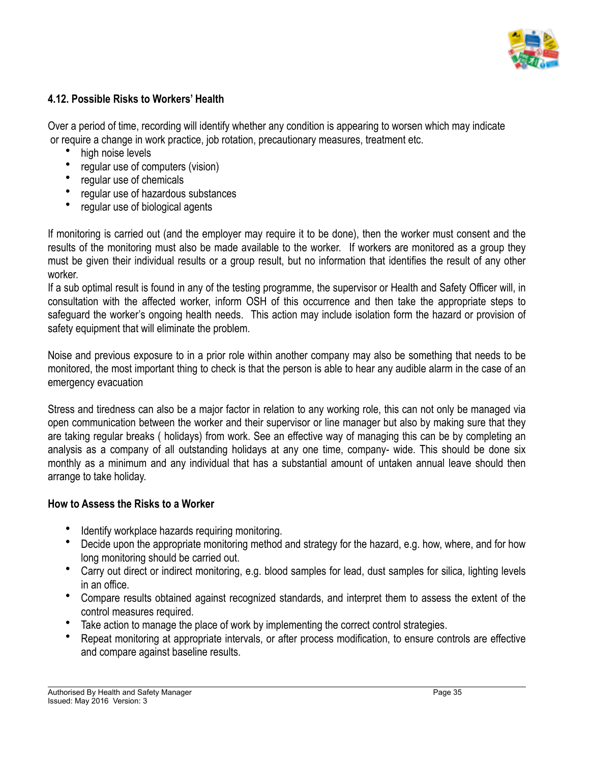![](_page_34_Picture_0.jpeg)

#### **4.12. Possible Risks to Workers' Health**

Over a period of time, recording will identify whether any condition is appearing to worsen which may indicate or require a change in work practice, job rotation, precautionary measures, treatment etc.

- high noise levels
- regular use of computers (vision)
- regular use of chemicals
- regular use of hazardous substances
- regular use of biological agents

If monitoring is carried out (and the employer may require it to be done), then the worker must consent and the results of the monitoring must also be made available to the worker. If workers are monitored as a group they must be given their individual results or a group result, but no information that identifies the result of any other worker.

If a sub optimal result is found in any of the testing programme, the supervisor or Health and Safety Officer will, in consultation with the affected worker, inform OSH of this occurrence and then take the appropriate steps to safeguard the worker's ongoing health needs. This action may include isolation form the hazard or provision of safety equipment that will eliminate the problem.

Noise and previous exposure to in a prior role within another company may also be something that needs to be monitored, the most important thing to check is that the person is able to hear any audible alarm in the case of an emergency evacuation

Stress and tiredness can also be a major factor in relation to any working role, this can not only be managed via open communication between the worker and their supervisor or line manager but also by making sure that they are taking regular breaks ( holidays) from work. See an effective way of managing this can be by completing an analysis as a company of all outstanding holidays at any one time, company- wide. This should be done six monthly as a minimum and any individual that has a substantial amount of untaken annual leave should then arrange to take holiday.

#### **How to Assess the Risks to a Worker**

- Identify workplace hazards requiring monitoring.
- Decide upon the appropriate monitoring method and strategy for the hazard, e.g. how, where, and for how long monitoring should be carried out.
- Carry out direct or indirect monitoring, e.g. blood samples for lead, dust samples for silica, lighting levels in an office.
- Compare results obtained against recognized standards, and interpret them to assess the extent of the control measures required.
- Take action to manage the place of work by implementing the correct control strategies.
- Repeat monitoring at appropriate intervals, or after process modification, to ensure controls are effective and compare against baseline results.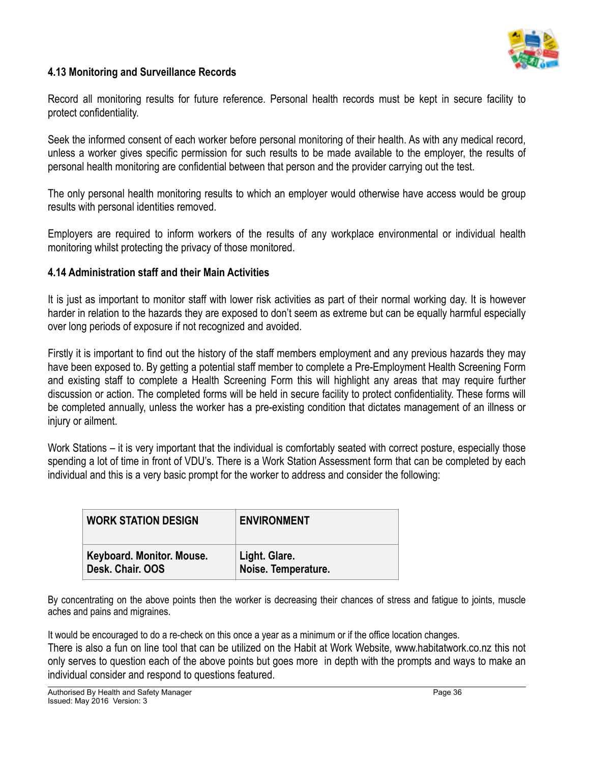![](_page_35_Picture_0.jpeg)

#### **4.13 Monitoring and Surveillance Records**

Record all monitoring results for future reference. Personal health records must be kept in secure facility to protect confidentiality.

Seek the informed consent of each worker before personal monitoring of their health. As with any medical record, unless a worker gives specific permission for such results to be made available to the employer, the results of personal health monitoring are confidential between that person and the provider carrying out the test.

The only personal health monitoring results to which an employer would otherwise have access would be group results with personal identities removed.

Employers are required to inform workers of the results of any workplace environmental or individual health monitoring whilst protecting the privacy of those monitored.

#### **4.14 Administration staff and their Main Activities**

It is just as important to monitor staff with lower risk activities as part of their normal working day. It is however harder in relation to the hazards they are exposed to don't seem as extreme but can be equally harmful especially over long periods of exposure if not recognized and avoided.

Firstly it is important to find out the history of the staff members employment and any previous hazards they may have been exposed to. By getting a potential staff member to complete a Pre-Employment Health Screening Form and existing staff to complete a Health Screening Form this will highlight any areas that may require further discussion or action. The completed forms will be held in secure facility to protect confidentiality. These forms will be completed annually, unless the worker has a pre-existing condition that dictates management of an illness or injury or ailment.

Work Stations – it is very important that the individual is comfortably seated with correct posture, especially those spending a lot of time in front of VDU's. There is a Work Station Assessment form that can be completed by each individual and this is a very basic prompt for the worker to address and consider the following:

| <b>WORK STATION DESIGN</b> | <b>ENVIRONMENT</b>  |
|----------------------------|---------------------|
| Keyboard. Monitor. Mouse.  | Light. Glare.       |
| Desk. Chair. OOS           | Noise. Temperature. |

By concentrating on the above points then the worker is decreasing their chances of stress and fatigue to joints, muscle aches and pains and migraines.

It would be encouraged to do a re-check on this once a year as a minimum or if the office location changes. There is also a fun on line tool that can be utilized on the Habit at Work Website, www.habitatwork.co.nz this not only serves to question each of the above points but goes more in depth with the prompts and ways to make an individual consider and respond to questions featured.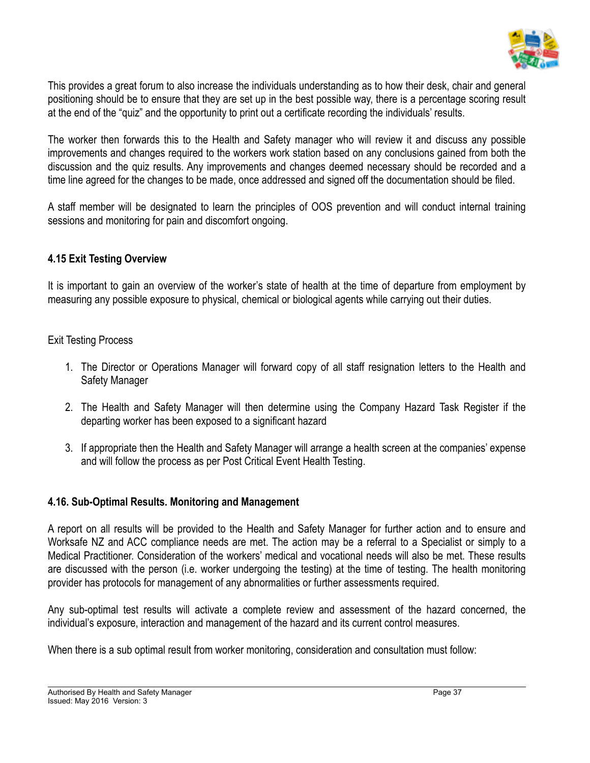

This provides a great forum to also increase the individuals understanding as to how their desk, chair and general positioning should be to ensure that they are set up in the best possible way, there is a percentage scoring result at the end of the "quiz" and the opportunity to print out a certificate recording the individuals' results.

The worker then forwards this to the Health and Safety manager who will review it and discuss any possible improvements and changes required to the workers work station based on any conclusions gained from both the discussion and the quiz results. Any improvements and changes deemed necessary should be recorded and a time line agreed for the changes to be made, once addressed and signed off the documentation should be filed.

A staff member will be designated to learn the principles of OOS prevention and will conduct internal training sessions and monitoring for pain and discomfort ongoing.

#### **4.15 Exit Testing Overview**

It is important to gain an overview of the worker's state of health at the time of departure from employment by measuring any possible exposure to physical, chemical or biological agents while carrying out their duties.

#### Exit Testing Process

- 1. The Director or Operations Manager will forward copy of all staff resignation letters to the Health and Safety Manager
- 2. The Health and Safety Manager will then determine using the Company Hazard Task Register if the departing worker has been exposed to a significant hazard
- 3. If appropriate then the Health and Safety Manager will arrange a health screen at the companies' expense and will follow the process as per Post Critical Event Health Testing.

#### **4.16. Sub-Optimal Results. Monitoring and Management**

A report on all results will be provided to the Health and Safety Manager for further action and to ensure and Worksafe NZ and ACC compliance needs are met. The action may be a referral to a Specialist or simply to a Medical Practitioner. Consideration of the workers' medical and vocational needs will also be met. These results are discussed with the person (i.e. worker undergoing the testing) at the time of testing. The health monitoring provider has protocols for management of any abnormalities or further assessments required.

Any sub-optimal test results will activate a complete review and assessment of the hazard concerned, the individual's exposure, interaction and management of the hazard and its current control measures.

When there is a sub optimal result from worker monitoring, consideration and consultation must follow: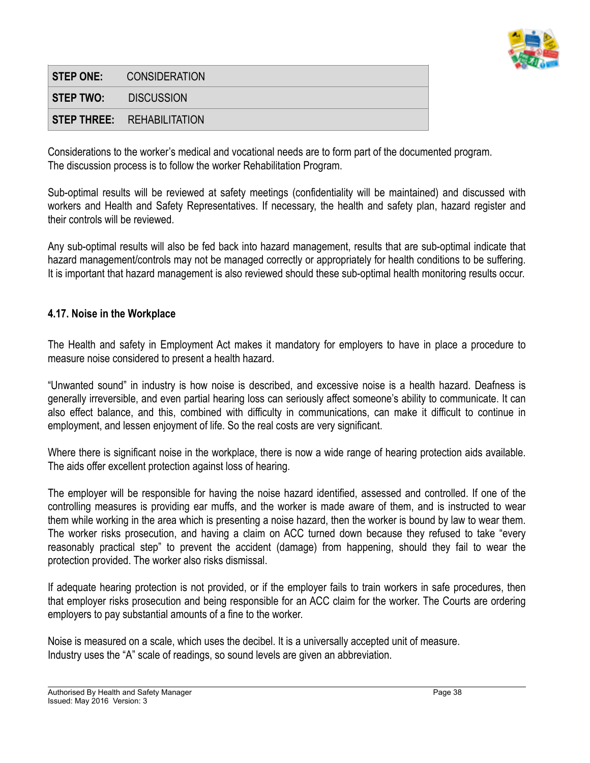

|                             | <b>STEP ONE: CONSIDERATION</b>    |
|-----------------------------|-----------------------------------|
| <b>STEP TWO: DISCUSSION</b> |                                   |
|                             | <b>STEP THREE: REHABILITATION</b> |

Considerations to the worker's medical and vocational needs are to form part of the documented program. The discussion process is to follow the worker Rehabilitation Program.

Sub-optimal results will be reviewed at safety meetings (confidentiality will be maintained) and discussed with workers and Health and Safety Representatives. If necessary, the health and safety plan, hazard register and their controls will be reviewed.

Any sub-optimal results will also be fed back into hazard management, results that are sub-optimal indicate that hazard management/controls may not be managed correctly or appropriately for health conditions to be suffering. It is important that hazard management is also reviewed should these sub-optimal health monitoring results occur.

#### **4.17. Noise in the Workplace**

The Health and safety in Employment Act makes it mandatory for employers to have in place a procedure to measure noise considered to present a health hazard.

"Unwanted sound" in industry is how noise is described, and excessive noise is a health hazard. Deafness is generally irreversible, and even partial hearing loss can seriously affect someone's ability to communicate. It can also effect balance, and this, combined with difficulty in communications, can make it difficult to continue in employment, and lessen enjoyment of life. So the real costs are very significant.

Where there is significant noise in the workplace, there is now a wide range of hearing protection aids available. The aids offer excellent protection against loss of hearing.

The employer will be responsible for having the noise hazard identified, assessed and controlled. If one of the controlling measures is providing ear muffs, and the worker is made aware of them, and is instructed to wear them while working in the area which is presenting a noise hazard, then the worker is bound by law to wear them. The worker risks prosecution, and having a claim on ACC turned down because they refused to take "every reasonably practical step" to prevent the accident (damage) from happening, should they fail to wear the protection provided. The worker also risks dismissal.

If adequate hearing protection is not provided, or if the employer fails to train workers in safe procedures, then that employer risks prosecution and being responsible for an ACC claim for the worker. The Courts are ordering employers to pay substantial amounts of a fine to the worker.

Noise is measured on a scale, which uses the decibel. It is a universally accepted unit of measure. Industry uses the "A" scale of readings, so sound levels are given an abbreviation.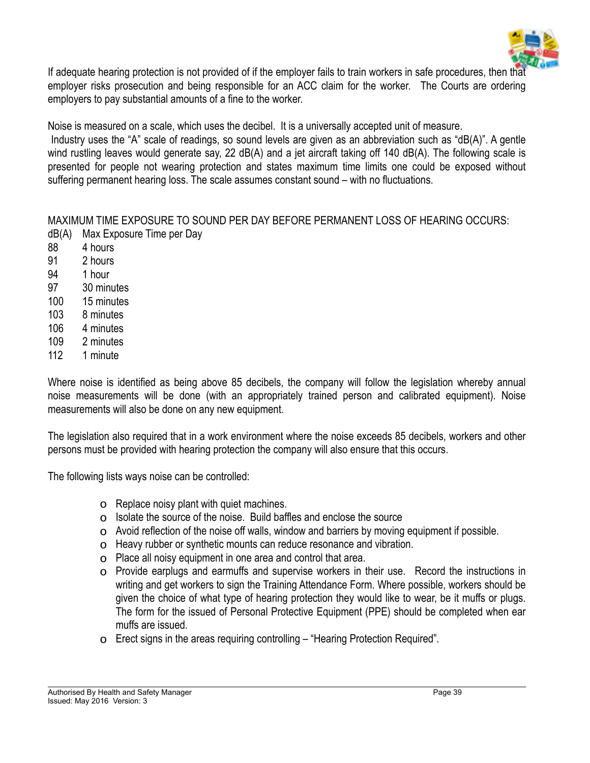

If adequate hearing protection is not provided of if the employer fails to train workers in safe procedures, then that employer risks prosecution and being responsible for an ACC claim for the worker. The Courts are ordering employers to pay substantial amounts of a fine to the worker.

Noise is measured on a scale, which uses the decibel. It is a universally accepted unit of measure.

 Industry uses the "A" scale of readings, so sound levels are given as an abbreviation such as "dB(A)". A gentle wind rustling leaves would generate say, 22 dB(A) and a jet aircraft taking off 140 dB(A). The following scale is presented for people not wearing protection and states maximum time limits one could be exposed without suffering permanent hearing loss. The scale assumes constant sound – with no fluctuations.

MAXIMUM TIME EXPOSURE TO SOUND PER DAY BEFORE PERMANENT LOSS OF HEARING OCCURS: dB(A) Max Exposure Time per Day

- 88 4 hours
- 91 2 hours
- 94 1 hour
- 97 30 minutes
- 100 15 minutes
- 103 8 minutes
- 106 4 minutes
- 109 2 minutes
- 112 1 minute

Where noise is identified as being above 85 decibels, the company will follow the legislation whereby annual noise measurements will be done (with an appropriately trained person and calibrated equipment). Noise measurements will also be done on any new equipment.

The legislation also required that in a work environment where the noise exceeds 85 decibels, workers and other persons must be provided with hearing protection the company will also ensure that this occurs.

The following lists ways noise can be controlled:

- o Replace noisy plant with quiet machines.
- o Isolate the source of the noise. Build baffles and enclose the source
- o Avoid reflection of the noise off walls, window and barriers by moving equipment if possible.
- o Heavy rubber or synthetic mounts can reduce resonance and vibration.
- o Place all noisy equipment in one area and control that area.
- o Provide earplugs and earmuffs and supervise workers in their use. Record the instructions in writing and get workers to sign the Training Attendance Form. Where possible, workers should be given the choice of what type of hearing protection they would like to wear, be it muffs or plugs. The form for the issued of Personal Protective Equipment (PPE) should be completed when ear muffs are issued.
- o Erect signs in the areas requiring controlling "Hearing Protection Required".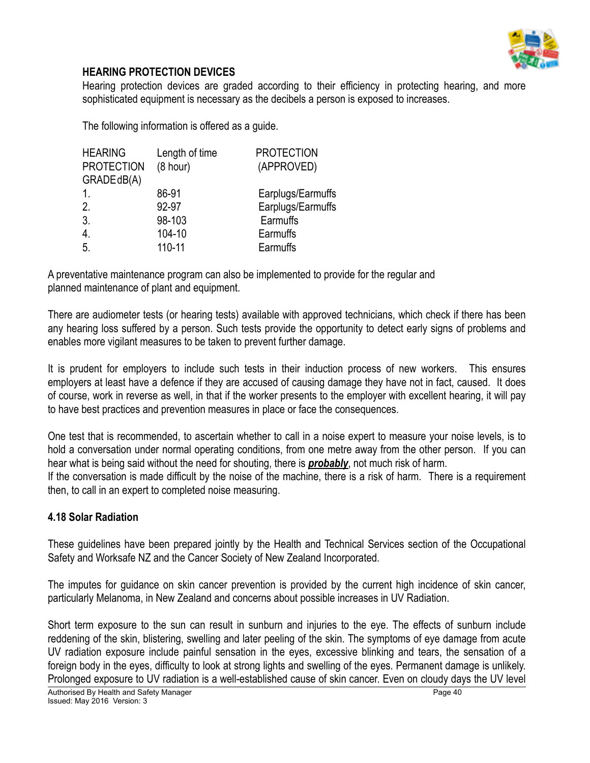

### **HEARING PROTECTION DEVICES**

Hearing protection devices are graded according to their efficiency in protecting hearing, and more sophisticated equipment is necessary as the decibels a person is exposed to increases.

The following information is offered as a guide.

| Length of time | <b>PROTECTION</b> |
|----------------|-------------------|
| (8 hour)       | (APPROVED)        |
|                |                   |
| 86-91          | Earplugs/Earmuffs |
| 92-97          | Earplugs/Earmuffs |
| 98-103         | Earmuffs          |
| 104-10         | Earmuffs          |
| 110-11         | Earmuffs          |
|                |                   |

A preventative maintenance program can also be implemented to provide for the regular and planned maintenance of plant and equipment.

There are audiometer tests (or hearing tests) available with approved technicians, which check if there has been any hearing loss suffered by a person. Such tests provide the opportunity to detect early signs of problems and enables more vigilant measures to be taken to prevent further damage.

It is prudent for employers to include such tests in their induction process of new workers. This ensures employers at least have a defence if they are accused of causing damage they have not in fact, caused. It does of course, work in reverse as well, in that if the worker presents to the employer with excellent hearing, it will pay to have best practices and prevention measures in place or face the consequences.

One test that is recommended, to ascertain whether to call in a noise expert to measure your noise levels, is to hold a conversation under normal operating conditions, from one metre away from the other person. If you can hear what is being said without the need for shouting, there is *probably*, not much risk of harm.

If the conversation is made difficult by the noise of the machine, there is a risk of harm. There is a requirement then, to call in an expert to completed noise measuring.

#### **4.18 Solar Radiation**

These guidelines have been prepared jointly by the Health and Technical Services section of the Occupational Safety and Worksafe NZ and the Cancer Society of New Zealand Incorporated.

The imputes for guidance on skin cancer prevention is provided by the current high incidence of skin cancer, particularly Melanoma, in New Zealand and concerns about possible increases in UV Radiation.

Short term exposure to the sun can result in sunburn and injuries to the eye. The effects of sunburn include reddening of the skin, blistering, swelling and later peeling of the skin. The symptoms of eye damage from acute UV radiation exposure include painful sensation in the eyes, excessive blinking and tears, the sensation of a foreign body in the eyes, difficulty to look at strong lights and swelling of the eyes. Permanent damage is unlikely. Prolonged exposure to UV radiation is a well-established cause of skin cancer. Even on cloudy days the UV level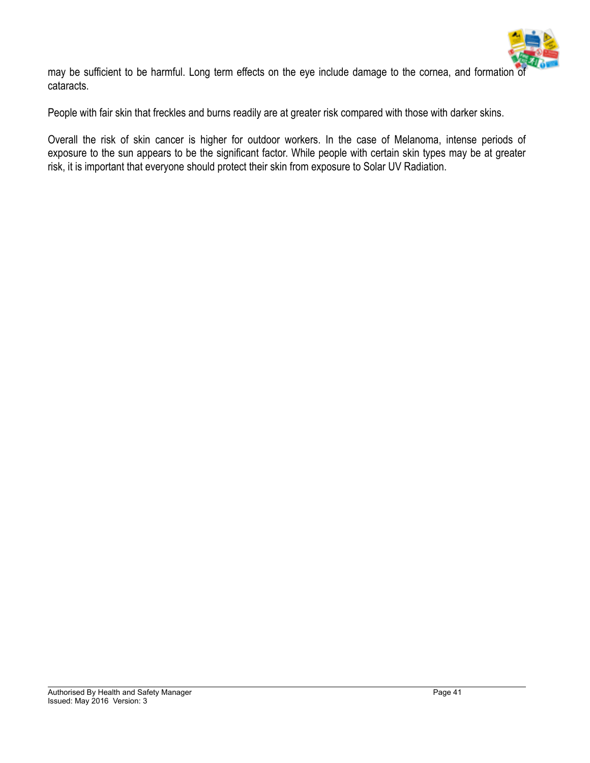

may be sufficient to be harmful. Long term effects on the eye include damage to the cornea, and formation of cataracts.

People with fair skin that freckles and burns readily are at greater risk compared with those with darker skins.

Overall the risk of skin cancer is higher for outdoor workers. In the case of Melanoma, intense periods of exposure to the sun appears to be the significant factor. While people with certain skin types may be at greater risk, it is important that everyone should protect their skin from exposure to Solar UV Radiation.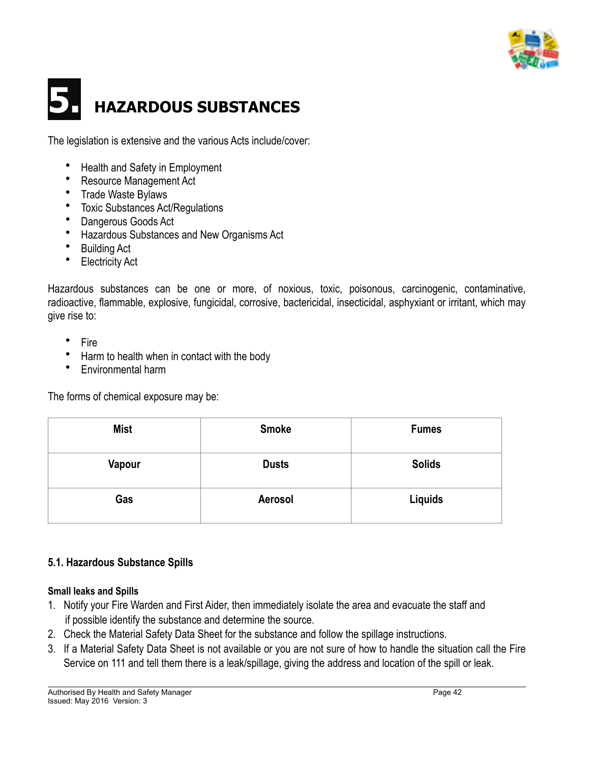

# **5. HAZARDOUS SUBSTANCES**

The legislation is extensive and the various Acts include/cover:

- Health and Safety in Employment
- Resource Management Act
- Trade Waste Bylaws
- Toxic Substances Act/Regulations
- Dangerous Goods Act
- Hazardous Substances and New Organisms Act
- Building Act
- **Electricity Act**

Hazardous substances can be one or more, of noxious, toxic, poisonous, carcinogenic, contaminative, radioactive, flammable, explosive, fungicidal, corrosive, bactericidal, insecticidal, asphyxiant or irritant, which may give rise to:

- **Fire**
- Harm to health when in contact with the body
- Environmental harm

The forms of chemical exposure may be:

| <b>Mist</b> | <b>Smoke</b> | <b>Fumes</b>  |
|-------------|--------------|---------------|
| Vapour      | <b>Dusts</b> | <b>Solids</b> |
| Gas         | Aerosol      | Liquids       |

## **5.1. Hazardous Substance Spills**

#### **Small leaks and Spills**

- 1. Notify your Fire Warden and First Aider, then immediately isolate the area and evacuate the staff and if possible identify the substance and determine the source.
- 2. Check the Material Safety Data Sheet for the substance and follow the spillage instructions.
- 3. If a Material Safety Data Sheet is not available or you are not sure of how to handle the situation call the Fire Service on 111 and tell them there is a leak/spillage, giving the address and location of the spill or leak.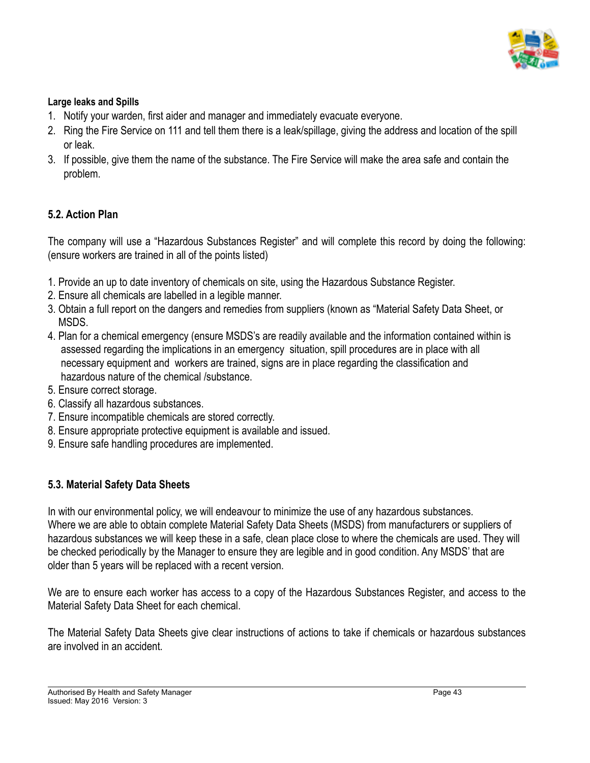

#### **Large leaks and Spills**

- 1. Notify your warden, first aider and manager and immediately evacuate everyone.
- 2. Ring the Fire Service on 111 and tell them there is a leak/spillage, giving the address and location of the spill or leak.
- 3. If possible, give them the name of the substance. The Fire Service will make the area safe and contain the problem.

#### **5.2. Action Plan**

The company will use a "Hazardous Substances Register" and will complete this record by doing the following: (ensure workers are trained in all of the points listed)

- 1. Provide an up to date inventory of chemicals on site, using the Hazardous Substance Register.
- 2. Ensure all chemicals are labelled in a legible manner.
- 3. Obtain a full report on the dangers and remedies from suppliers (known as "Material Safety Data Sheet, or MSDS.
- 4. Plan for a chemical emergency (ensure MSDS's are readily available and the information contained within is assessed regarding the implications in an emergency situation, spill procedures are in place with all necessary equipment and workers are trained, signs are in place regarding the classification and hazardous nature of the chemical /substance.
- 5. Ensure correct storage.
- 6. Classify all hazardous substances.
- 7. Ensure incompatible chemicals are stored correctly.
- 8. Ensure appropriate protective equipment is available and issued.
- 9. Ensure safe handling procedures are implemented.

#### **5.3. Material Safety Data Sheets**

In with our environmental policy, we will endeavour to minimize the use of any hazardous substances. Where we are able to obtain complete Material Safety Data Sheets (MSDS) from manufacturers or suppliers of hazardous substances we will keep these in a safe, clean place close to where the chemicals are used. They will be checked periodically by the Manager to ensure they are legible and in good condition. Any MSDS' that are older than 5 years will be replaced with a recent version.

We are to ensure each worker has access to a copy of the Hazardous Substances Register, and access to the Material Safety Data Sheet for each chemical.

The Material Safety Data Sheets give clear instructions of actions to take if chemicals or hazardous substances are involved in an accident.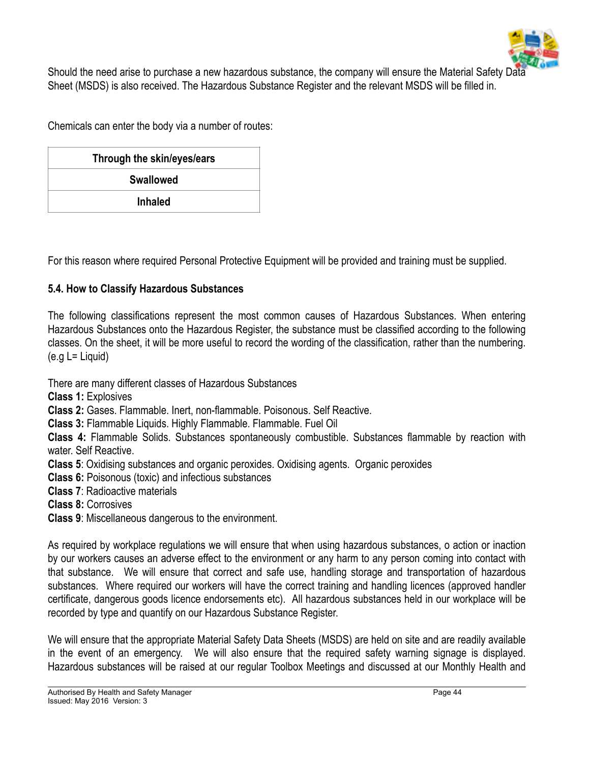

Should the need arise to purchase a new hazardous substance, the company will ensure the Material Safety Data Sheet (MSDS) is also received. The Hazardous Substance Register and the relevant MSDS will be filled in.

Chemicals can enter the body via a number of routes:

| Through the skin/eyes/ears |  |  |
|----------------------------|--|--|
| <b>Swallowed</b>           |  |  |
| <b>Inhaled</b>             |  |  |

For this reason where required Personal Protective Equipment will be provided and training must be supplied.

#### **5.4. How to Classify Hazardous Substances**

The following classifications represent the most common causes of Hazardous Substances. When entering Hazardous Substances onto the Hazardous Register, the substance must be classified according to the following classes. On the sheet, it will be more useful to record the wording of the classification, rather than the numbering.  $(e.g L = Liquid)$ 

There are many different classes of Hazardous Substances

**Class 1:** Explosives

**Class 2:** Gases. Flammable. Inert, non-flammable. Poisonous. Self Reactive.

**Class 3:** Flammable Liquids. Highly Flammable. Flammable. Fuel Oil

**Class 4:** Flammable Solids. Substances spontaneously combustible. Substances flammable by reaction with water. Self Reactive.

**Class 5**: Oxidising substances and organic peroxides. Oxidising agents. Organic peroxides

**Class 6:** Poisonous (toxic) and infectious substances

**Class 7**: Radioactive materials

**Class 8:** Corrosives

**Class 9**: Miscellaneous dangerous to the environment.

As required by workplace regulations we will ensure that when using hazardous substances, o action or inaction by our workers causes an adverse effect to the environment or any harm to any person coming into contact with that substance. We will ensure that correct and safe use, handling storage and transportation of hazardous substances. Where required our workers will have the correct training and handling licences (approved handler certificate, dangerous goods licence endorsements etc). All hazardous substances held in our workplace will be recorded by type and quantify on our Hazardous Substance Register.

We will ensure that the appropriate Material Safety Data Sheets (MSDS) are held on site and are readily available in the event of an emergency. We will also ensure that the required safety warning signage is displayed. Hazardous substances will be raised at our regular Toolbox Meetings and discussed at our Monthly Health and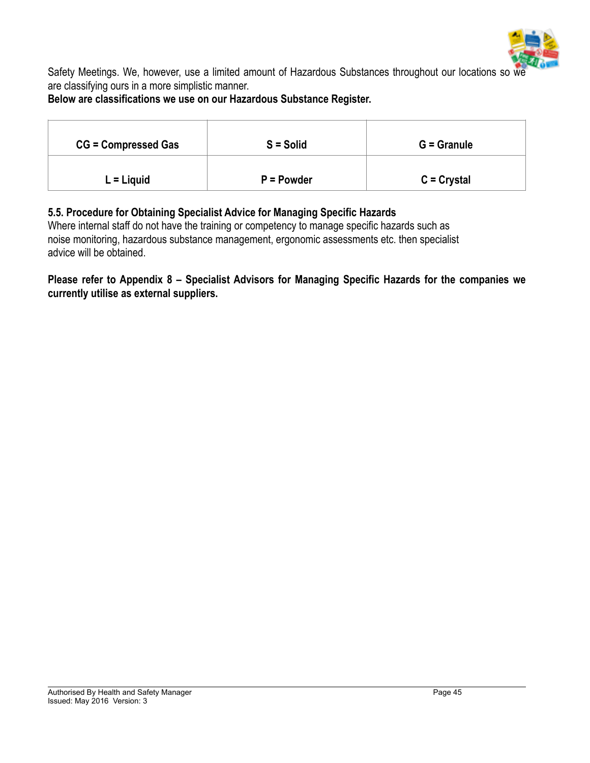

Safety Meetings. We, however, use a limited amount of Hazardous Substances throughout our locations so we are classifying ours in a more simplistic manner.

### **Below are classifications we use on our Hazardous Substance Register.**

| <b>CG = Compressed Gas</b> | $S =$ Solid | $G =$ Granule |
|----------------------------|-------------|---------------|
| $L =$ Liquid               | $P = Power$ | $C = Crystal$ |

#### **5.5. Procedure for Obtaining Specialist Advice for Managing Specific Hazards**

Where internal staff do not have the training or competency to manage specific hazards such as noise monitoring, hazardous substance management, ergonomic assessments etc. then specialist advice will be obtained.

**Please refer to Appendix 8 – Specialist Advisors for Managing Specific Hazards for the companies we currently utilise as external suppliers.**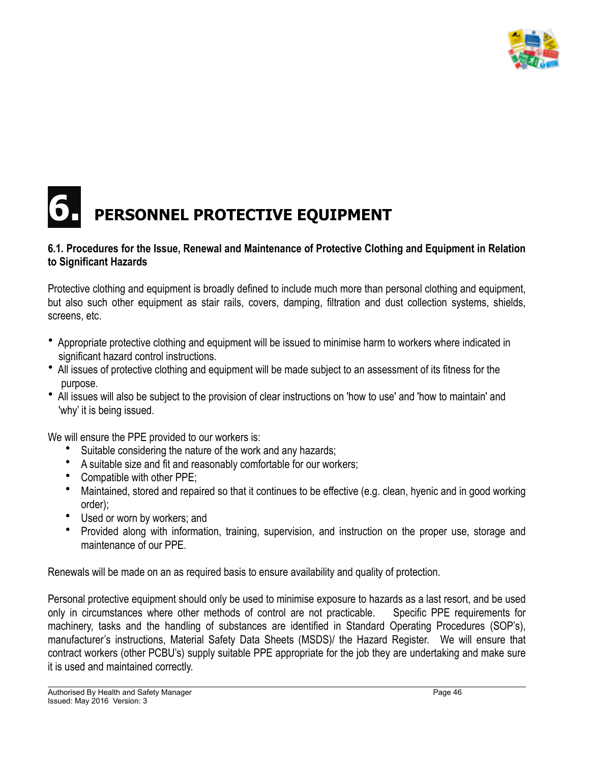

## **PERSONNEL PROTECTIVE EQUIPMENT**

#### **6.1. Procedures for the Issue, Renewal and Maintenance of Protective Clothing and Equipment in Relation to Significant Hazards**

Protective clothing and equipment is broadly defined to include much more than personal clothing and equipment, but also such other equipment as stair rails, covers, damping, filtration and dust collection systems, shields, screens, etc.

- Appropriate protective clothing and equipment will be issued to minimise harm to workers where indicated in significant hazard control instructions.
- All issues of protective clothing and equipment will be made subject to an assessment of its fitness for the purpose.
- All issues will also be subject to the provision of clear instructions on 'how to use' and 'how to maintain' and 'why' it is being issued.

We will ensure the PPE provided to our workers is:

- Suitable considering the nature of the work and any hazards;
- A suitable size and fit and reasonably comfortable for our workers;
- Compatible with other PPE;
- Maintained, stored and repaired so that it continues to be effective (e.g. clean, hyenic and in good working order);
- Used or worn by workers; and
- Provided along with information, training, supervision, and instruction on the proper use, storage and maintenance of our PPE.

Renewals will be made on an as required basis to ensure availability and quality of protection.

Personal protective equipment should only be used to minimise exposure to hazards as a last resort, and be used only in circumstances where other methods of control are not practicable. Specific PPE requirements for machinery, tasks and the handling of substances are identified in Standard Operating Procedures (SOP's), manufacturer's instructions, Material Safety Data Sheets (MSDS)/ the Hazard Register. We will ensure that contract workers (other PCBU's) supply suitable PPE appropriate for the job they are undertaking and make sure it is used and maintained correctly.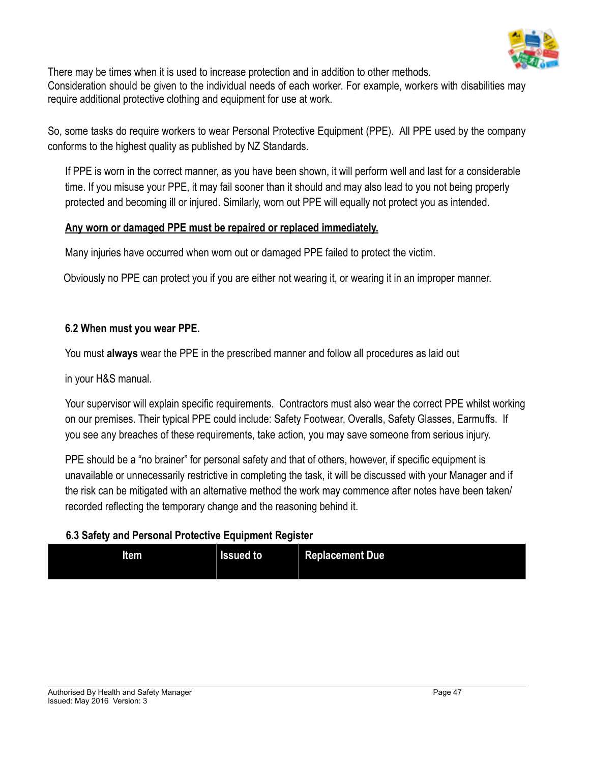

There may be times when it is used to increase protection and in addition to other methods. Consideration should be given to the individual needs of each worker. For example, workers with disabilities may require additional protective clothing and equipment for use at work.

So, some tasks do require workers to wear Personal Protective Equipment (PPE). All PPE used by the company conforms to the highest quality as published by NZ Standards.

If PPE is worn in the correct manner, as you have been shown, it will perform well and last for a considerable time. If you misuse your PPE, it may fail sooner than it should and may also lead to you not being properly protected and becoming ill or injured. Similarly, worn out PPE will equally not protect you as intended.

#### **Any worn or damaged PPE must be repaired or replaced immediately.**

Many injuries have occurred when worn out or damaged PPE failed to protect the victim.

Obviously no PPE can protect you if you are either not wearing it, or wearing it in an improper manner.

#### **6.2 When must you wear PPE.**

You must **always** wear the PPE in the prescribed manner and follow all procedures as laid out

in your H&S manual.

Your supervisor will explain specific requirements. Contractors must also wear the correct PPE whilst working on our premises. Their typical PPE could include: Safety Footwear, Overalls, Safety Glasses, Earmuffs. If you see any breaches of these requirements, take action, you may save someone from serious injury.

PPE should be a "no brainer" for personal safety and that of others, however, if specific equipment is unavailable or unnecessarily restrictive in completing the task, it will be discussed with your Manager and if the risk can be mitigated with an alternative method the work may commence after notes have been taken/ recorded reflecting the temporary change and the reasoning behind it.

#### **6.3 Safety and Personal Protective Equipment Register**

| <b>Item</b> | <b>Issued to</b> | <b>Replacement Due</b> |
|-------------|------------------|------------------------|
|             |                  |                        |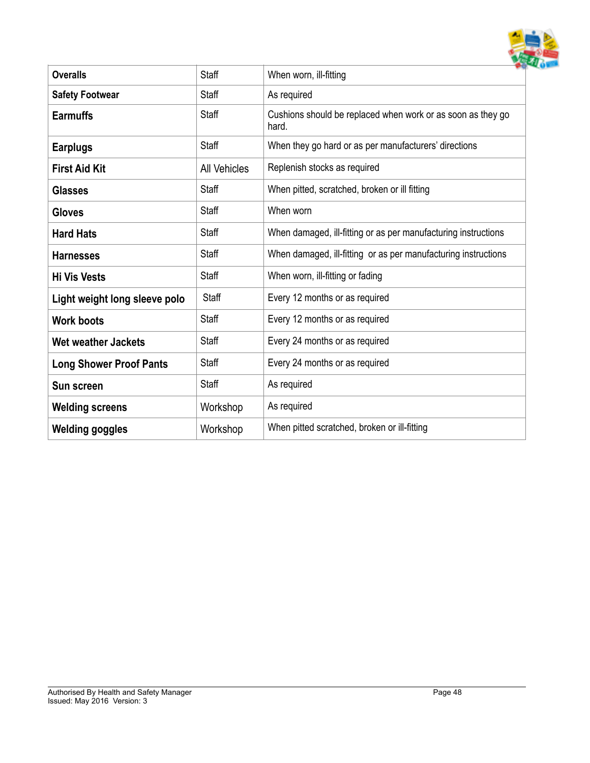

| <b>Overalls</b>                | <b>Staff</b>        | When worn, ill-fitting                                               |
|--------------------------------|---------------------|----------------------------------------------------------------------|
| <b>Safety Footwear</b>         | Staff               | As required                                                          |
| <b>Earmuffs</b>                | Staff               | Cushions should be replaced when work or as soon as they go<br>hard. |
| <b>Earplugs</b>                | Staff               | When they go hard or as per manufacturers' directions                |
| <b>First Aid Kit</b>           | <b>All Vehicles</b> | Replenish stocks as required                                         |
| <b>Glasses</b>                 | <b>Staff</b>        | When pitted, scratched, broken or ill fitting                        |
| <b>Gloves</b>                  | Staff               | When worn                                                            |
| <b>Hard Hats</b>               | Staff               | When damaged, ill-fitting or as per manufacturing instructions       |
| <b>Harnesses</b>               | Staff               | When damaged, ill-fitting or as per manufacturing instructions       |
| <b>Hi Vis Vests</b>            | Staff               | When worn, ill-fitting or fading                                     |
| Light weight long sleeve polo  | Staff               | Every 12 months or as required                                       |
| <b>Work boots</b>              | Staff               | Every 12 months or as required                                       |
| <b>Wet weather Jackets</b>     | Staff               | Every 24 months or as required                                       |
| <b>Long Shower Proof Pants</b> | Staff               | Every 24 months or as required                                       |
| Sun screen                     | Staff               | As required                                                          |
| <b>Welding screens</b>         | Workshop            | As required                                                          |
| <b>Welding goggles</b>         | Workshop            | When pitted scratched, broken or ill-fitting                         |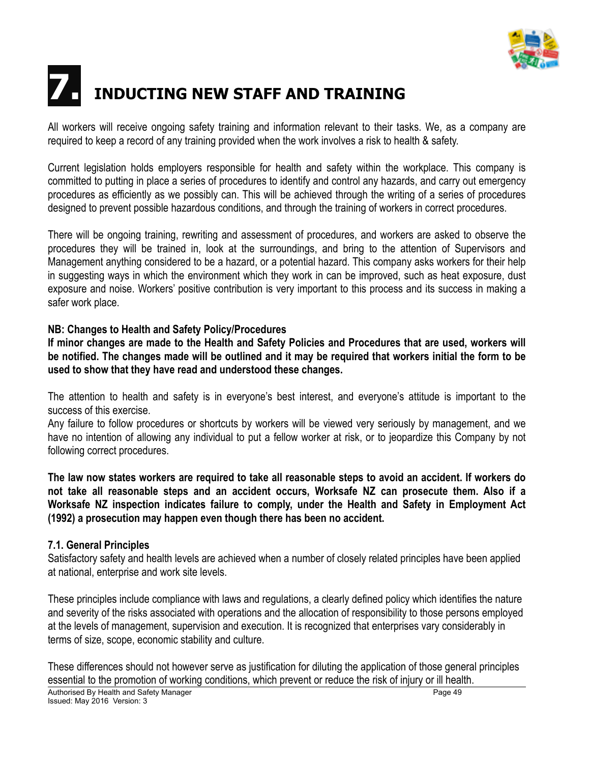

# **7. INDUCTING NEW STAFF AND TRAINING**

All workers will receive ongoing safety training and information relevant to their tasks. We, as a company are required to keep a record of any training provided when the work involves a risk to health & safety.

Current legislation holds employers responsible for health and safety within the workplace. This company is committed to putting in place a series of procedures to identify and control any hazards, and carry out emergency procedures as efficiently as we possibly can. This will be achieved through the writing of a series of procedures designed to prevent possible hazardous conditions, and through the training of workers in correct procedures.

There will be ongoing training, rewriting and assessment of procedures, and workers are asked to observe the procedures they will be trained in, look at the surroundings, and bring to the attention of Supervisors and Management anything considered to be a hazard, or a potential hazard. This company asks workers for their help in suggesting ways in which the environment which they work in can be improved, such as heat exposure, dust exposure and noise. Workers' positive contribution is very important to this process and its success in making a safer work place.

#### **NB: Changes to Health and Safety Policy/Procedures**

**If minor changes are made to the Health and Safety Policies and Procedures that are used, workers will be notified. The changes made will be outlined and it may be required that workers initial the form to be used to show that they have read and understood these changes.**

The attention to health and safety is in everyone's best interest, and everyone's attitude is important to the success of this exercise.

Any failure to follow procedures or shortcuts by workers will be viewed very seriously by management, and we have no intention of allowing any individual to put a fellow worker at risk, or to jeopardize this Company by not following correct procedures.

**The law now states workers are required to take all reasonable steps to avoid an accident. If workers do not take all reasonable steps and an accident occurs, Worksafe NZ can prosecute them. Also if a Worksafe NZ inspection indicates failure to comply, under the Health and Safety in Employment Act (1992) a prosecution may happen even though there has been no accident.**

#### **7.1. General Principles**

Satisfactory safety and health levels are achieved when a number of closely related principles have been applied at national, enterprise and work site levels.

These principles include compliance with laws and regulations, a clearly defined policy which identifies the nature and severity of the risks associated with operations and the allocation of responsibility to those persons employed at the levels of management, supervision and execution. It is recognized that enterprises vary considerably in terms of size, scope, economic stability and culture.

These differences should not however serve as justification for diluting the application of those general principles essential to the promotion of working conditions, which prevent or reduce the risk of injury or ill health.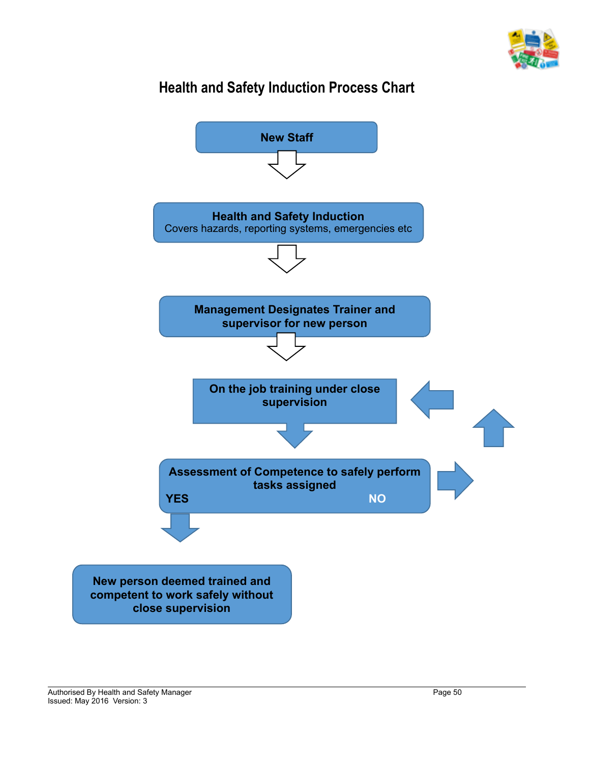

## **Health and Safety Induction Process Chart**

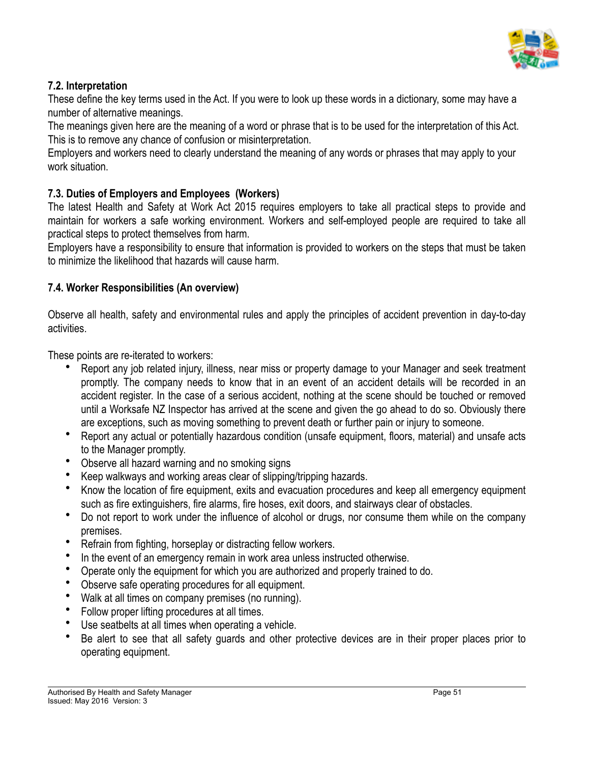

## **7.2. Interpretation**

These define the key terms used in the Act. If you were to look up these words in a dictionary, some may have a number of alternative meanings.

The meanings given here are the meaning of a word or phrase that is to be used for the interpretation of this Act. This is to remove any chance of confusion or misinterpretation.

Employers and workers need to clearly understand the meaning of any words or phrases that may apply to your work situation.

## **7.3. Duties of Employers and Employees (Workers)**

The latest Health and Safety at Work Act 2015 requires employers to take all practical steps to provide and maintain for workers a safe working environment. Workers and self-employed people are required to take all practical steps to protect themselves from harm.

Employers have a responsibility to ensure that information is provided to workers on the steps that must be taken to minimize the likelihood that hazards will cause harm.

#### **7.4. Worker Responsibilities (An overview)**

Observe all health, safety and environmental rules and apply the principles of accident prevention in day-to-day activities.

These points are re-iterated to workers:

- Report any job related injury, illness, near miss or property damage to your Manager and seek treatment promptly. The company needs to know that in an event of an accident details will be recorded in an accident register. In the case of a serious accident, nothing at the scene should be touched or removed until a Worksafe NZ Inspector has arrived at the scene and given the go ahead to do so. Obviously there are exceptions, such as moving something to prevent death or further pain or injury to someone.
- Report any actual or potentially hazardous condition (unsafe equipment, floors, material) and unsafe acts to the Manager promptly.
- Observe all hazard warning and no smoking signs
- Keep walkways and working areas clear of slipping/tripping hazards.
- Know the location of fire equipment, exits and evacuation procedures and keep all emergency equipment such as fire extinguishers, fire alarms, fire hoses, exit doors, and stairways clear of obstacles.
- Do not report to work under the influence of alcohol or drugs, nor consume them while on the company premises.
- Refrain from fighting, horseplay or distracting fellow workers.
- In the event of an emergency remain in work area unless instructed otherwise.
- Operate only the equipment for which you are authorized and properly trained to do.
- Observe safe operating procedures for all equipment.
- Walk at all times on company premises (no running).
- Follow proper lifting procedures at all times.
- Use seatbelts at all times when operating a vehicle.
- Be alert to see that all safety guards and other protective devices are in their proper places prior to operating equipment.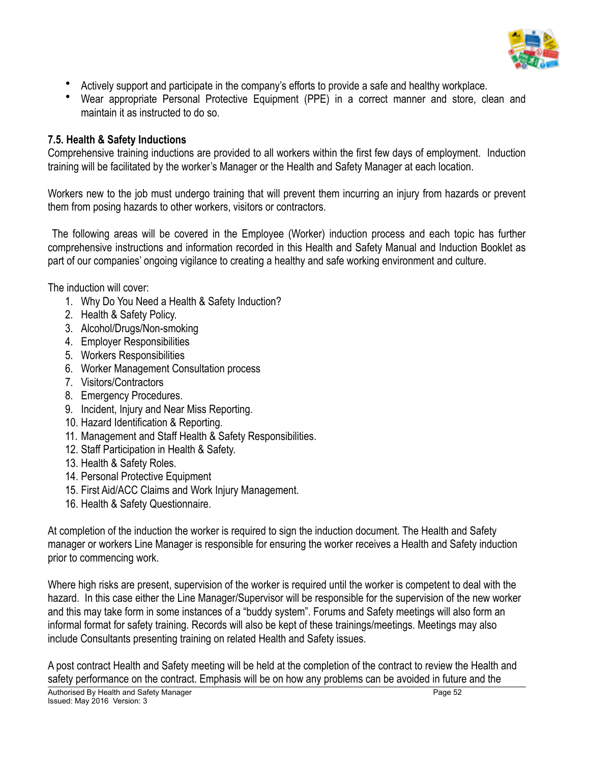

- Actively support and participate in the company's efforts to provide a safe and healthy workplace.
- Wear appropriate Personal Protective Equipment (PPE) in a correct manner and store, clean and maintain it as instructed to do so.

#### **7.5. Health & Safety Inductions**

Comprehensive training inductions are provided to all workers within the first few days of employment. Induction training will be facilitated by the worker's Manager or the Health and Safety Manager at each location.

Workers new to the job must undergo training that will prevent them incurring an injury from hazards or prevent them from posing hazards to other workers, visitors or contractors.

 The following areas will be covered in the Employee (Worker) induction process and each topic has further comprehensive instructions and information recorded in this Health and Safety Manual and Induction Booklet as part of our companies' ongoing vigilance to creating a healthy and safe working environment and culture.

The induction will cover:

- 1. Why Do You Need a Health & Safety Induction?
- 2. Health & Safety Policy.
- 3. Alcohol/Drugs/Non-smoking
- 4. Employer Responsibilities
- 5. Workers Responsibilities
- 6. Worker Management Consultation process
- 7. Visitors/Contractors
- 8. Emergency Procedures.
- 9. Incident, Injury and Near Miss Reporting.
- 10. Hazard Identification & Reporting.
- 11. Management and Staff Health & Safety Responsibilities.
- 12. Staff Participation in Health & Safety.
- 13. Health & Safety Roles.
- 14. Personal Protective Equipment
- 15. First Aid/ACC Claims and Work Injury Management.
- 16. Health & Safety Questionnaire.

At completion of the induction the worker is required to sign the induction document. The Health and Safety manager or workers Line Manager is responsible for ensuring the worker receives a Health and Safety induction prior to commencing work.

Where high risks are present, supervision of the worker is required until the worker is competent to deal with the hazard. In this case either the Line Manager/Supervisor will be responsible for the supervision of the new worker and this may take form in some instances of a "buddy system". Forums and Safety meetings will also form an informal format for safety training. Records will also be kept of these trainings/meetings. Meetings may also include Consultants presenting training on related Health and Safety issues.

A post contract Health and Safety meeting will be held at the completion of the contract to review the Health and safety performance on the contract. Emphasis will be on how any problems can be avoided in future and the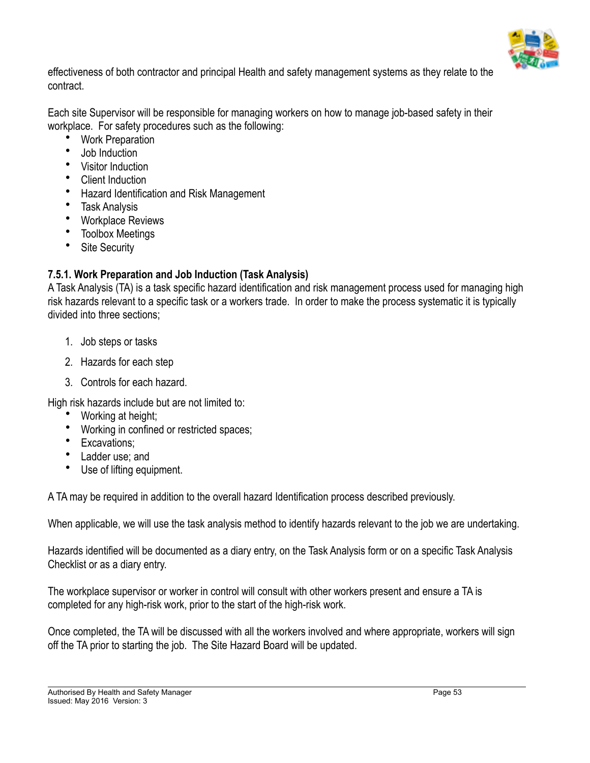

effectiveness of both contractor and principal Health and safety management systems as they relate to the contract.

Each site Supervisor will be responsible for managing workers on how to manage job-based safety in their workplace. For safety procedures such as the following:

- Work Preparation
- Job Induction
- Visitor Induction
- Client Induction
- Hazard Identification and Risk Management
- Task Analysis
- Workplace Reviews
- Toolbox Meetings
- Site Security

## **7.5.1. Work Preparation and Job Induction (Task Analysis)**

A Task Analysis (TA) is a task specific hazard identification and risk management process used for managing high risk hazards relevant to a specific task or a workers trade. In order to make the process systematic it is typically divided into three sections;

- 1. Job steps or tasks
- 2. Hazards for each step
- 3. Controls for each hazard.

High risk hazards include but are not limited to:

- Working at height;
- Working in confined or restricted spaces;
- Excavations;
- Ladder use; and
- Use of lifting equipment.

A TA may be required in addition to the overall hazard Identification process described previously.

When applicable, we will use the task analysis method to identify hazards relevant to the job we are undertaking.

Hazards identified will be documented as a diary entry, on the Task Analysis form or on a specific Task Analysis Checklist or as a diary entry.

The workplace supervisor or worker in control will consult with other workers present and ensure a TA is completed for any high-risk work, prior to the start of the high-risk work.

Once completed, the TA will be discussed with all the workers involved and where appropriate, workers will sign off the TA prior to starting the job. The Site Hazard Board will be updated.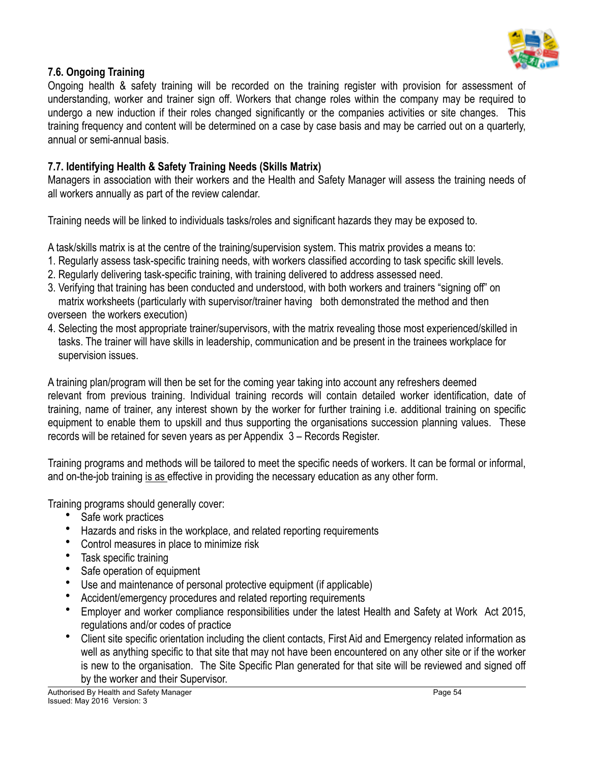

#### **7.6. Ongoing Training**

Ongoing health & safety training will be recorded on the training register with provision for assessment of understanding, worker and trainer sign off. Workers that change roles within the company may be required to undergo a new induction if their roles changed significantly or the companies activities or site changes. This training frequency and content will be determined on a case by case basis and may be carried out on a quarterly, annual or semi-annual basis.

#### **7.7. Identifying Health & Safety Training Needs (Skills Matrix)**

Managers in association with their workers and the Health and Safety Manager will assess the training needs of all workers annually as part of the review calendar.

Training needs will be linked to individuals tasks/roles and significant hazards they may be exposed to.

A task/skills matrix is at the centre of the training/supervision system. This matrix provides a means to:

- 1. Regularly assess task-specific training needs, with workers classified according to task specific skill levels.
- 2. Regularly delivering task-specific training, with training delivered to address assessed need.
- 3. Verifying that training has been conducted and understood, with both workers and trainers "signing off" on matrix worksheets (particularly with supervisor/trainer having both demonstrated the method and then overseen the workers execution)
- 4. Selecting the most appropriate trainer/supervisors, with the matrix revealing those most experienced/skilled in tasks. The trainer will have skills in leadership, communication and be present in the trainees workplace for supervision issues.

A training plan/program will then be set for the coming year taking into account any refreshers deemed relevant from previous training. Individual training records will contain detailed worker identification, date of training, name of trainer, any interest shown by the worker for further training i.e. additional training on specific equipment to enable them to upskill and thus supporting the organisations succession planning values. These records will be retained for seven years as per Appendix 3 – Records Register.

Training programs and methods will be tailored to meet the specific needs of workers. It can be formal or informal, and on-the-job training is as effective in providing the necessary education as any other form.

Training programs should generally cover:

- Safe work practices
- Hazards and risks in the workplace, and related reporting requirements
- Control measures in place to minimize risk
- Task specific training
- Safe operation of equipment
- Use and maintenance of personal protective equipment (if applicable)
- Accident/emergency procedures and related reporting requirements
- Employer and worker compliance responsibilities under the latest Health and Safety at Work Act 2015, regulations and/or codes of practice
- Client site specific orientation including the client contacts, First Aid and Emergency related information as well as anything specific to that site that may not have been encountered on any other site or if the worker is new to the organisation. The Site Specific Plan generated for that site will be reviewed and signed off by the worker and their Supervisor.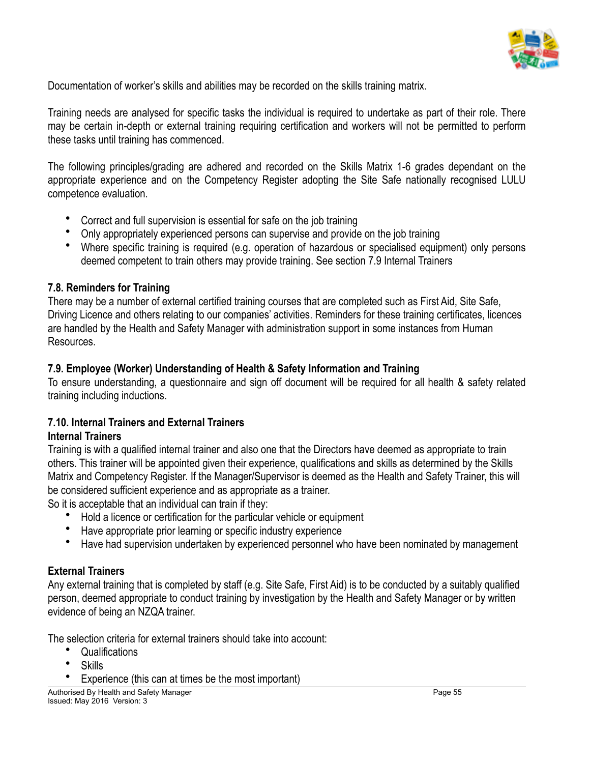

Documentation of worker's skills and abilities may be recorded on the skills training matrix.

Training needs are analysed for specific tasks the individual is required to undertake as part of their role. There may be certain in-depth or external training requiring certification and workers will not be permitted to perform these tasks until training has commenced.

The following principles/grading are adhered and recorded on the Skills Matrix 1-6 grades dependant on the appropriate experience and on the Competency Register adopting the Site Safe nationally recognised LULU competence evaluation.

- Correct and full supervision is essential for safe on the job training
- Only appropriately experienced persons can supervise and provide on the job training
- Where specific training is required (e.g. operation of hazardous or specialised equipment) only persons deemed competent to train others may provide training. See section 7.9 Internal Trainers

#### **7.8. Reminders for Training**

There may be a number of external certified training courses that are completed such as First Aid, Site Safe, Driving Licence and others relating to our companies' activities. Reminders for these training certificates, licences are handled by the Health and Safety Manager with administration support in some instances from Human Resources.

## **7.9. Employee (Worker) Understanding of Health & Safety Information and Training**

To ensure understanding, a questionnaire and sign off document will be required for all health & safety related training including inductions.

#### **7.10. Internal Trainers and External Trainers Internal Trainers**

Training is with a qualified internal trainer and also one that the Directors have deemed as appropriate to train others. This trainer will be appointed given their experience, qualifications and skills as determined by the Skills Matrix and Competency Register. If the Manager/Supervisor is deemed as the Health and Safety Trainer, this will be considered sufficient experience and as appropriate as a trainer.

So it is acceptable that an individual can train if they:

- Hold a licence or certification for the particular vehicle or equipment
- Have appropriate prior learning or specific industry experience
- Have had supervision undertaken by experienced personnel who have been nominated by management

## **External Trainers**

Any external training that is completed by staff (e.g. Site Safe, First Aid) is to be conducted by a suitably qualified person, deemed appropriate to conduct training by investigation by the Health and Safety Manager or by written evidence of being an NZQA trainer.

The selection criteria for external trainers should take into account:

- **Qualifications**
- **Skills**
- Experience (this can at times be the most important)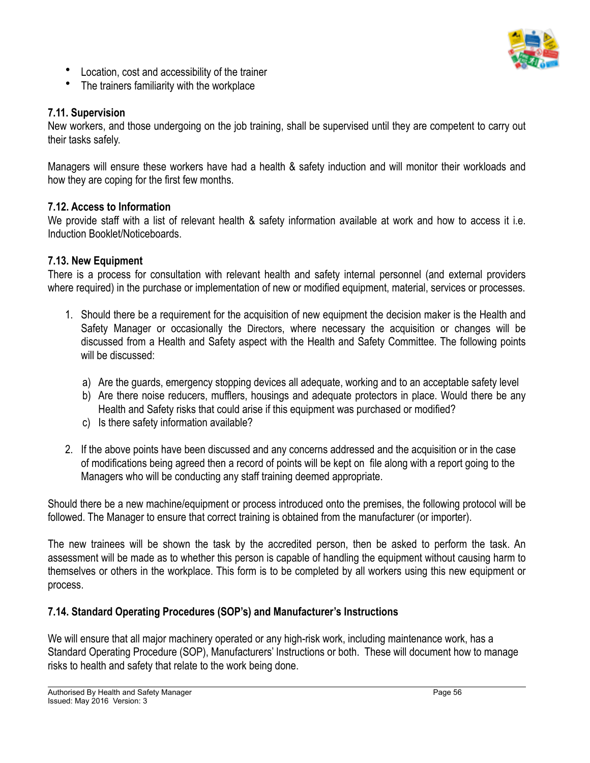

- Location, cost and accessibility of the trainer
- The trainers familiarity with the workplace

## **7.11. Supervision**

New workers, and those undergoing on the job training, shall be supervised until they are competent to carry out their tasks safely.

Managers will ensure these workers have had a health & safety induction and will monitor their workloads and how they are coping for the first few months.

## **7.12. Access to Information**

We provide staff with a list of relevant health & safety information available at work and how to access it i.e. Induction Booklet/Noticeboards.

## **7.13. New Equipment**

There is a process for consultation with relevant health and safety internal personnel (and external providers where required) in the purchase or implementation of new or modified equipment, material, services or processes.

- 1. Should there be a requirement for the acquisition of new equipment the decision maker is the Health and Safety Manager or occasionally the Directors, where necessary the acquisition or changes will be discussed from a Health and Safety aspect with the Health and Safety Committee. The following points will be discussed:
	- a) Are the guards, emergency stopping devices all adequate, working and to an acceptable safety level
	- b) Are there noise reducers, mufflers, housings and adequate protectors in place. Would there be any Health and Safety risks that could arise if this equipment was purchased or modified?
	- c) Is there safety information available?
- 2. If the above points have been discussed and any concerns addressed and the acquisition or in the case of modifications being agreed then a record of points will be kept on file along with a report going to the Managers who will be conducting any staff training deemed appropriate.

Should there be a new machine/equipment or process introduced onto the premises, the following protocol will be followed. The Manager to ensure that correct training is obtained from the manufacturer (or importer).

The new trainees will be shown the task by the accredited person, then be asked to perform the task. An assessment will be made as to whether this person is capable of handling the equipment without causing harm to themselves or others in the workplace. This form is to be completed by all workers using this new equipment or process.

## **7.14. Standard Operating Procedures (SOP's) and Manufacturer's Instructions**

We will ensure that all major machinery operated or any high-risk work, including maintenance work, has a Standard Operating Procedure (SOP), Manufacturers' Instructions or both. These will document how to manage risks to health and safety that relate to the work being done.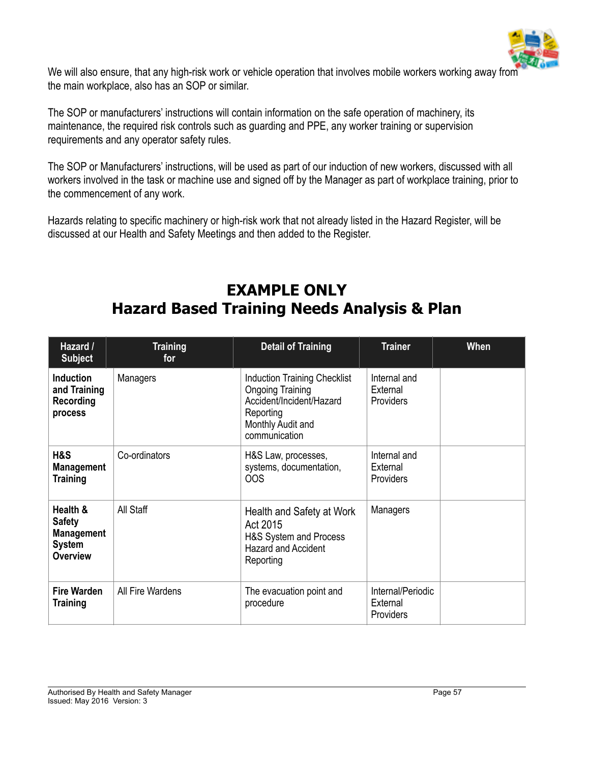

We will also ensure, that any high-risk work or vehicle operation that involves mobile workers working away from the main workplace, also has an SOP or similar.

The SOP or manufacturers' instructions will contain information on the safe operation of machinery, its maintenance, the required risk controls such as guarding and PPE, any worker training or supervision requirements and any operator safety rules.

The SOP or Manufacturers' instructions, will be used as part of our induction of new workers, discussed with all workers involved in the task or machine use and signed off by the Manager as part of workplace training, prior to the commencement of any work.

Hazards relating to specific machinery or high-risk work that not already listed in the Hazard Register, will be discussed at our Health and Safety Meetings and then added to the Register.

## **EXAMPLE ONLY Hazard Based Training Needs Analysis & Plan**

| Hazard /<br><b>Subject</b>                                                         | <b>Training</b><br>for | <b>Detail of Training</b>                                                                                                                     | <b>Trainer</b>                               | <b>When</b> |
|------------------------------------------------------------------------------------|------------------------|-----------------------------------------------------------------------------------------------------------------------------------------------|----------------------------------------------|-------------|
| <b>Induction</b><br>and Training<br>Recording<br>process                           | Managers               | <b>Induction Training Checklist</b><br><b>Ongoing Training</b><br>Accident/Incident/Hazard<br>Reporting<br>Monthly Audit and<br>communication | Internal and<br>External<br><b>Providers</b> |             |
| H&S<br><b>Management</b><br>Training                                               | Co-ordinators          | H&S Law, processes,<br>systems, documentation,<br><b>OOS</b>                                                                                  | Internal and<br>External<br>Providers        |             |
| Health &<br><b>Safety</b><br><b>Management</b><br><b>System</b><br><b>Overview</b> | All Staff              | Health and Safety at Work<br>Act 2015<br>H&S System and Process<br><b>Hazard and Accident</b><br>Reporting                                    | Managers                                     |             |
| <b>Fire Warden</b><br>Training                                                     | All Fire Wardens       | The evacuation point and<br>procedure                                                                                                         | Internal/Periodic<br>External<br>Providers   |             |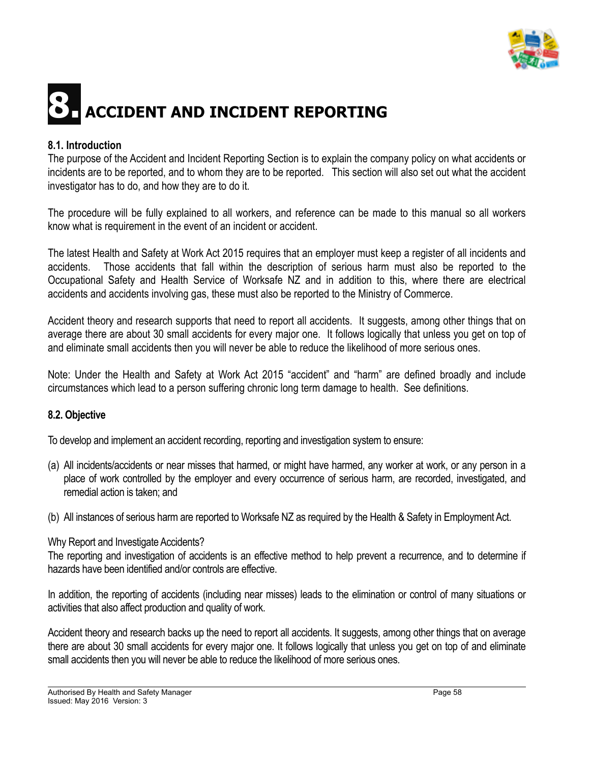

## **8. ACCIDENT AND INCIDENT REPORTING**

#### **8.1. Introduction**

The purpose of the Accident and Incident Reporting Section is to explain the company policy on what accidents or incidents are to be reported, and to whom they are to be reported. This section will also set out what the accident investigator has to do, and how they are to do it.

The procedure will be fully explained to all workers, and reference can be made to this manual so all workers know what is requirement in the event of an incident or accident.

The latest Health and Safety at Work Act 2015 requires that an employer must keep a register of all incidents and accidents. Those accidents that fall within the description of serious harm must also be reported to the Occupational Safety and Health Service of Worksafe NZ and in addition to this, where there are electrical accidents and accidents involving gas, these must also be reported to the Ministry of Commerce.

Accident theory and research supports that need to report all accidents. It suggests, among other things that on average there are about 30 small accidents for every major one. It follows logically that unless you get on top of and eliminate small accidents then you will never be able to reduce the likelihood of more serious ones.

Note: Under the Health and Safety at Work Act 2015 "accident" and "harm" are defined broadly and include circumstances which lead to a person suffering chronic long term damage to health. See definitions.

#### **8.2. Objective**

To develop and implement an accident recording, reporting and investigation system to ensure:

- (a) All incidents/accidents or near misses that harmed, or might have harmed, any worker at work, or any person in a place of work controlled by the employer and every occurrence of serious harm, are recorded, investigated, and remedial action is taken; and
- (b) All instances of serious harm are reported to Worksafe NZ as required by the Health & Safety in Employment Act.

#### Why Report and Investigate Accidents?

The reporting and investigation of accidents is an effective method to help prevent a recurrence, and to determine if hazards have been identified and/or controls are effective.

In addition, the reporting of accidents (including near misses) leads to the elimination or control of many situations or activities that also affect production and quality of work.

Accident theory and research backs up the need to report all accidents. It suggests, among other things that on average there are about 30 small accidents for every major one. It follows logically that unless you get on top of and eliminate small accidents then you will never be able to reduce the likelihood of more serious ones.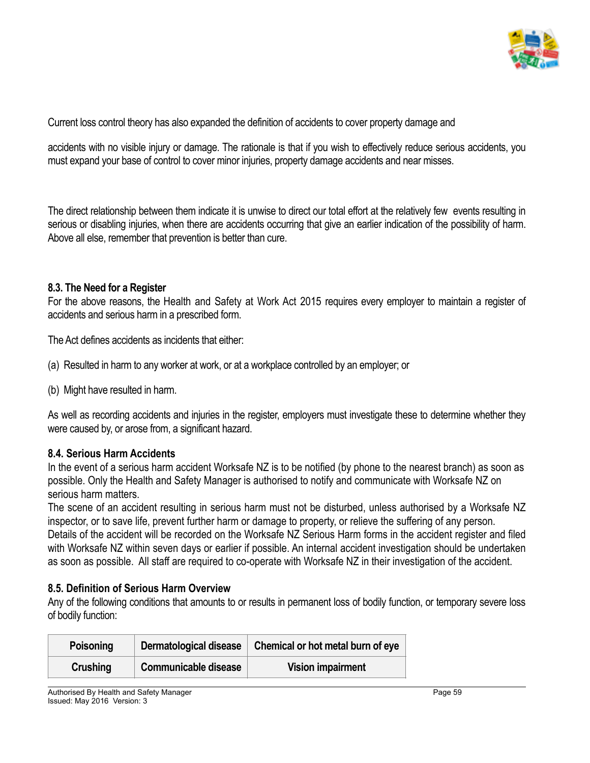

Current loss control theory has also expanded the definition of accidents to cover property damage and

accidents with no visible injury or damage. The rationale is that if you wish to effectively reduce serious accidents, you must expand your base of control to cover minor injuries, property damage accidents and near misses.

The direct relationship between them indicate it is unwise to direct our total effort at the relatively few events resulting in serious or disabling injuries, when there are accidents occurring that give an earlier indication of the possibility of harm. Above all else, remember that prevention is better than cure.

#### **8.3. The Need for a Register**

For the above reasons, the Health and Safety at Work Act 2015 requires every employer to maintain a register of accidents and serious harm in a prescribed form.

The Act defines accidents as incidents that either:

- (a) Resulted in harm to any worker at work, or at a workplace controlled by an employer; or
- (b) Might have resulted in harm.

As well as recording accidents and injuries in the register, employers must investigate these to determine whether they were caused by, or arose from, a significant hazard.

#### **8.4. Serious Harm Accidents**

In the event of a serious harm accident Worksafe NZ is to be notified (by phone to the nearest branch) as soon as possible. Only the Health and Safety Manager is authorised to notify and communicate with Worksafe NZ on serious harm matters.

The scene of an accident resulting in serious harm must not be disturbed, unless authorised by a Worksafe NZ inspector, or to save life, prevent further harm or damage to property, or relieve the suffering of any person. Details of the accident will be recorded on the Worksafe NZ Serious Harm forms in the accident register and filed with Worksafe NZ within seven days or earlier if possible. An internal accident investigation should be undertaken as soon as possible. All staff are required to co-operate with Worksafe NZ in their investigation of the accident.

#### **8.5. Definition of Serious Harm Overview**

Any of the following conditions that amounts to or results in permanent loss of bodily function, or temporary severe loss of bodily function:

| <b>Poisoning</b> | Dermatological disease      | Chemical or hot metal burn of eye |
|------------------|-----------------------------|-----------------------------------|
| Crushing         | <b>Communicable disease</b> | <b>Vision impairment</b>          |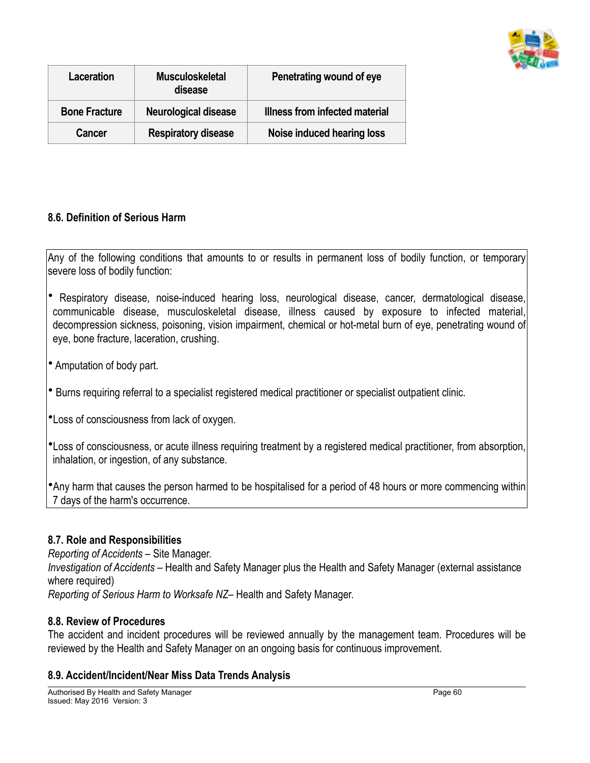

| Laceration           | <b>Musculoskeletal</b><br>disease | Penetrating wound of eye       |
|----------------------|-----------------------------------|--------------------------------|
| <b>Bone Fracture</b> | Neurological disease              | Illness from infected material |
| Cancer               | <b>Respiratory disease</b>        | Noise induced hearing loss     |

#### **8.6. Definition of Serious Harm**

Any of the following conditions that amounts to or results in permanent loss of bodily function, or temporary severe loss of bodily function:

- Respiratory disease, noise-induced hearing loss, neurological disease, cancer, dermatological disease, communicable disease, musculoskeletal disease, illness caused by exposure to infected material, decompression sickness, poisoning, vision impairment, chemical or hot-metal burn of eye, penetrating wound of eye, bone fracture, laceration, crushing.
- Amputation of body part.
- Burns requiring referral to a specialist registered medical practitioner or specialist outpatient clinic.
- •Loss of consciousness from lack of oxygen.
- •Loss of consciousness, or acute illness requiring treatment by a registered medical practitioner, from absorption, inhalation, or ingestion, of any substance.

•Any harm that causes the person harmed to be hospitalised for a period of 48 hours or more commencing within 7 days of the harm's occurrence.

#### **8.7. Role and Responsibilities**

*Reporting of Accidents* – Site Manager. *Investigation of Accidents* – Health and Safety Manager plus the Health and Safety Manager (external assistance where required) *Reporting of Serious Harm to Worksafe NZ*– Health and Safety Manager.

#### **8.8. Review of Procedures**

The accident and incident procedures will be reviewed annually by the management team. Procedures will be reviewed by the Health and Safety Manager on an ongoing basis for continuous improvement.

#### **8.9. Accident/Incident/Near Miss Data Trends Analysis**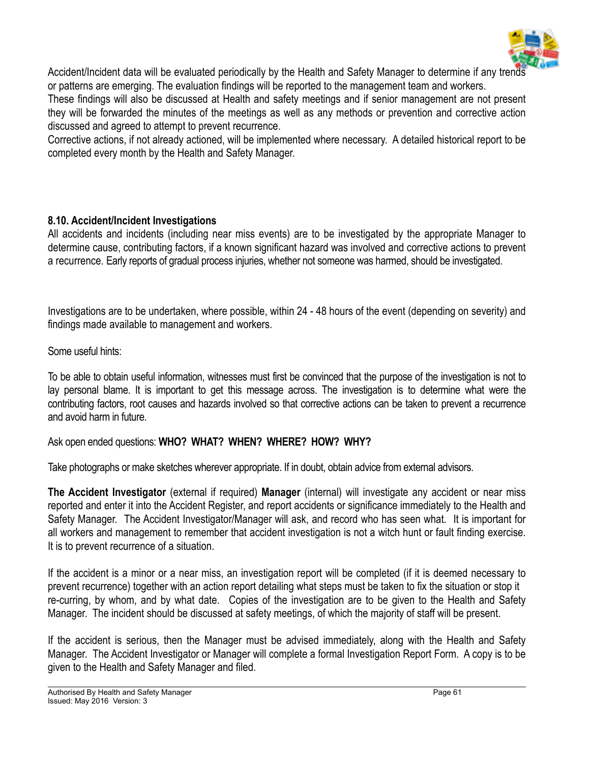

Accident/Incident data will be evaluated periodically by the Health and Safety Manager to determine if any trends or patterns are emerging. The evaluation findings will be reported to the management team and workers.

These findings will also be discussed at Health and safety meetings and if senior management are not present they will be forwarded the minutes of the meetings as well as any methods or prevention and corrective action discussed and agreed to attempt to prevent recurrence.

Corrective actions, if not already actioned, will be implemented where necessary. A detailed historical report to be completed every month by the Health and Safety Manager.

#### **8.10. Accident/Incident Investigations**

All accidents and incidents (including near miss events) are to be investigated by the appropriate Manager to determine cause, contributing factors, if a known significant hazard was involved and corrective actions to prevent a recurrence. Early reports of gradual process injuries, whether not someone was harmed, should be investigated.

Investigations are to be undertaken, where possible, within 24 - 48 hours of the event (depending on severity) and findings made available to management and workers.

Some useful hints:

To be able to obtain useful information, witnesses must first be convinced that the purpose of the investigation is not to lay personal blame. It is important to get this message across. The investigation is to determine what were the contributing factors, root causes and hazards involved so that corrective actions can be taken to prevent a recurrence and avoid harm in future.

Ask open ended questions: **WHO? WHAT? WHEN? WHERE? HOW? WHY?**

Take photographs or make sketches wherever appropriate. If in doubt, obtain advice from external advisors.

**The Accident Investigator** (external if required) **Manager** (internal) will investigate any accident or near miss reported and enter it into the Accident Register, and report accidents or significance immediately to the Health and Safety Manager. The Accident Investigator/Manager will ask, and record who has seen what. It is important for all workers and management to remember that accident investigation is not a witch hunt or fault finding exercise. It is to prevent recurrence of a situation.

If the accident is a minor or a near miss, an investigation report will be completed (if it is deemed necessary to prevent recurrence) together with an action report detailing what steps must be taken to fix the situation or stop it re-curring, by whom, and by what date. Copies of the investigation are to be given to the Health and Safety Manager. The incident should be discussed at safety meetings, of which the majority of staff will be present.

If the accident is serious, then the Manager must be advised immediately, along with the Health and Safety Manager. The Accident Investigator or Manager will complete a formal Investigation Report Form. A copy is to be given to the Health and Safety Manager and filed.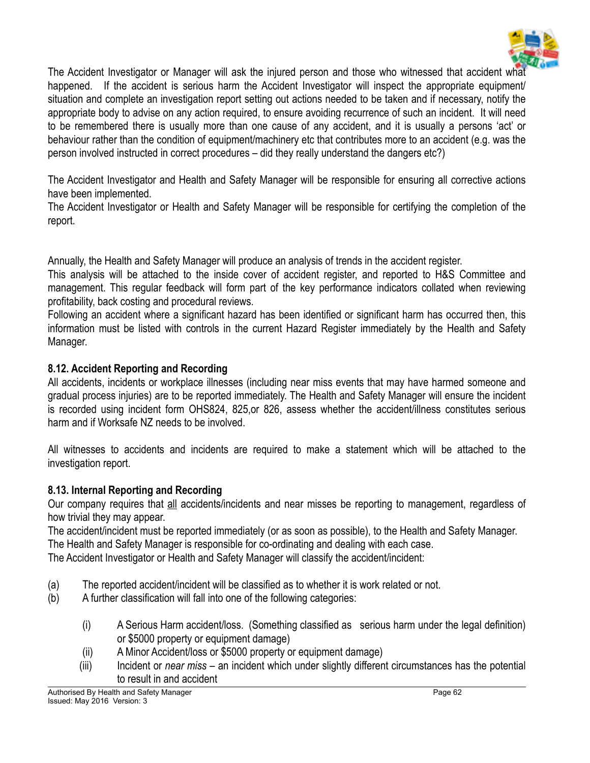

The Accident Investigator or Manager will ask the injured person and those who witnessed that accident what happened. If the accident is serious harm the Accident Investigator will inspect the appropriate equipment/ situation and complete an investigation report setting out actions needed to be taken and if necessary, notify the appropriate body to advise on any action required, to ensure avoiding recurrence of such an incident. It will need to be remembered there is usually more than one cause of any accident, and it is usually a persons 'act' or behaviour rather than the condition of equipment/machinery etc that contributes more to an accident (e.g. was the person involved instructed in correct procedures – did they really understand the dangers etc?)

The Accident Investigator and Health and Safety Manager will be responsible for ensuring all corrective actions have been implemented.

The Accident Investigator or Health and Safety Manager will be responsible for certifying the completion of the report.

Annually, the Health and Safety Manager will produce an analysis of trends in the accident register.

This analysis will be attached to the inside cover of accident register, and reported to H&S Committee and management. This regular feedback will form part of the key performance indicators collated when reviewing profitability, back costing and procedural reviews.

Following an accident where a significant hazard has been identified or significant harm has occurred then, this information must be listed with controls in the current Hazard Register immediately by the Health and Safety Manager.

#### **8.12. Accident Reporting and Recording**

All accidents, incidents or workplace illnesses (including near miss events that may have harmed someone and gradual process injuries) are to be reported immediately. The Health and Safety Manager will ensure the incident is recorded using incident form OHS824, 825,or 826, assess whether the accident/illness constitutes serious harm and if Worksafe NZ needs to be involved.

All witnesses to accidents and incidents are required to make a statement which will be attached to the investigation report.

#### **8.13. Internal Reporting and Recording**

Our company requires that all accidents/incidents and near misses be reporting to management, regardless of how trivial they may appear.

The accident/incident must be reported immediately (or as soon as possible), to the Health and Safety Manager. The Health and Safety Manager is responsible for co-ordinating and dealing with each case.

The Accident Investigator or Health and Safety Manager will classify the accident/incident:

- (a) The reported accident/incident will be classified as to whether it is work related or not.
- (b) A further classification will fall into one of the following categories:
	- (i) A Serious Harm accident/loss. (Something classified as serious harm under the legal definition) or \$5000 property or equipment damage)
	- (ii) A Minor Accident/loss or \$5000 property or equipment damage)
	- (iii) Incident or *near miss* an incident which under slightly different circumstances has the potential to result in and accident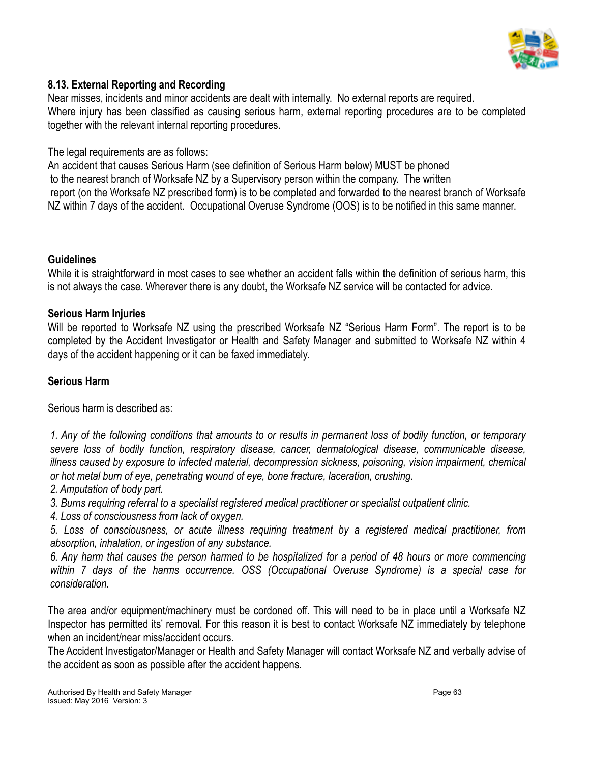

#### **8.13. External Reporting and Recording**

Near misses, incidents and minor accidents are dealt with internally. No external reports are required. Where injury has been classified as causing serious harm, external reporting procedures are to be completed together with the relevant internal reporting procedures.

The legal requirements are as follows:

An accident that causes Serious Harm (see definition of Serious Harm below) MUST be phoned to the nearest branch of Worksafe NZ by a Supervisory person within the company. The written report (on the Worksafe NZ prescribed form) is to be completed and forwarded to the nearest branch of Worksafe NZ within 7 days of the accident. Occupational Overuse Syndrome (OOS) is to be notified in this same manner.

#### **Guidelines**

While it is straightforward in most cases to see whether an accident falls within the definition of serious harm, this is not always the case. Wherever there is any doubt, the Worksafe NZ service will be contacted for advice.

#### **Serious Harm Injuries**

Will be reported to Worksafe NZ using the prescribed Worksafe NZ "Serious Harm Form". The report is to be completed by the Accident Investigator or Health and Safety Manager and submitted to Worksafe NZ within 4 days of the accident happening or it can be faxed immediately.

#### **Serious Harm**

Serious harm is described as:

*1. Any of the following conditions that amounts to or results in permanent loss of bodily function, or temporary severe loss of bodily function, respiratory disease, cancer, dermatological disease, communicable disease, illness caused by exposure to infected material, decompression sickness, poisoning, vision impairment, chemical or hot metal burn of eye, penetrating wound of eye, bone fracture, laceration, crushing.*

*2. Amputation of body part.*

*3. Burns requiring referral to a specialist registered medical practitioner or specialist outpatient clinic.*

*4. Loss of consciousness from lack of oxygen.*

*5. Loss of consciousness, or acute illness requiring treatment by a registered medical practitioner, from absorption, inhalation, or ingestion of any substance.*

*6. Any harm that causes the person harmed to be hospitalized for a period of 48 hours or more commencing within 7 days of the harms occurrence. OSS (Occupational Overuse Syndrome) is a special case for consideration.*

The area and/or equipment/machinery must be cordoned off. This will need to be in place until a Worksafe NZ Inspector has permitted its' removal. For this reason it is best to contact Worksafe NZ immediately by telephone when an incident/near miss/accident occurs.

The Accident Investigator/Manager or Health and Safety Manager will contact Worksafe NZ and verbally advise of the accident as soon as possible after the accident happens.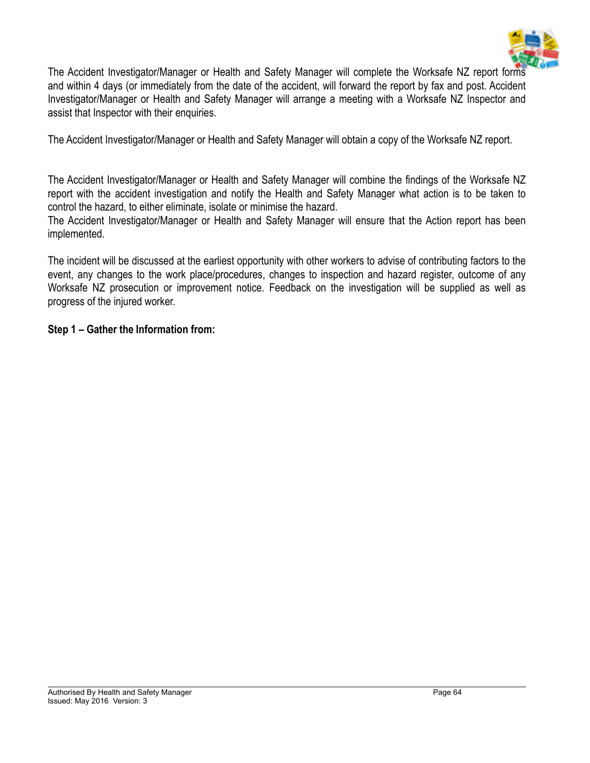

The Accident Investigator/Manager or Health and Safety Manager will complete the Worksafe NZ report forms and within 4 days (or immediately from the date of the accident, will forward the report by fax and post. Accident Investigator/Manager or Health and Safety Manager will arrange a meeting with a Worksafe NZ Inspector and assist that Inspector with their enquiries.

The Accident Investigator/Manager or Health and Safety Manager will obtain a copy of the Worksafe NZ report.

The Accident Investigator/Manager or Health and Safety Manager will combine the findings of the Worksafe NZ report with the accident investigation and notify the Health and Safety Manager what action is to be taken to control the hazard, to either eliminate, isolate or minimise the hazard.

The Accident Investigator/Manager or Health and Safety Manager will ensure that the Action report has been implemented.

The incident will be discussed at the earliest opportunity with other workers to advise of contributing factors to the event, any changes to the work place/procedures, changes to inspection and hazard register, outcome of any Worksafe NZ prosecution or improvement notice. Feedback on the investigation will be supplied as well as progress of the injured worker.

#### **Step 1 – Gather the Information from:**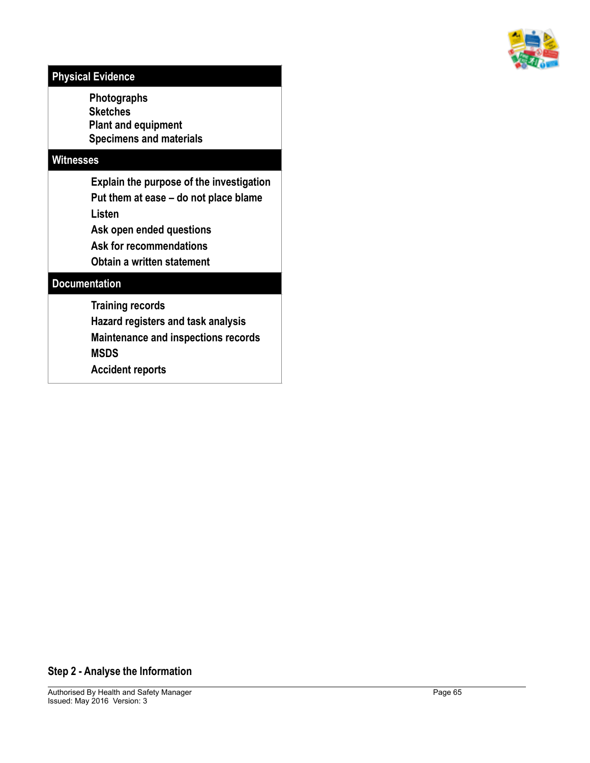

## **Physical Evidence**

 **Photographs Sketches Plant and equipment Specimens and materials**

#### **Witnesses**

**Explain the purpose of the investigation Put them at ease – do not place blame Listen Ask open ended questions** 

**Ask for recommendations** 

**Obtain a written statement**

#### **Documentation**

**Training records** 

**Hazard registers and task analysis** 

**Maintenance and inspections records** 

**MSDS** 

**Accident reports**

#### **Step 2 - Analyse the Information**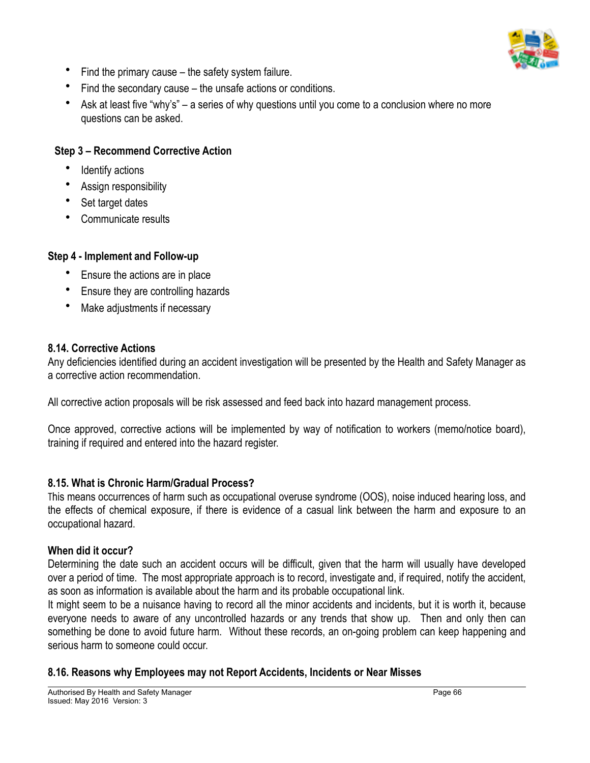

- Find the primary cause the safety system failure.
- Find the secondary cause the unsafe actions or conditions.
- Ask at least five "why's" a series of why questions until you come to a conclusion where no more questions can be asked.

#### **Step 3 – Recommend Corrective Action**

- Identify actions
- Assign responsibility
- Set target dates
- Communicate results

#### **Step 4 - Implement and Follow-up**

- Ensure the actions are in place
- Ensure they are controlling hazards
- Make adjustments if necessary

#### **8.14. Corrective Actions**

Any deficiencies identified during an accident investigation will be presented by the Health and Safety Manager as a corrective action recommendation.

All corrective action proposals will be risk assessed and feed back into hazard management process.

Once approved, corrective actions will be implemented by way of notification to workers (memo/notice board), training if required and entered into the hazard register.

#### **8.15. What is Chronic Harm/Gradual Process?**

This means occurrences of harm such as occupational overuse syndrome (OOS), noise induced hearing loss, and the effects of chemical exposure, if there is evidence of a casual link between the harm and exposure to an occupational hazard.

#### **When did it occur?**

Determining the date such an accident occurs will be difficult, given that the harm will usually have developed over a period of time. The most appropriate approach is to record, investigate and, if required, notify the accident, as soon as information is available about the harm and its probable occupational link.

It might seem to be a nuisance having to record all the minor accidents and incidents, but it is worth it, because everyone needs to aware of any uncontrolled hazards or any trends that show up. Then and only then can something be done to avoid future harm. Without these records, an on-going problem can keep happening and serious harm to someone could occur.

#### **8.16. Reasons why Employees may not Report Accidents, Incidents or Near Misses**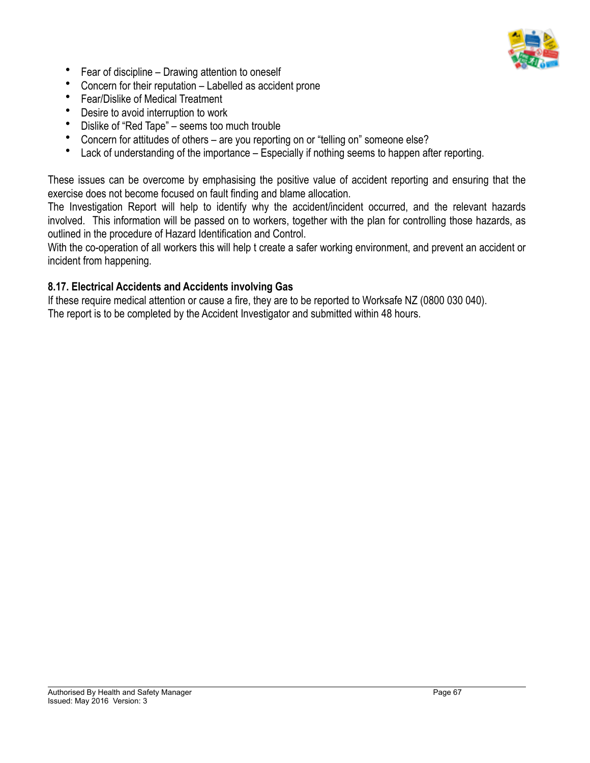

- Fear of discipline Drawing attention to oneself
- Concern for their reputation Labelled as accident prone
- Fear/Dislike of Medical Treatment
- Desire to avoid interruption to work
- Dislike of "Red Tape" seems too much trouble
- Concern for attitudes of others are you reporting on or "telling on" someone else?
- Lack of understanding of the importance Especially if nothing seems to happen after reporting.

These issues can be overcome by emphasising the positive value of accident reporting and ensuring that the exercise does not become focused on fault finding and blame allocation.

The Investigation Report will help to identify why the accident/incident occurred, and the relevant hazards involved. This information will be passed on to workers, together with the plan for controlling those hazards, as outlined in the procedure of Hazard Identification and Control.

With the co-operation of all workers this will help t create a safer working environment, and prevent an accident or incident from happening.

#### **8.17. Electrical Accidents and Accidents involving Gas**

If these require medical attention or cause a fire, they are to be reported to Worksafe NZ (0800 030 040). The report is to be completed by the Accident Investigator and submitted within 48 hours.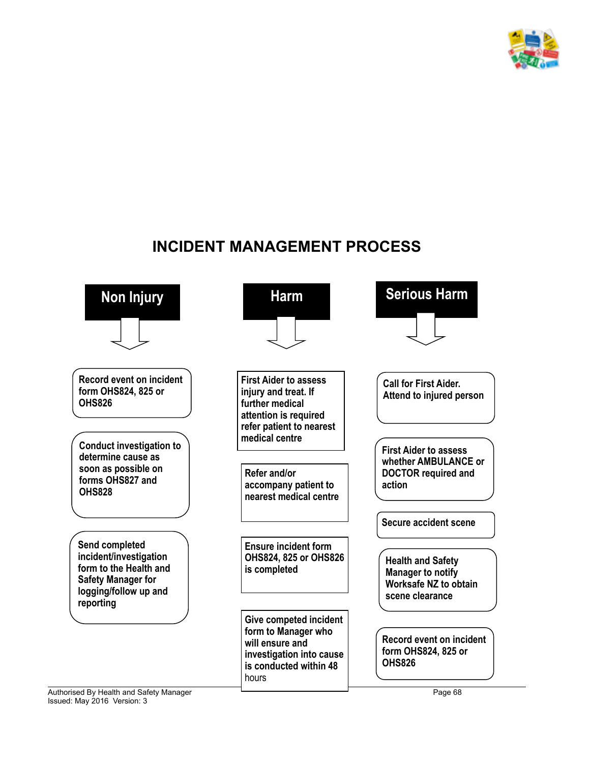

## **INCIDENT MANAGEMENT PROCESS**

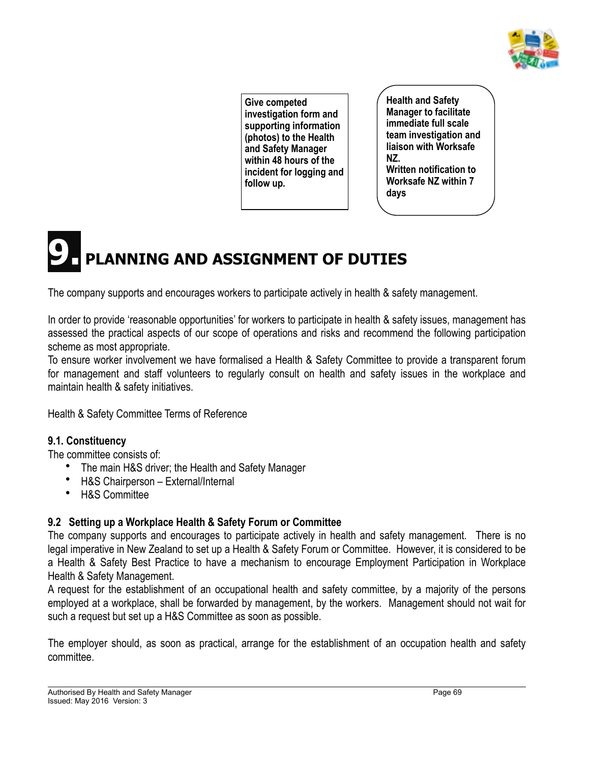

**Give competed investigation form and supporting information (photos) to the Health and Safety Manager within 48 hours of the incident for logging and follow up.**

**Health and Safety Manager to facilitate immediate full scale team investigation and liaison with Worksafe NZ. Written notification to Worksafe NZ within 7 days**

# **9. PLANNING AND ASSIGNMENT OF DUTIES**

The company supports and encourages workers to participate actively in health & safety management.

In order to provide 'reasonable opportunities' for workers to participate in health & safety issues, management has assessed the practical aspects of our scope of operations and risks and recommend the following participation scheme as most appropriate.

To ensure worker involvement we have formalised a Health & Safety Committee to provide a transparent forum for management and staff volunteers to regularly consult on health and safety issues in the workplace and maintain health & safety initiatives.

Health & Safety Committee Terms of Reference

#### **9.1. Constituency**

The committee consists of:

- The main H&S driver; the Health and Safety Manager
- H&S Chairperson External/Internal
- H&S Committee

## **9.2 Setting up a Workplace Health & Safety Forum or Committee**

The company supports and encourages to participate actively in health and safety management. There is no legal imperative in New Zealand to set up a Health & Safety Forum or Committee. However, it is considered to be a Health & Safety Best Practice to have a mechanism to encourage Employment Participation in Workplace Health & Safety Management.

A request for the establishment of an occupational health and safety committee, by a majority of the persons employed at a workplace, shall be forwarded by management, by the workers. Management should not wait for such a request but set up a H&S Committee as soon as possible.

The employer should, as soon as practical, arrange for the establishment of an occupation health and safety committee.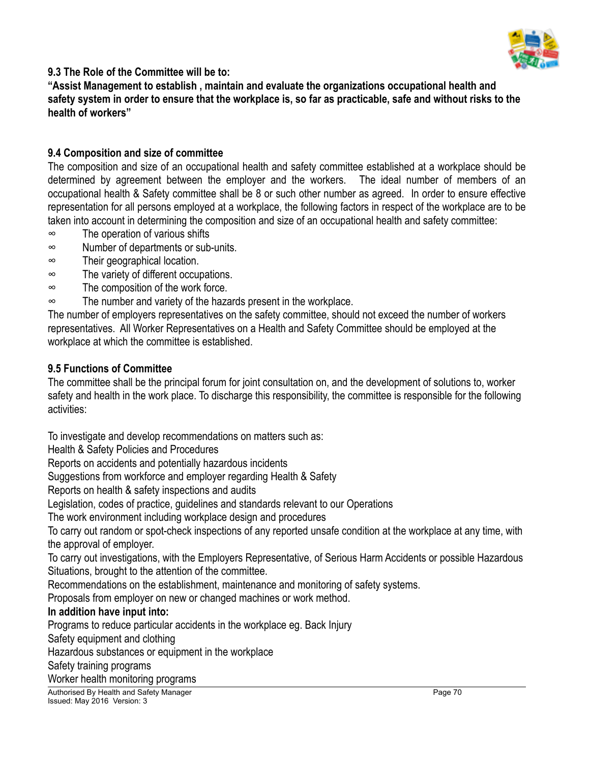

#### **9.3 The Role of the Committee will be to:**

**"Assist Management to establish , maintain and evaluate the organizations occupational health and safety system in order to ensure that the workplace is, so far as practicable, safe and without risks to the health of workers"**

#### **9.4 Composition and size of committee**

The composition and size of an occupational health and safety committee established at a workplace should be determined by agreement between the employer and the workers. The ideal number of members of an occupational health & Safety committee shall be 8 or such other number as agreed. In order to ensure effective representation for all persons employed at a workplace, the following factors in respect of the workplace are to be taken into account in determining the composition and size of an occupational health and safety committee:

- ∞ The operation of various shifts
- ∞ Number of departments or sub-units.
- ∞ Their geographical location.
- ∞ The variety of different occupations.
- ∞ The composition of the work force.
- ∞ The number and variety of the hazards present in the workplace.

The number of employers representatives on the safety committee, should not exceed the number of workers representatives. All Worker Representatives on a Health and Safety Committee should be employed at the workplace at which the committee is established.

#### **9.5 Functions of Committee**

The committee shall be the principal forum for joint consultation on, and the development of solutions to, worker safety and health in the work place. To discharge this responsibility, the committee is responsible for the following activities:

To investigate and develop recommendations on matters such as:

Health & Safety Policies and Procedures

Reports on accidents and potentially hazardous incidents

Suggestions from workforce and employer regarding Health & Safety

Reports on health & safety inspections and audits

Legislation, codes of practice, guidelines and standards relevant to our Operations

The work environment including workplace design and procedures

To carry out random or spot-check inspections of any reported unsafe condition at the workplace at any time, with the approval of employer.

To carry out investigations, with the Employers Representative, of Serious Harm Accidents or possible Hazardous Situations, brought to the attention of the committee.

Recommendations on the establishment, maintenance and monitoring of safety systems.

Proposals from employer on new or changed machines or work method.

#### **In addition have input into:**

Programs to reduce particular accidents in the workplace eg. Back Injury

Safety equipment and clothing

Hazardous substances or equipment in the workplace

Safety training programs

Worker health monitoring programs

Authorised By Health and Safety Manager Page 70 and 200 and 200 and 200 and 200 and 200 and 200 and 200 and 200 and 200 and 200 and 200 and 200 and 200 and 200 and 200 and 200 and 200 and 200 and 200 and 200 and 200 and 20 Issued: May 2016 Version: 3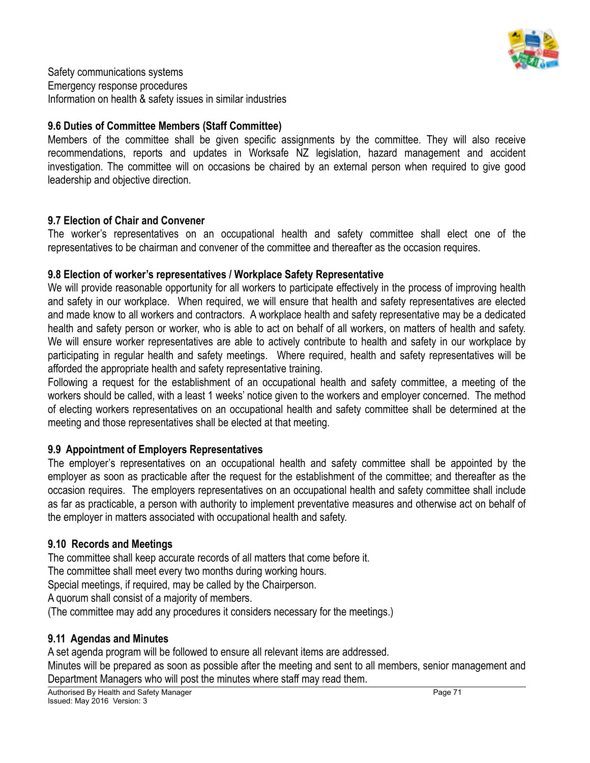

Safety communications systems Emergency response procedures Information on health & safety issues in similar industries

#### **9.6 Duties of Committee Members (Staff Committee)**

Members of the committee shall be given specific assignments by the committee. They will also receive recommendations, reports and updates in Worksafe NZ legislation, hazard management and accident investigation. The committee will on occasions be chaired by an external person when required to give good leadership and objective direction.

#### **9.7 Election of Chair and Convener**

The worker's representatives on an occupational health and safety committee shall elect one of the representatives to be chairman and convener of the committee and thereafter as the occasion requires.

#### **9.8 Election of worker's representatives / Workplace Safety Representative**

We will provide reasonable opportunity for all workers to participate effectively in the process of improving health and safety in our workplace. When required, we will ensure that health and safety representatives are elected and made know to all workers and contractors. A workplace health and safety representative may be a dedicated health and safety person or worker, who is able to act on behalf of all workers, on matters of health and safety. We will ensure worker representatives are able to actively contribute to health and safety in our workplace by participating in regular health and safety meetings. Where required, health and safety representatives will be afforded the appropriate health and safety representative training.

Following a request for the establishment of an occupational health and safety committee, a meeting of the workers should be called, with a least 1 weeks' notice given to the workers and employer concerned. The method of electing workers representatives on an occupational health and safety committee shall be determined at the meeting and those representatives shall be elected at that meeting.

#### **9.9 Appointment of Employers Representatives**

The employer's representatives on an occupational health and safety committee shall be appointed by the employer as soon as practicable after the request for the establishment of the committee; and thereafter as the occasion requires. The employers representatives on an occupational health and safety committee shall include as far as practicable, a person with authority to implement preventative measures and otherwise act on behalf of the employer in matters associated with occupational health and safety.

#### **9.10 Records and Meetings**

The committee shall keep accurate records of all matters that come before it.

The committee shall meet every two months during working hours.

Special meetings, if required, may be called by the Chairperson.

A quorum shall consist of a majority of members.

(The committee may add any procedures it considers necessary for the meetings.)

#### **9.11 Agendas and Minutes**

A set agenda program will be followed to ensure all relevant items are addressed.

Minutes will be prepared as soon as possible after the meeting and sent to all members, senior management and Department Managers who will post the minutes where staff may read them.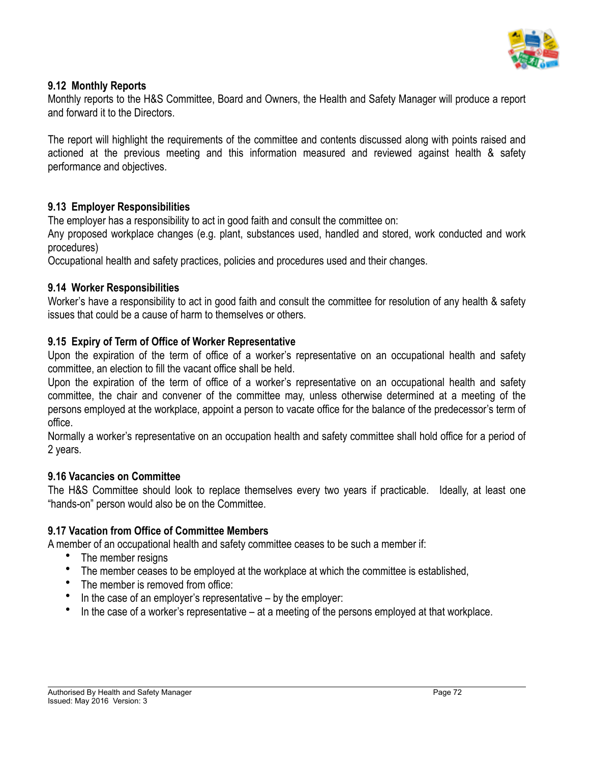

#### **9.12 Monthly Reports**

Monthly reports to the H&S Committee, Board and Owners, the Health and Safety Manager will produce a report and forward it to the Directors.

The report will highlight the requirements of the committee and contents discussed along with points raised and actioned at the previous meeting and this information measured and reviewed against health & safety performance and objectives.

#### **9.13 Employer Responsibilities**

The employer has a responsibility to act in good faith and consult the committee on:

Any proposed workplace changes (e.g. plant, substances used, handled and stored, work conducted and work procedures)

Occupational health and safety practices, policies and procedures used and their changes.

#### **9.14 Worker Responsibilities**

Worker's have a responsibility to act in good faith and consult the committee for resolution of any health & safety issues that could be a cause of harm to themselves or others.

#### **9.15 Expiry of Term of Office of Worker Representative**

Upon the expiration of the term of office of a worker's representative on an occupational health and safety committee, an election to fill the vacant office shall be held.

Upon the expiration of the term of office of a worker's representative on an occupational health and safety committee, the chair and convener of the committee may, unless otherwise determined at a meeting of the persons employed at the workplace, appoint a person to vacate office for the balance of the predecessor's term of office.

Normally a worker's representative on an occupation health and safety committee shall hold office for a period of 2 years.

#### **9.16 Vacancies on Committee**

The H&S Committee should look to replace themselves every two years if practicable. Ideally, at least one "hands-on" person would also be on the Committee.

#### **9.17 Vacation from Office of Committee Members**

A member of an occupational health and safety committee ceases to be such a member if:

- The member resigns
- The member ceases to be employed at the workplace at which the committee is established,
- The member is removed from office:
- In the case of an employer's representative by the employer:
- In the case of a worker's representative at a meeting of the persons employed at that workplace.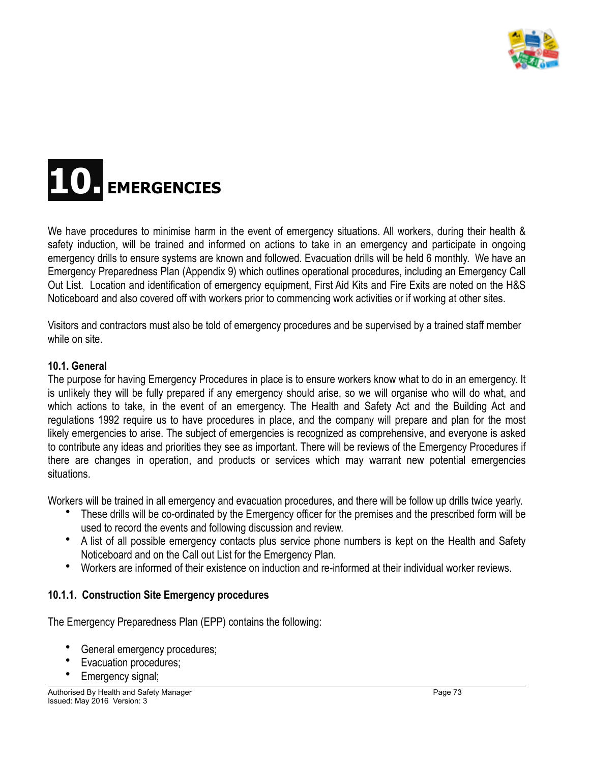



We have procedures to minimise harm in the event of emergency situations. All workers, during their health & safety induction, will be trained and informed on actions to take in an emergency and participate in ongoing emergency drills to ensure systems are known and followed. Evacuation drills will be held 6 monthly. We have an Emergency Preparedness Plan (Appendix 9) which outlines operational procedures, including an Emergency Call Out List. Location and identification of emergency equipment, First Aid Kits and Fire Exits are noted on the H&S Noticeboard and also covered off with workers prior to commencing work activities or if working at other sites.

Visitors and contractors must also be told of emergency procedures and be supervised by a trained staff member while on site.

#### **10.1. General**

The purpose for having Emergency Procedures in place is to ensure workers know what to do in an emergency. It is unlikely they will be fully prepared if any emergency should arise, so we will organise who will do what, and which actions to take, in the event of an emergency. The Health and Safety Act and the Building Act and regulations 1992 require us to have procedures in place, and the company will prepare and plan for the most likely emergencies to arise. The subject of emergencies is recognized as comprehensive, and everyone is asked to contribute any ideas and priorities they see as important. There will be reviews of the Emergency Procedures if there are changes in operation, and products or services which may warrant new potential emergencies situations.

Workers will be trained in all emergency and evacuation procedures, and there will be follow up drills twice yearly.

- These drills will be co-ordinated by the Emergency officer for the premises and the prescribed form will be used to record the events and following discussion and review.
- A list of all possible emergency contacts plus service phone numbers is kept on the Health and Safety Noticeboard and on the Call out List for the Emergency Plan.
- Workers are informed of their existence on induction and re-informed at their individual worker reviews.

#### **10.1.1. Construction Site Emergency procedures**

The Emergency Preparedness Plan (EPP) contains the following:

- General emergency procedures;
- Evacuation procedures;
- Emergency signal;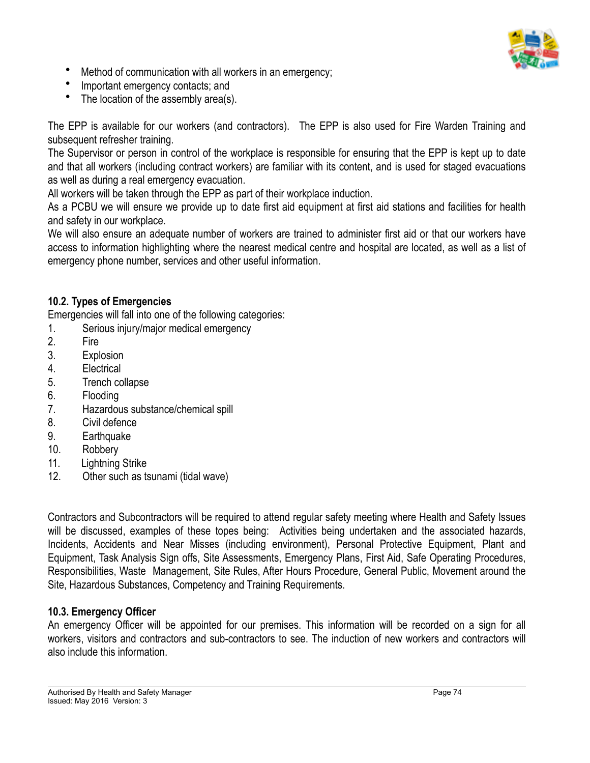

- Method of communication with all workers in an emergency;
- Important emergency contacts; and
- The location of the assembly area(s).

The EPP is available for our workers (and contractors). The EPP is also used for Fire Warden Training and subsequent refresher training.

The Supervisor or person in control of the workplace is responsible for ensuring that the EPP is kept up to date and that all workers (including contract workers) are familiar with its content, and is used for staged evacuations as well as during a real emergency evacuation.

All workers will be taken through the EPP as part of their workplace induction.

As a PCBU we will ensure we provide up to date first aid equipment at first aid stations and facilities for health and safety in our workplace.

We will also ensure an adequate number of workers are trained to administer first aid or that our workers have access to information highlighting where the nearest medical centre and hospital are located, as well as a list of emergency phone number, services and other useful information.

# **10.2. Types of Emergencies**

Emergencies will fall into one of the following categories:

1. Serious injury/major medical emergency

- 2. Fire
- 3. Explosion
- 4. Electrical
- 5. Trench collapse
- 6. Flooding
- 7. Hazardous substance/chemical spill
- 8. Civil defence
- 9. Earthquake
- 10. Robbery
- 11. Lightning Strike
- 12. Other such as tsunami (tidal wave)

Contractors and Subcontractors will be required to attend regular safety meeting where Health and Safety Issues will be discussed, examples of these topes being: Activities being undertaken and the associated hazards, Incidents, Accidents and Near Misses (including environment), Personal Protective Equipment, Plant and Equipment, Task Analysis Sign offs, Site Assessments, Emergency Plans, First Aid, Safe Operating Procedures, Responsibilities, Waste Management, Site Rules, After Hours Procedure, General Public, Movement around the Site, Hazardous Substances, Competency and Training Requirements.

# **10.3. Emergency Officer**

An emergency Officer will be appointed for our premises. This information will be recorded on a sign for all workers, visitors and contractors and sub-contractors to see. The induction of new workers and contractors will also include this information.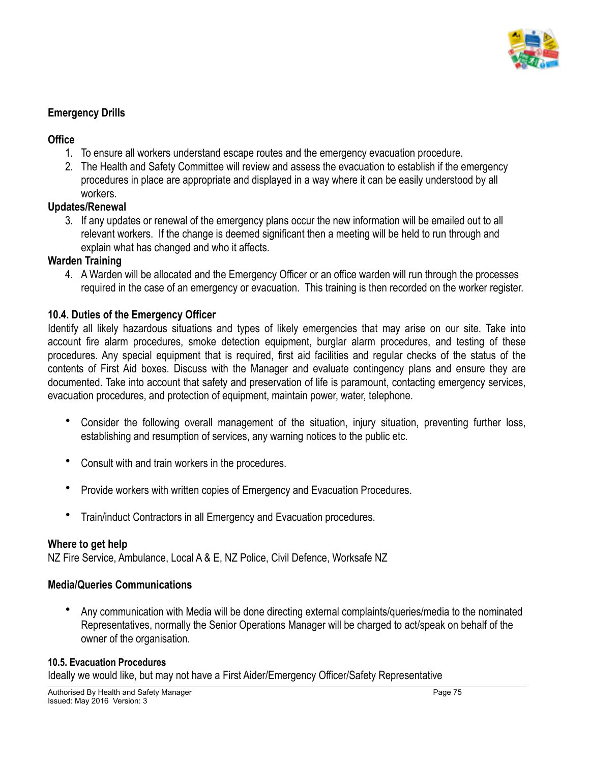

# **Emergency Drills**

#### **Office**

- 1. To ensure all workers understand escape routes and the emergency evacuation procedure.
- 2. The Health and Safety Committee will review and assess the evacuation to establish if the emergency procedures in place are appropriate and displayed in a way where it can be easily understood by all workers.

# **Updates/Renewal**

3. If any updates or renewal of the emergency plans occur the new information will be emailed out to all relevant workers. If the change is deemed significant then a meeting will be held to run through and explain what has changed and who it affects.

# **Warden Training**

4. A Warden will be allocated and the Emergency Officer or an office warden will run through the processes required in the case of an emergency or evacuation. This training is then recorded on the worker register.

# **10.4. Duties of the Emergency Officer**

Identify all likely hazardous situations and types of likely emergencies that may arise on our site. Take into account fire alarm procedures, smoke detection equipment, burglar alarm procedures, and testing of these procedures. Any special equipment that is required, first aid facilities and regular checks of the status of the contents of First Aid boxes. Discuss with the Manager and evaluate contingency plans and ensure they are documented. Take into account that safety and preservation of life is paramount, contacting emergency services, evacuation procedures, and protection of equipment, maintain power, water, telephone.

- Consider the following overall management of the situation, injury situation, preventing further loss, establishing and resumption of services, any warning notices to the public etc.
- Consult with and train workers in the procedures.
- Provide workers with written copies of Emergency and Evacuation Procedures.
- Train/induct Contractors in all Emergency and Evacuation procedures.

#### **Where to get help**

NZ Fire Service, Ambulance, Local A & E, NZ Police, Civil Defence, Worksafe NZ

#### **Media/Queries Communications**

• Any communication with Media will be done directing external complaints/queries/media to the nominated Representatives, normally the Senior Operations Manager will be charged to act/speak on behalf of the owner of the organisation.

#### **10.5. Evacuation Procedures**

Ideally we would like, but may not have a First Aider/Emergency Officer/Safety Representative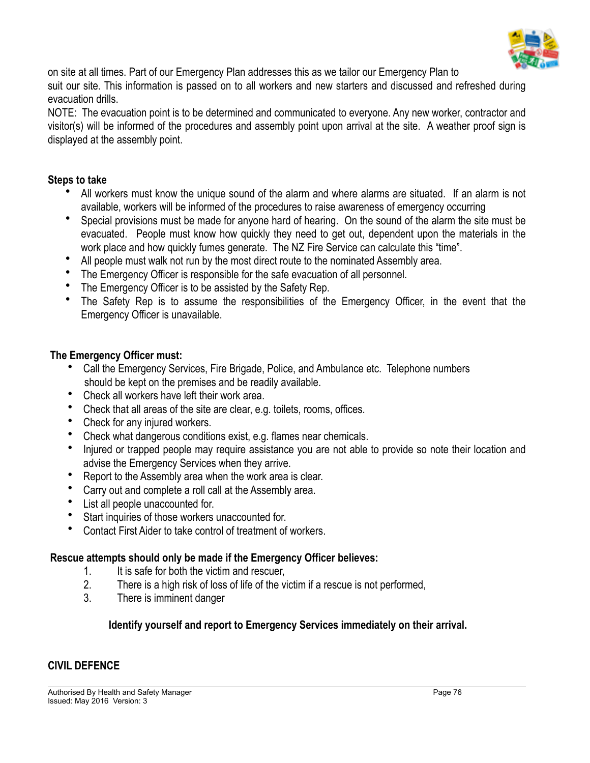

on site at all times. Part of our Emergency Plan addresses this as we tailor our Emergency Plan to suit our site. This information is passed on to all workers and new starters and discussed and refreshed during evacuation drills.

NOTE: The evacuation point is to be determined and communicated to everyone. Any new worker, contractor and visitor(s) will be informed of the procedures and assembly point upon arrival at the site. A weather proof sign is displayed at the assembly point.

#### **Steps to take**

- All workers must know the unique sound of the alarm and where alarms are situated. If an alarm is not available, workers will be informed of the procedures to raise awareness of emergency occurring
- Special provisions must be made for anyone hard of hearing. On the sound of the alarm the site must be evacuated. People must know how quickly they need to get out, dependent upon the materials in the work place and how quickly fumes generate. The NZ Fire Service can calculate this "time".
- All people must walk not run by the most direct route to the nominated Assembly area.
- The Emergency Officer is responsible for the safe evacuation of all personnel.
- The Emergency Officer is to be assisted by the Safety Rep.
- The Safety Rep is to assume the responsibilities of the Emergency Officer, in the event that the Emergency Officer is unavailable.

#### **The Emergency Officer must:**

- Call the Emergency Services, Fire Brigade, Police, and Ambulance etc. Telephone numbers should be kept on the premises and be readily available.
- Check all workers have left their work area.
- Check that all areas of the site are clear, e.g. toilets, rooms, offices.
- Check for any injured workers.
- Check what dangerous conditions exist, e.g. flames near chemicals.
- Injured or trapped people may require assistance you are not able to provide so note their location and advise the Emergency Services when they arrive.
- Report to the Assembly area when the work area is clear.
- Carry out and complete a roll call at the Assembly area.
- List all people unaccounted for.
- Start inquiries of those workers unaccounted for.
- Contact First Aider to take control of treatment of workers.

#### **Rescue attempts should only be made if the Emergency Officer believes:**

- 1. It is safe for both the victim and rescuer,
- 2. There is a high risk of loss of life of the victim if a rescue is not performed,
- 3. There is imminent danger

# **Identify yourself and report to Emergency Services immediately on their arrival.**

#### **CIVIL DEFENCE**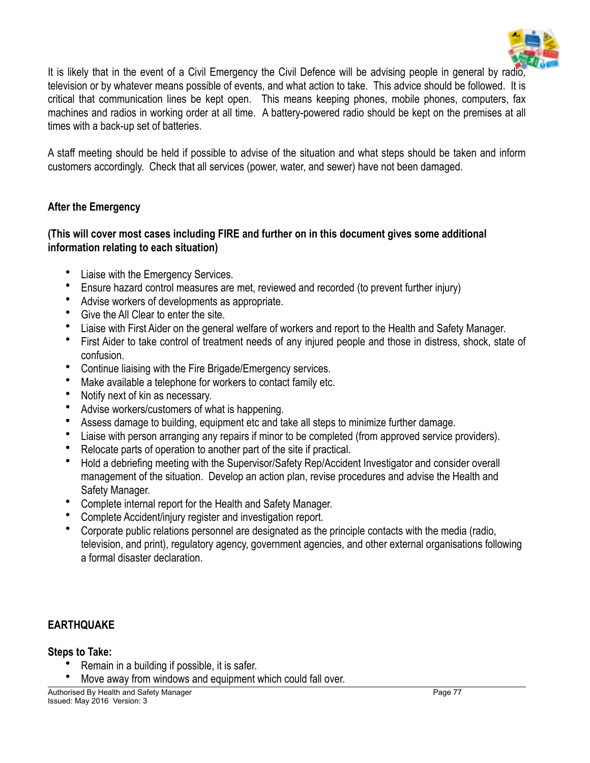

It is likely that in the event of a Civil Emergency the Civil Defence will be advising people in general by radio, television or by whatever means possible of events, and what action to take. This advice should be followed. It is critical that communication lines be kept open. This means keeping phones, mobile phones, computers, fax machines and radios in working order at all time. A battery-powered radio should be kept on the premises at all times with a back-up set of batteries.

A staff meeting should be held if possible to advise of the situation and what steps should be taken and inform customers accordingly. Check that all services (power, water, and sewer) have not been damaged.

# **After the Emergency**

#### **(This will cover most cases including FIRE and further on in this document gives some additional information relating to each situation)**

- Liaise with the Emergency Services.
- Ensure hazard control measures are met, reviewed and recorded (to prevent further injury)
- Advise workers of developments as appropriate.
- Give the All Clear to enter the site.
- Liaise with First Aider on the general welfare of workers and report to the Health and Safety Manager.
- First Aider to take control of treatment needs of any injured people and those in distress, shock, state of confusion.
- Continue liaising with the Fire Brigade/Emergency services.
- Make available a telephone for workers to contact family etc.
- Notify next of kin as necessary.
- Advise workers/customers of what is happening.
- Assess damage to building, equipment etc and take all steps to minimize further damage.
- Liaise with person arranging any repairs if minor to be completed (from approved service providers).
- Relocate parts of operation to another part of the site if practical.
- Hold a debriefing meeting with the Supervisor/Safety Rep/Accident Investigator and consider overall management of the situation. Develop an action plan, revise procedures and advise the Health and Safety Manager.
- Complete internal report for the Health and Safety Manager.
- Complete Accident/injury register and investigation report.
- Corporate public relations personnel are designated as the principle contacts with the media (radio, television, and print), regulatory agency, government agencies, and other external organisations following a formal disaster declaration.

# **EARTHQUAKE**

#### **Steps to Take:**

- Remain in a building if possible, it is safer.
- Move away from windows and equipment which could fall over.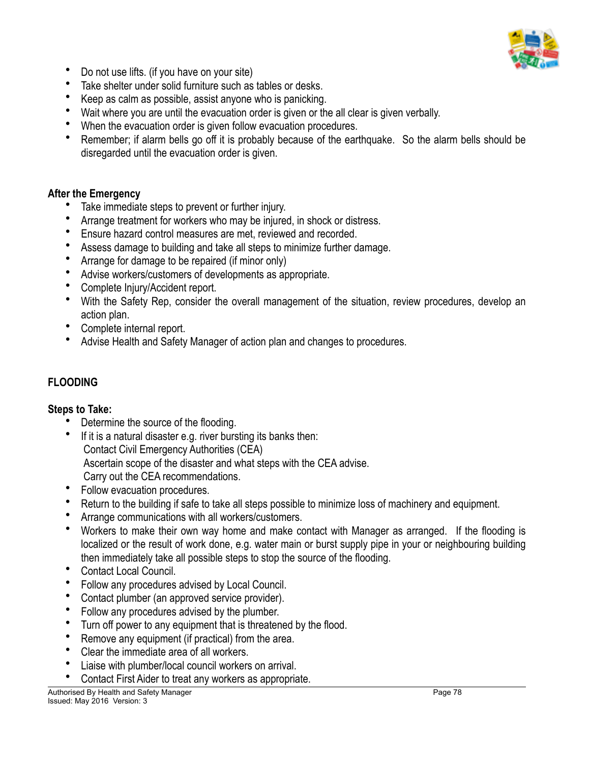

- Do not use lifts. (if you have on your site)
- Take shelter under solid furniture such as tables or desks.
- Keep as calm as possible, assist anyone who is panicking.
- Wait where you are until the evacuation order is given or the all clear is given verbally.
- When the evacuation order is given follow evacuation procedures.
- Remember; if alarm bells go off it is probably because of the earthquake. So the alarm bells should be disregarded until the evacuation order is given.

#### **After the Emergency**

- Take immediate steps to prevent or further injury.
- Arrange treatment for workers who may be injured, in shock or distress.
- Ensure hazard control measures are met, reviewed and recorded.
- Assess damage to building and take all steps to minimize further damage.
- Arrange for damage to be repaired (if minor only)
- Advise workers/customers of developments as appropriate.
- Complete Injury/Accident report.
- With the Safety Rep, consider the overall management of the situation, review procedures, develop an action plan.
- Complete internal report.
- Advise Health and Safety Manager of action plan and changes to procedures.

# **FLOODING**

#### **Steps to Take:**

- Determine the source of the flooding.
- If it is a natural disaster e.g. river bursting its banks then: Contact Civil Emergency Authorities (CEA) Ascertain scope of the disaster and what steps with the CEA advise. Carry out the CEA recommendations.
- Follow evacuation procedures.
- Return to the building if safe to take all steps possible to minimize loss of machinery and equipment.
- Arrange communications with all workers/customers.
- Workers to make their own way home and make contact with Manager as arranged. If the flooding is localized or the result of work done, e.g. water main or burst supply pipe in your or neighbouring building then immediately take all possible steps to stop the source of the flooding.
- Contact Local Council.
- Follow any procedures advised by Local Council.
- Contact plumber (an approved service provider).
- Follow any procedures advised by the plumber.
- Turn off power to any equipment that is threatened by the flood.
- Remove any equipment (if practical) from the area.
- Clear the immediate area of all workers.
- Liaise with plumber/local council workers on arrival.
- Contact First Aider to treat any workers as appropriate.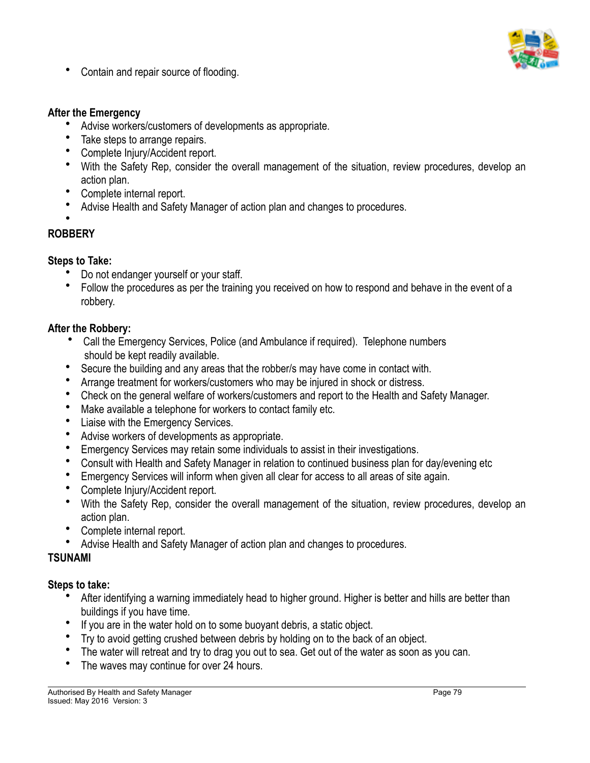

• Contain and repair source of flooding.

#### **After the Emergency**

- Advise workers/customers of developments as appropriate.
- Take steps to arrange repairs.
- Complete Injury/Accident report.
- With the Safety Rep, consider the overall management of the situation, review procedures, develop an action plan.
- Complete internal report.
- Advise Health and Safety Manager of action plan and changes to procedures.
- •

# **ROBBERY**

# **Steps to Take:**

- Do not endanger yourself or your staff.
- Follow the procedures as per the training you received on how to respond and behave in the event of a robbery.

# **After the Robbery:**

- Call the Emergency Services, Police (and Ambulance if required). Telephone numbers should be kept readily available.
- Secure the building and any areas that the robber/s may have come in contact with.
- Arrange treatment for workers/customers who may be injured in shock or distress.
- Check on the general welfare of workers/customers and report to the Health and Safety Manager.
- Make available a telephone for workers to contact family etc.
- Liaise with the Emergency Services.
- Advise workers of developments as appropriate.
- Emergency Services may retain some individuals to assist in their investigations.
- Consult with Health and Safety Manager in relation to continued business plan for day/evening etc
- Emergency Services will inform when given all clear for access to all areas of site again.
- Complete Injury/Accident report.
- With the Safety Rep, consider the overall management of the situation, review procedures, develop an action plan.
- Complete internal report.
- Advise Health and Safety Manager of action plan and changes to procedures.

# **TSUNAMI**

# **Steps to take:**

- After identifying a warning immediately head to higher ground. Higher is better and hills are better than buildings if you have time.
- If you are in the water hold on to some buoyant debris, a static object.
- Try to avoid getting crushed between debris by holding on to the back of an object.
- The water will retreat and try to drag you out to sea. Get out of the water as soon as you can.
- The waves may continue for over 24 hours.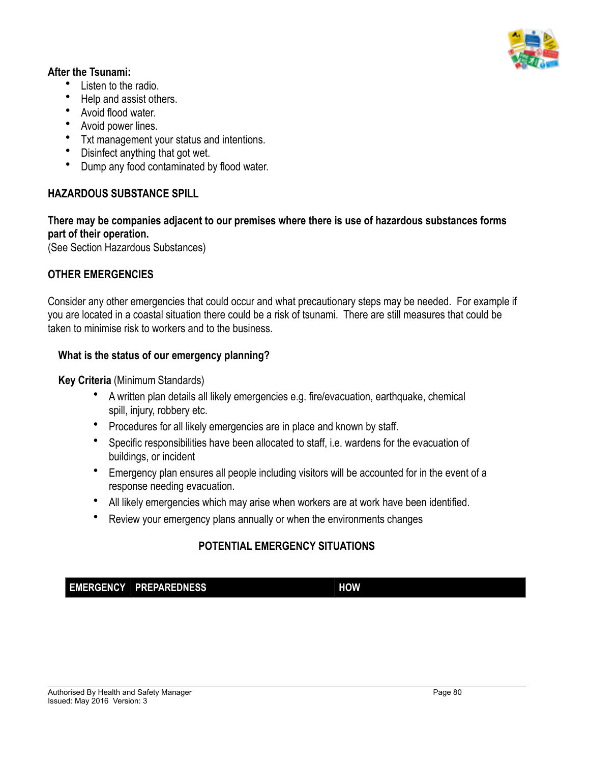

#### **After the Tsunami:**

- Listen to the radio.
- Help and assist others.
- Avoid flood water.
- Avoid power lines.
- Txt management your status and intentions.
- Disinfect anything that got wet.
- Dump any food contaminated by flood water.

# **HAZARDOUS SUBSTANCE SPILL**

# **There may be companies adjacent to our premises where there is use of hazardous substances forms part of their operation.**

(See Section Hazardous Substances)

# **OTHER EMERGENCIES**

Consider any other emergencies that could occur and what precautionary steps may be needed. For example if you are located in a coastal situation there could be a risk of tsunami. There are still measures that could be taken to minimise risk to workers and to the business.

# **What is the status of our emergency planning?**

**Key Criteria** (Minimum Standards)

- A written plan details all likely emergencies e.g. fire/evacuation, earthquake, chemical spill, injury, robbery etc.
- Procedures for all likely emergencies are in place and known by staff.
- Specific responsibilities have been allocated to staff, i.e. wardens for the evacuation of buildings, or incident
- Emergency plan ensures all people including visitors will be accounted for in the event of a response needing evacuation.
- All likely emergencies which may arise when workers are at work have been identified.
- Review your emergency plans annually or when the environments changes

# **POTENTIAL EMERGENCY SITUATIONS**

**EMERGENCY PREPAREDNESS HOW**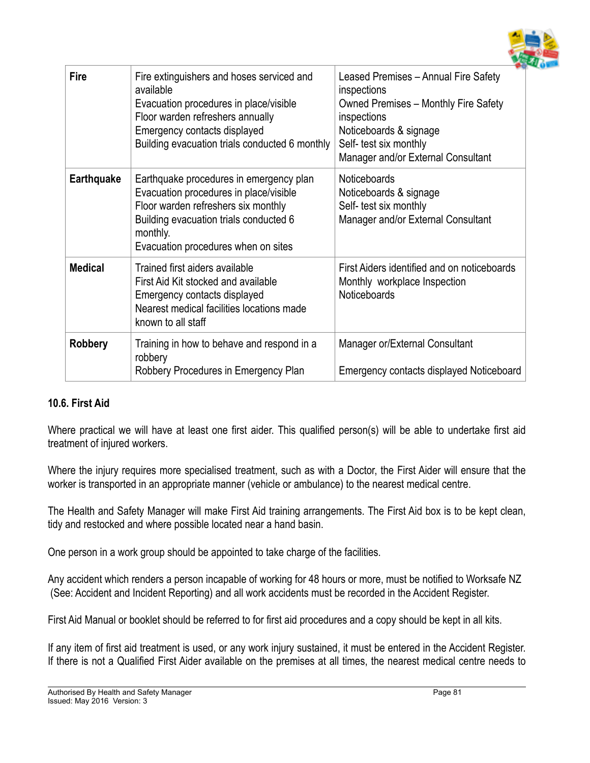

| <b>Fire</b>       | Fire extinguishers and hoses serviced and<br>available<br>Evacuation procedures in place/visible<br>Floor warden refreshers annually<br>Emergency contacts displayed<br>Building evacuation trials conducted 6 monthly | Leased Premises - Annual Fire Safety<br>inspections<br><b>Owned Premises - Monthly Fire Safety</b><br>inspections<br>Noticeboards & signage<br>Self- test six monthly<br>Manager and/or External Consultant |
|-------------------|------------------------------------------------------------------------------------------------------------------------------------------------------------------------------------------------------------------------|-------------------------------------------------------------------------------------------------------------------------------------------------------------------------------------------------------------|
| <b>Earthquake</b> | Earthquake procedures in emergency plan<br>Evacuation procedures in place/visible<br>Floor warden refreshers six monthly<br>Building evacuation trials conducted 6<br>monthly.<br>Evacuation procedures when on sites  | <b>Noticeboards</b><br>Noticeboards & signage<br>Self- test six monthly<br>Manager and/or External Consultant                                                                                               |
| <b>Medical</b>    | Trained first aiders available<br>First Aid Kit stocked and available<br>Emergency contacts displayed<br>Nearest medical facilities locations made<br>known to all staff                                               | First Aiders identified and on noticeboards<br>Monthly workplace Inspection<br><b>Noticeboards</b>                                                                                                          |
| <b>Robbery</b>    | Training in how to behave and respond in a<br>robbery<br>Robbery Procedures in Emergency Plan                                                                                                                          | Manager or/External Consultant<br>Emergency contacts displayed Noticeboard                                                                                                                                  |

# **10.6. First Aid**

Where practical we will have at least one first aider. This qualified person(s) will be able to undertake first aid treatment of injured workers.

Where the injury requires more specialised treatment, such as with a Doctor, the First Aider will ensure that the worker is transported in an appropriate manner (vehicle or ambulance) to the nearest medical centre.

The Health and Safety Manager will make First Aid training arrangements. The First Aid box is to be kept clean, tidy and restocked and where possible located near a hand basin.

One person in a work group should be appointed to take charge of the facilities.

Any accident which renders a person incapable of working for 48 hours or more, must be notified to Worksafe NZ (See: Accident and Incident Reporting) and all work accidents must be recorded in the Accident Register.

First Aid Manual or booklet should be referred to for first aid procedures and a copy should be kept in all kits.

If any item of first aid treatment is used, or any work injury sustained, it must be entered in the Accident Register. If there is not a Qualified First Aider available on the premises at all times, the nearest medical centre needs to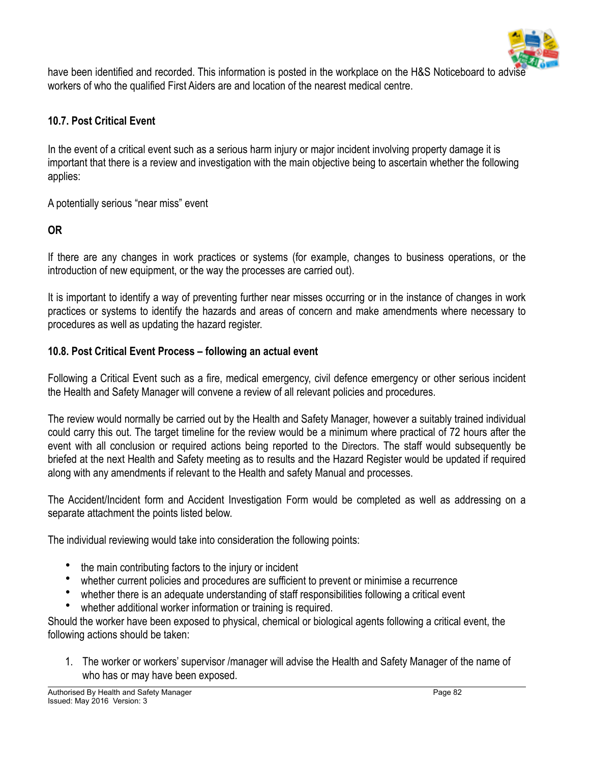

have been identified and recorded. This information is posted in the workplace on the H&S Noticeboard to advise workers of who the qualified First Aiders are and location of the nearest medical centre.

# **10.7. Post Critical Event**

In the event of a critical event such as a serious harm injury or major incident involving property damage it is important that there is a review and investigation with the main objective being to ascertain whether the following applies:

A potentially serious "near miss" event

# **OR**

If there are any changes in work practices or systems (for example, changes to business operations, or the introduction of new equipment, or the way the processes are carried out).

It is important to identify a way of preventing further near misses occurring or in the instance of changes in work practices or systems to identify the hazards and areas of concern and make amendments where necessary to procedures as well as updating the hazard register.

# **10.8. Post Critical Event Process – following an actual event**

Following a Critical Event such as a fire, medical emergency, civil defence emergency or other serious incident the Health and Safety Manager will convene a review of all relevant policies and procedures.

The review would normally be carried out by the Health and Safety Manager, however a suitably trained individual could carry this out. The target timeline for the review would be a minimum where practical of 72 hours after the event with all conclusion or required actions being reported to the Directors. The staff would subsequently be briefed at the next Health and Safety meeting as to results and the Hazard Register would be updated if required along with any amendments if relevant to the Health and safety Manual and processes.

The Accident/Incident form and Accident Investigation Form would be completed as well as addressing on a separate attachment the points listed below.

The individual reviewing would take into consideration the following points:

- the main contributing factors to the injury or incident
- whether current policies and procedures are sufficient to prevent or minimise a recurrence
- whether there is an adequate understanding of staff responsibilities following a critical event
- whether additional worker information or training is required.

Should the worker have been exposed to physical, chemical or biological agents following a critical event, the following actions should be taken:

1. The worker or workers' supervisor /manager will advise the Health and Safety Manager of the name of who has or may have been exposed.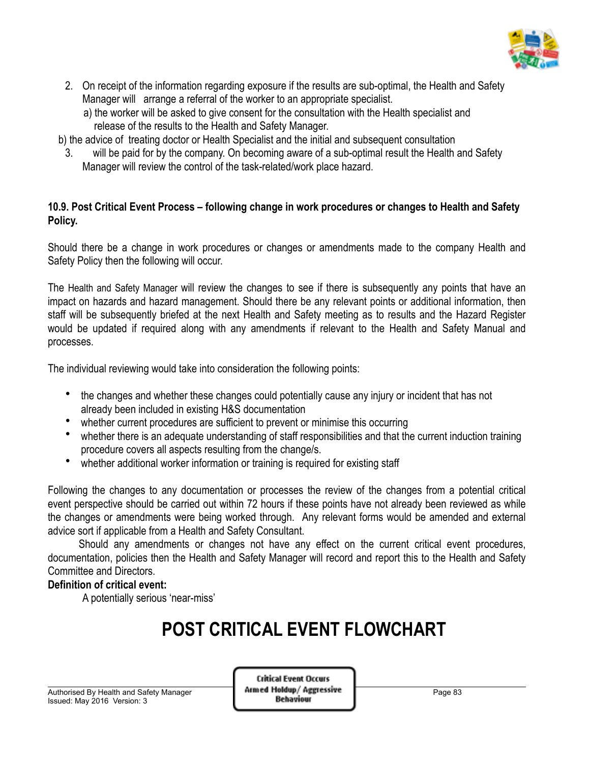

- 2. On receipt of the information regarding exposure if the results are sub-optimal, the Health and Safety Manager will arrange a referral of the worker to an appropriate specialist.
	- a) the worker will be asked to give consent for the consultation with the Health specialist and release of the results to the Health and Safety Manager.
- b) the advice of treating doctor or Health Specialist and the initial and subsequent consultation
	- 3. will be paid for by the company. On becoming aware of a sub-optimal result the Health and Safety Manager will review the control of the task-related/work place hazard.

# **10.9. Post Critical Event Process – following change in work procedures or changes to Health and Safety Policy.**

Should there be a change in work procedures or changes or amendments made to the company Health and Safety Policy then the following will occur.

The Health and Safety Manager will review the changes to see if there is subsequently any points that have an impact on hazards and hazard management. Should there be any relevant points or additional information, then staff will be subsequently briefed at the next Health and Safety meeting as to results and the Hazard Register would be updated if required along with any amendments if relevant to the Health and Safety Manual and processes.

The individual reviewing would take into consideration the following points:

- the changes and whether these changes could potentially cause any injury or incident that has not already been included in existing H&S documentation
- whether current procedures are sufficient to prevent or minimise this occurring
- whether there is an adequate understanding of staff responsibilities and that the current induction training procedure covers all aspects resulting from the change/s.
- whether additional worker information or training is required for existing staff

Following the changes to any documentation or processes the review of the changes from a potential critical event perspective should be carried out within 72 hours if these points have not already been reviewed as while the changes or amendments were being worked through. Any relevant forms would be amended and external advice sort if applicable from a Health and Safety Consultant.

 Should any amendments or changes not have any effect on the current critical event procedures, documentation, policies then the Health and Safety Manager will record and report this to the Health and Safety Committee and Directors.

# **Definition of critical event:**

A potentially serious 'near-miss'

# **POST CRITICAL EVENT FLOWCHART**

Authorised By Health and Safety Manager<br>Issued: May 2016, Version: 3 **Page 83**<br>**Behaviour Behaviour** Issued: May 2016 Version: 3

**Critical Event Occurs**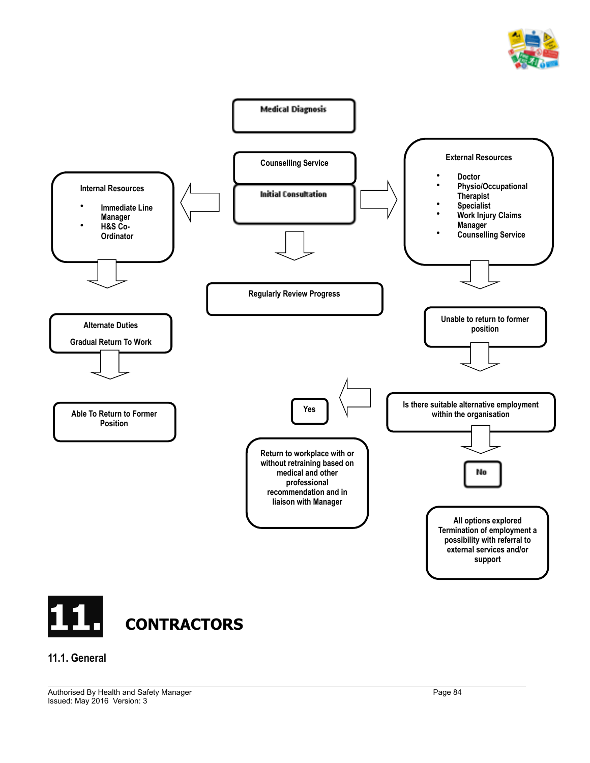



#### **11.1. General**

Authorised By Health and Safety Manager **Page 84** Page 84 Issued: May 2016 Version: 3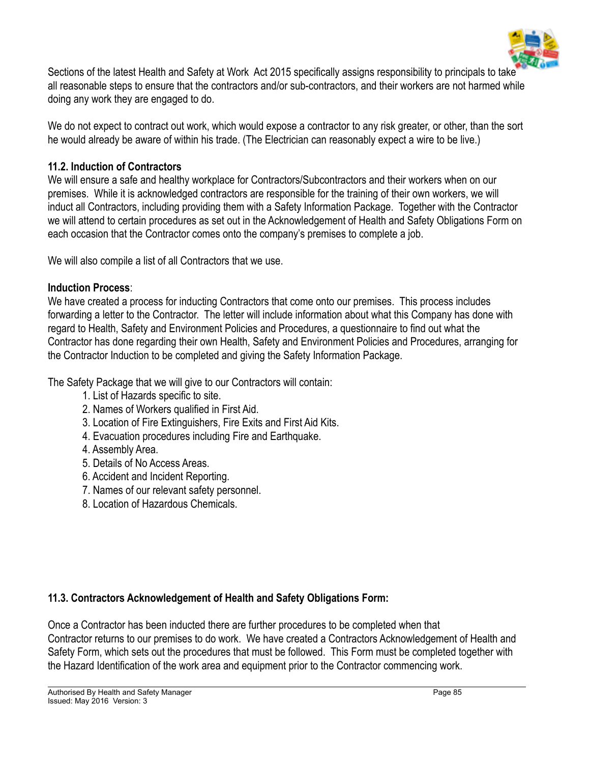

Sections of the latest Health and Safety at Work Act 2015 specifically assigns responsibility to principals to take all reasonable steps to ensure that the contractors and/or sub-contractors, and their workers are not harmed while doing any work they are engaged to do.

We do not expect to contract out work, which would expose a contractor to any risk greater, or other, than the sort he would already be aware of within his trade. (The Electrician can reasonably expect a wire to be live.)

# **11.2. Induction of Contractors**

We will ensure a safe and healthy workplace for Contractors/Subcontractors and their workers when on our premises. While it is acknowledged contractors are responsible for the training of their own workers, we will induct all Contractors, including providing them with a Safety Information Package. Together with the Contractor we will attend to certain procedures as set out in the Acknowledgement of Health and Safety Obligations Form on each occasion that the Contractor comes onto the company's premises to complete a job.

We will also compile a list of all Contractors that we use.

# **Induction Process**:

We have created a process for inducting Contractors that come onto our premises. This process includes forwarding a letter to the Contractor. The letter will include information about what this Company has done with regard to Health, Safety and Environment Policies and Procedures, a questionnaire to find out what the Contractor has done regarding their own Health, Safety and Environment Policies and Procedures, arranging for the Contractor Induction to be completed and giving the Safety Information Package.

The Safety Package that we will give to our Contractors will contain:

- 1. List of Hazards specific to site.
- 2. Names of Workers qualified in First Aid.
- 3. Location of Fire Extinguishers, Fire Exits and First Aid Kits.
- 4. Evacuation procedures including Fire and Earthquake.
- 4. Assembly Area.
- 5. Details of No Access Areas.
- 6. Accident and Incident Reporting.
- 7. Names of our relevant safety personnel.
- 8. Location of Hazardous Chemicals.

# **11.3. Contractors Acknowledgement of Health and Safety Obligations Form:**

Once a Contractor has been inducted there are further procedures to be completed when that Contractor returns to our premises to do work. We have created a Contractors Acknowledgement of Health and Safety Form, which sets out the procedures that must be followed. This Form must be completed together with the Hazard Identification of the work area and equipment prior to the Contractor commencing work.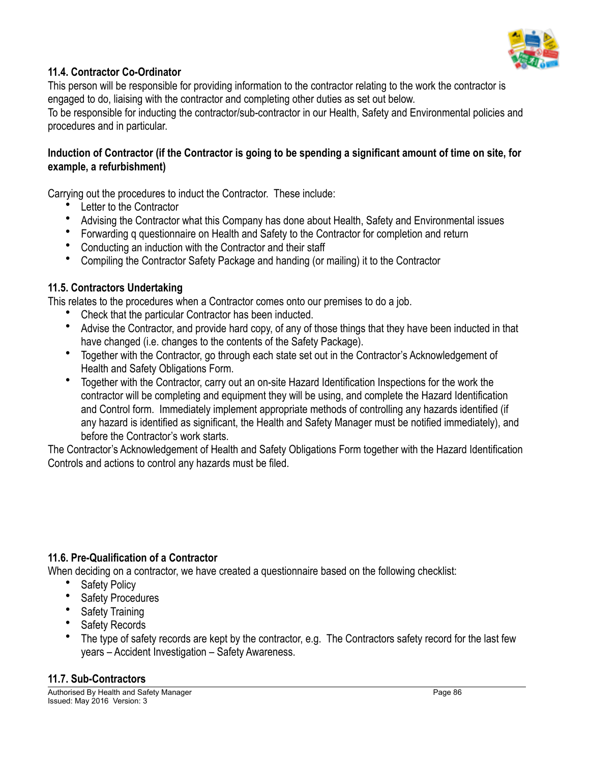

# **11.4. Contractor Co-Ordinator**

This person will be responsible for providing information to the contractor relating to the work the contractor is engaged to do, liaising with the contractor and completing other duties as set out below.

To be responsible for inducting the contractor/sub-contractor in our Health, Safety and Environmental policies and procedures and in particular.

# **Induction of Contractor (if the Contractor is going to be spending a significant amount of time on site, for example, a refurbishment)**

Carrying out the procedures to induct the Contractor. These include:

- Letter to the Contractor
- Advising the Contractor what this Company has done about Health, Safety and Environmental issues
- Forwarding q questionnaire on Health and Safety to the Contractor for completion and return
- Conducting an induction with the Contractor and their staff
- Compiling the Contractor Safety Package and handing (or mailing) it to the Contractor

# **11.5. Contractors Undertaking**

This relates to the procedures when a Contractor comes onto our premises to do a job.

- Check that the particular Contractor has been inducted.
- Advise the Contractor, and provide hard copy, of any of those things that they have been inducted in that have changed (i.e. changes to the contents of the Safety Package).
- Together with the Contractor, go through each state set out in the Contractor's Acknowledgement of Health and Safety Obligations Form.
- Together with the Contractor, carry out an on-site Hazard Identification Inspections for the work the contractor will be completing and equipment they will be using, and complete the Hazard Identification and Control form. Immediately implement appropriate methods of controlling any hazards identified (if any hazard is identified as significant, the Health and Safety Manager must be notified immediately), and before the Contractor's work starts.

The Contractor's Acknowledgement of Health and Safety Obligations Form together with the Hazard Identification Controls and actions to control any hazards must be filed.

# **11.6. Pre-Qualification of a Contractor**

When deciding on a contractor, we have created a questionnaire based on the following checklist:

- Safety Policy
- Safety Procedures
- Safety Training
- Safety Records
- The type of safety records are kept by the contractor, e.g. The Contractors safety record for the last few years – Accident Investigation – Safety Awareness.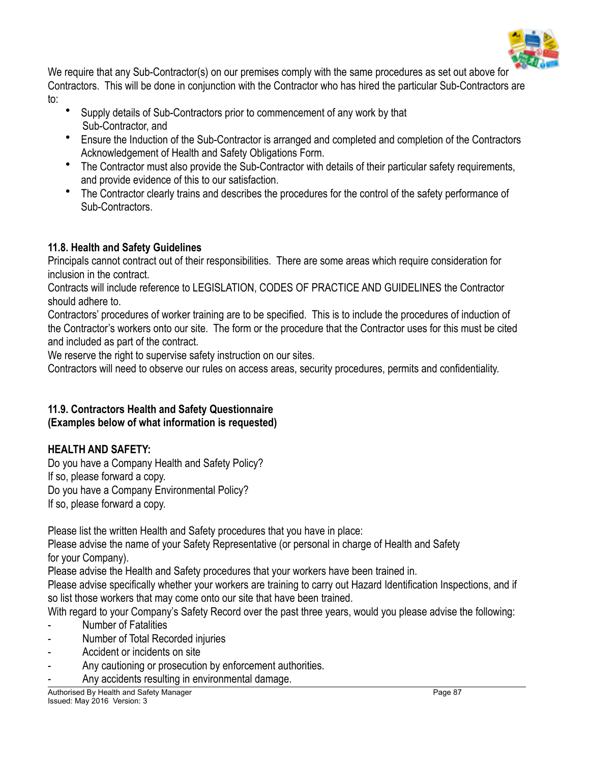

We require that any Sub-Contractor(s) on our premises comply with the same procedures as set out above for Contractors. This will be done in conjunction with the Contractor who has hired the particular Sub-Contractors are to:

- Supply details of Sub-Contractors prior to commencement of any work by that Sub-Contractor, and
- Ensure the Induction of the Sub-Contractor is arranged and completed and completion of the Contractors Acknowledgement of Health and Safety Obligations Form.
- The Contractor must also provide the Sub-Contractor with details of their particular safety requirements, and provide evidence of this to our satisfaction.
- The Contractor clearly trains and describes the procedures for the control of the safety performance of Sub-Contractors.

# **11.8. Health and Safety Guidelines**

Principals cannot contract out of their responsibilities. There are some areas which require consideration for inclusion in the contract.

Contracts will include reference to LEGISLATION, CODES OF PRACTICE AND GUIDELINES the Contractor should adhere to.

Contractors' procedures of worker training are to be specified. This is to include the procedures of induction of the Contractor's workers onto our site. The form or the procedure that the Contractor uses for this must be cited and included as part of the contract.

We reserve the right to supervise safety instruction on our sites.

Contractors will need to observe our rules on access areas, security procedures, permits and confidentiality.

#### **11.9. Contractors Health and Safety Questionnaire (Examples below of what information is requested)**

# **HEALTH AND SAFETY:**

Do you have a Company Health and Safety Policy? If so, please forward a copy. Do you have a Company Environmental Policy? If so, please forward a copy.

Please list the written Health and Safety procedures that you have in place:

Please advise the name of your Safety Representative (or personal in charge of Health and Safety for your Company).

Please advise the Health and Safety procedures that your workers have been trained in.

Please advise specifically whether your workers are training to carry out Hazard Identification Inspections, and if so list those workers that may come onto our site that have been trained.

With regard to your Company's Safety Record over the past three years, would you please advise the following:

- **Number of Fatalities**
- Number of Total Recorded injuries
- Accident or incidents on site
- Any cautioning or prosecution by enforcement authorities.
- Any accidents resulting in environmental damage.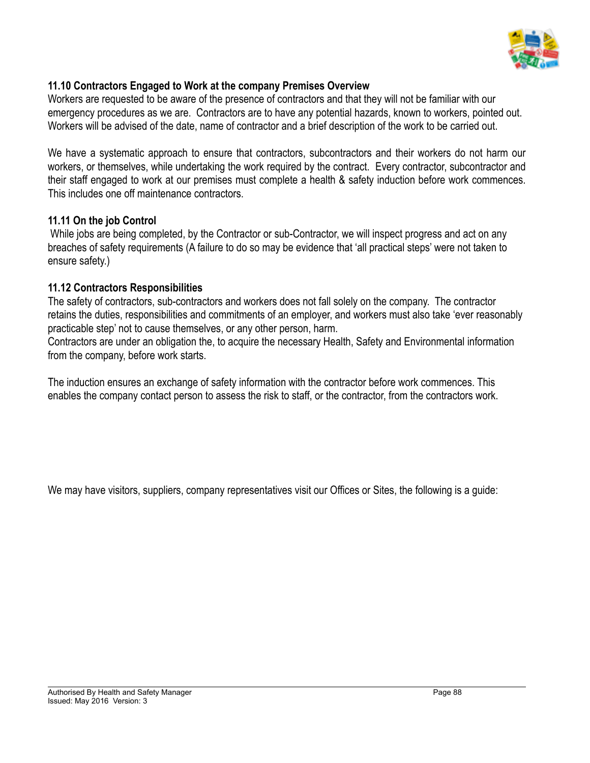

### **11.10 Contractors Engaged to Work at the company Premises Overview**

Workers are requested to be aware of the presence of contractors and that they will not be familiar with our emergency procedures as we are. Contractors are to have any potential hazards, known to workers, pointed out. Workers will be advised of the date, name of contractor and a brief description of the work to be carried out.

We have a systematic approach to ensure that contractors, subcontractors and their workers do not harm our workers, or themselves, while undertaking the work required by the contract. Every contractor, subcontractor and their staff engaged to work at our premises must complete a health & safety induction before work commences. This includes one off maintenance contractors.

#### **11.11 On the job Control**

While jobs are being completed, by the Contractor or sub-Contractor, we will inspect progress and act on any breaches of safety requirements (A failure to do so may be evidence that 'all practical steps' were not taken to ensure safety.)

#### **11.12 Contractors Responsibilities**

The safety of contractors, sub-contractors and workers does not fall solely on the company. The contractor retains the duties, responsibilities and commitments of an employer, and workers must also take 'ever reasonably practicable step' not to cause themselves, or any other person, harm.

Contractors are under an obligation the, to acquire the necessary Health, Safety and Environmental information from the company, before work starts.

The induction ensures an exchange of safety information with the contractor before work commences. This enables the company contact person to assess the risk to staff, or the contractor, from the contractors work.

We may have visitors, suppliers, company representatives visit our Offices or Sites, the following is a quide: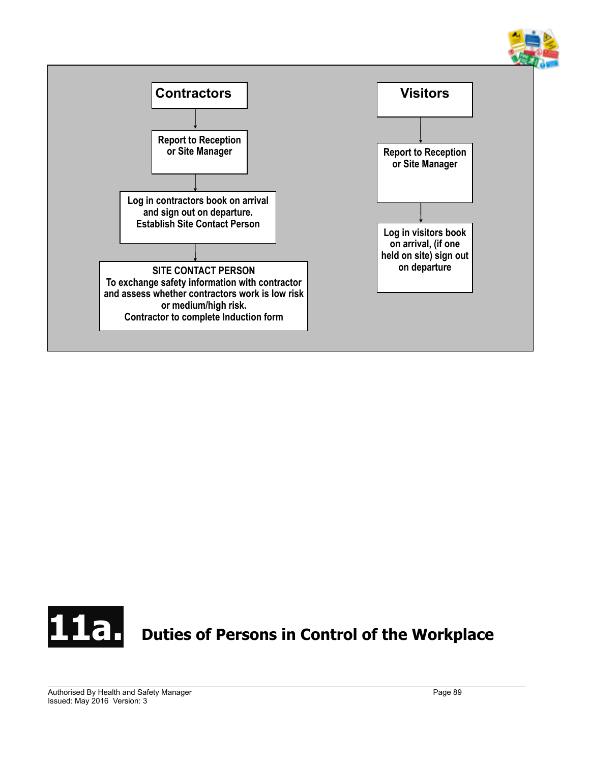



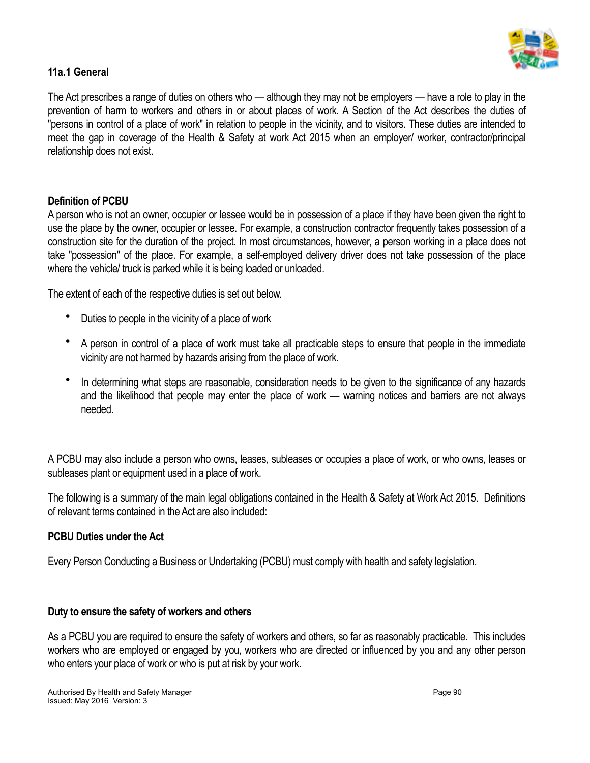

# **11a.1 General**

The Act prescribes a range of duties on others who — although they may not be employers — have a role to play in the prevention of harm to workers and others in or about places of work. A Section of the Act describes the duties of "persons in control of a place of work" in relation to people in the vicinity, and to visitors. These duties are intended to meet the gap in coverage of the Health & Safety at work Act 2015 when an employer/ worker, contractor/principal relationship does not exist.

#### **Definition of PCBU**

A person who is not an owner, occupier or lessee would be in possession of a place if they have been given the right to use the place by the owner, occupier or lessee. For example, a construction contractor frequently takes possession of a construction site for the duration of the project. In most circumstances, however, a person working in a place does not take "possession" of the place. For example, a self-employed delivery driver does not take possession of the place where the vehicle/ truck is parked while it is being loaded or unloaded.

The extent of each of the respective duties is set out below.

- Duties to people in the vicinity of a place of work
- A person in control of a place of work must take all practicable steps to ensure that people in the immediate vicinity are not harmed by hazards arising from the place of work.
- In determining what steps are reasonable, consideration needs to be given to the significance of any hazards and the likelihood that people may enter the place of work — warning notices and barriers are not always needed.

A PCBU may also include a person who owns, leases, subleases or occupies a place of work, or who owns, leases or subleases plant or equipment used in a place of work.

The following is a summary of the main legal obligations contained in the Health & Safety at Work Act 2015. Definitions of relevant terms contained in the Act are also included:

#### **PCBU Duties under the Act**

Every Person Conducting a Business or Undertaking (PCBU) must comply with health and safety legislation.

#### **Duty to ensure the safety of workers and others**

As a PCBU you are required to ensure the safety of workers and others, so far as reasonably practicable. This includes workers who are employed or engaged by you, workers who are directed or influenced by you and any other person who enters your place of work or who is put at risk by your work.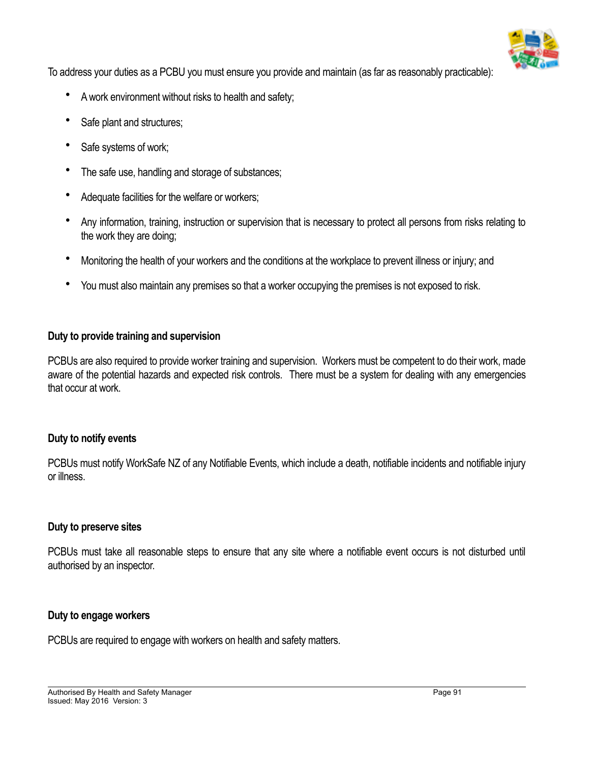

To address your duties as a PCBU you must ensure you provide and maintain (as far as reasonably practicable):

- A work environment without risks to health and safety;
- Safe plant and structures;
- Safe systems of work;
- The safe use, handling and storage of substances;
- Adequate facilities for the welfare or workers;
- Any information, training, instruction or supervision that is necessary to protect all persons from risks relating to the work they are doing;
- Monitoring the health of your workers and the conditions at the workplace to prevent illness or injury; and
- You must also maintain any premises so that a worker occupying the premises is not exposed to risk.

#### **Duty to provide training and supervision**

PCBUs are also required to provide worker training and supervision. Workers must be competent to do their work, made aware of the potential hazards and expected risk controls. There must be a system for dealing with any emergencies that occur at work.

#### **Duty to notify events**

PCBUs must notify WorkSafe NZ of any Notifiable Events, which include a death, notifiable incidents and notifiable injury or illness.

#### **Duty to preserve sites**

PCBUs must take all reasonable steps to ensure that any site where a notifiable event occurs is not disturbed until authorised by an inspector.

#### **Duty to engage workers**

PCBUs are required to engage with workers on health and safety matters.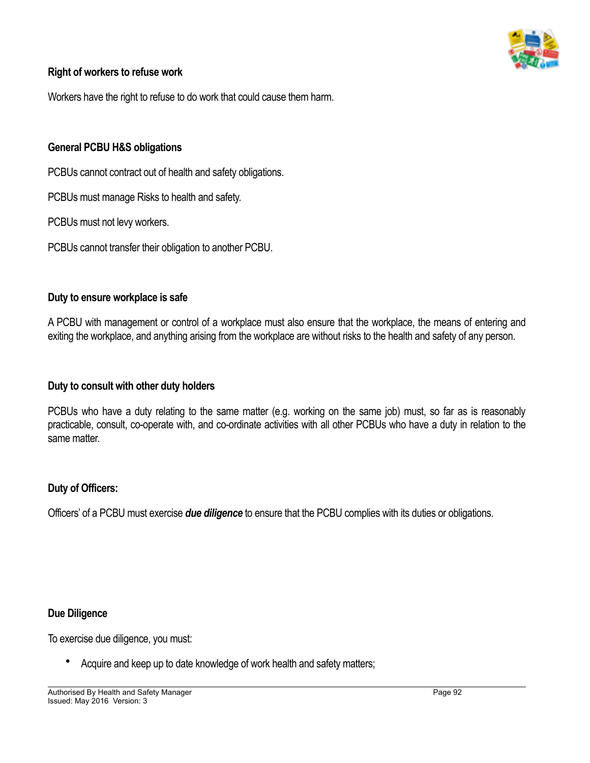

#### **Right of workers to refuse work**

Workers have the right to refuse to do work that could cause them harm.

#### **General PCBU H&S obligations**

PCBUs cannot contract out of health and safety obligations.

PCBUs must manage Risks to health and safety.

PCBUs must not levy workers.

PCBUs cannot transfer their obligation to another PCBU.

#### **Duty to ensure workplace is safe**

A PCBU with management or control of a workplace must also ensure that the workplace, the means of entering and exiting the workplace, and anything arising from the workplace are without risks to the health and safety of any person.

#### **Duty to consult with other duty holders**

PCBUs who have a duty relating to the same matter (e.g. working on the same job) must, so far as is reasonably practicable, consult, co-operate with, and co-ordinate activities with all other PCBUs who have a duty in relation to the same matter.

#### **Duty of Officers:**

Officers' of a PCBU must exercise *due diligence* to ensure that the PCBU complies with its duties or obligations.

#### **Due Diligence**

To exercise due diligence, you must:

• Acquire and keep up to date knowledge of work health and safety matters;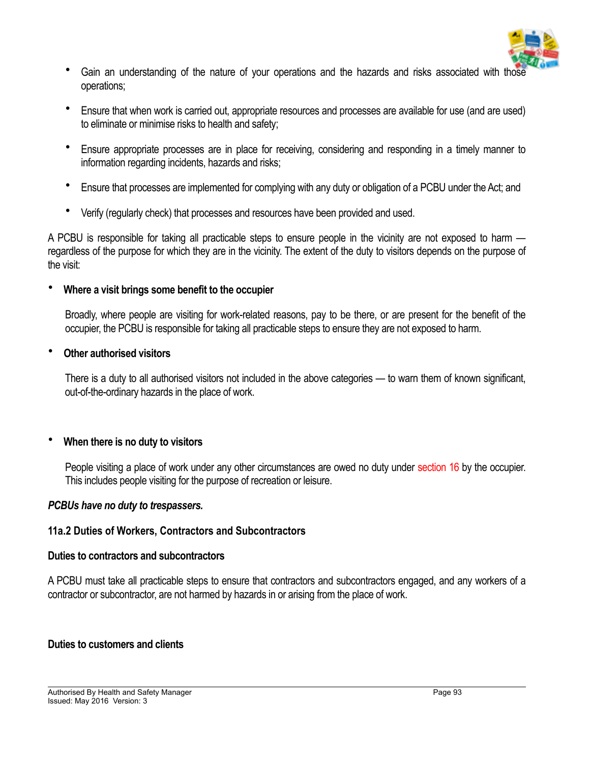

- Gain an understanding of the nature of your operations and the hazards and risks associated with those operations;
- Ensure that when work is carried out, appropriate resources and processes are available for use (and are used) to eliminate or minimise risks to health and safety;
- Ensure appropriate processes are in place for receiving, considering and responding in a timely manner to information regarding incidents, hazards and risks;
- Ensure that processes are implemented for complying with any duty or obligation of a PCBU under the Act; and
- Verify (regularly check) that processes and resources have been provided and used.

A PCBU is responsible for taking all practicable steps to ensure people in the vicinity are not exposed to harm regardless of the purpose for which they are in the vicinity. The extent of the duty to visitors depends on the purpose of the visit:

#### • **Where a visit brings some benefit to the occupier**

Broadly, where people are visiting for work-related reasons, pay to be there, or are present for the benefit of the occupier, the PCBU is responsible for taking all practicable steps to ensure they are not exposed to harm.

#### • **Other authorised visitors**

There is a duty to all authorised visitors not included in the above categories — to warn them of known significant, out-of-the-ordinary hazards in the place of work.

# • **When there is no duty to visitors**

People visiting a place of work under any other circumstances are owed no duty under section 16 by the occupier. This includes people visiting for the purpose of recreation or leisure.

#### *PCBUs have no duty to trespassers.*

# **11a.2 Duties of Workers, Contractors and Subcontractors**

#### **Duties to contractors and subcontractors**

A PCBU must take all practicable steps to ensure that contractors and subcontractors engaged, and any workers of a contractor or subcontractor, are not harmed by hazards in or arising from the place of work.

# **Duties to customers and clients**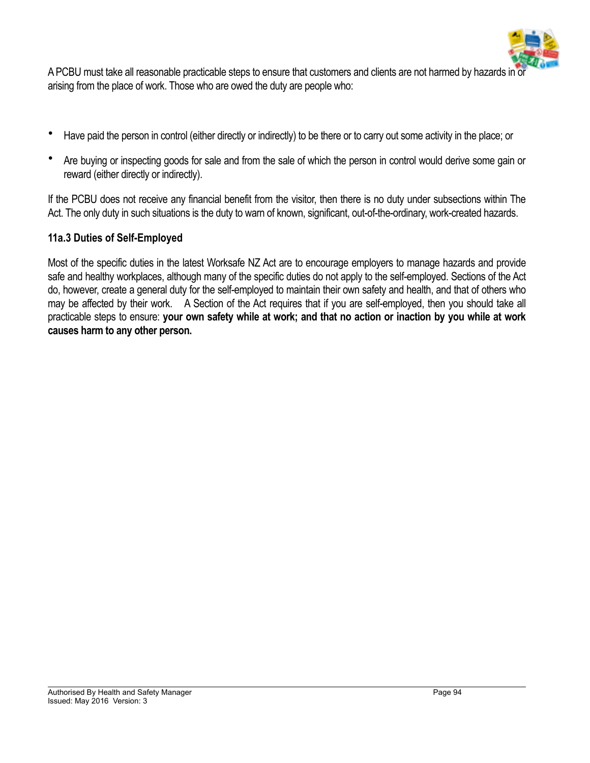

A PCBU must take all reasonable practicable steps to ensure that customers and clients are not harmed by hazards in or arising from the place of work. Those who are owed the duty are people who:

- Have paid the person in control (either directly or indirectly) to be there or to carry out some activity in the place; or
- Are buying or inspecting goods for sale and from the sale of which the person in control would derive some gain or reward (either directly or indirectly).

If the PCBU does not receive any financial benefit from the visitor, then there is no duty under subsections within The Act. The only duty in such situations is the duty to warn of known, significant, out-of-the-ordinary, work-created hazards.

# **11a.3 Duties of Self-Employed**

Most of the specific duties in the latest Worksafe NZ Act are to encourage employers to manage hazards and provide safe and healthy workplaces, although many of the specific duties do not apply to the self-employed. Sections of the Act do, however, create a general duty for the self-employed to maintain their own safety and health, and that of others who may be affected by their work. A Section of the Act requires that if you are self-employed, then you should take all practicable steps to ensure: **your own safety while at work; and that no action or inaction by you while at work causes harm to any other person.**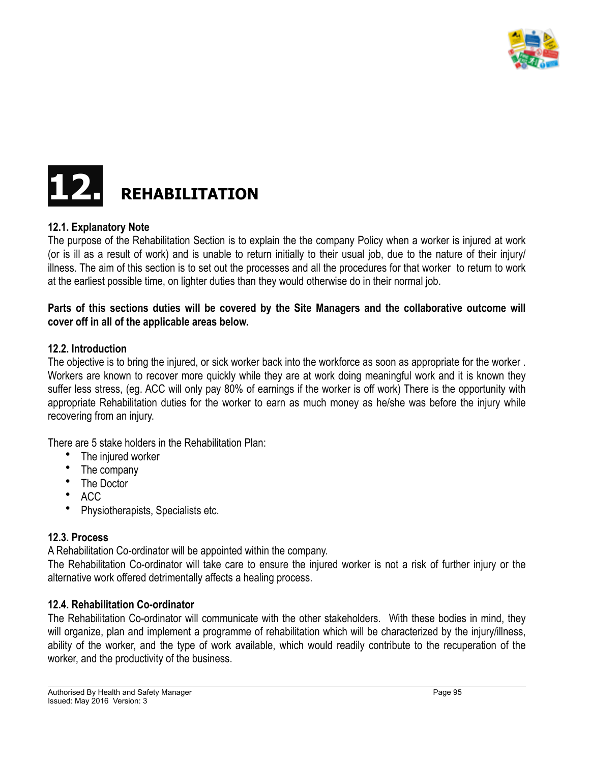



#### **12.1. Explanatory Note**

The purpose of the Rehabilitation Section is to explain the the company Policy when a worker is injured at work (or is ill as a result of work) and is unable to return initially to their usual job, due to the nature of their injury/ illness. The aim of this section is to set out the processes and all the procedures for that worker to return to work at the earliest possible time, on lighter duties than they would otherwise do in their normal job.

#### **Parts of this sections duties will be covered by the Site Managers and the collaborative outcome will cover off in all of the applicable areas below.**

#### **12.2. Introduction**

The objective is to bring the injured, or sick worker back into the workforce as soon as appropriate for the worker . Workers are known to recover more quickly while they are at work doing meaningful work and it is known they suffer less stress, (eg. ACC will only pay 80% of earnings if the worker is off work) There is the opportunity with appropriate Rehabilitation duties for the worker to earn as much money as he/she was before the injury while recovering from an injury.

There are 5 stake holders in the Rehabilitation Plan:

- The injured worker
- The company
- The Doctor
- ACC
- Physiotherapists, Specialists etc.

#### **12.3. Process**

A Rehabilitation Co-ordinator will be appointed within the company.

The Rehabilitation Co-ordinator will take care to ensure the injured worker is not a risk of further injury or the alternative work offered detrimentally affects a healing process.

#### **12.4. Rehabilitation Co-ordinator**

The Rehabilitation Co-ordinator will communicate with the other stakeholders. With these bodies in mind, they will organize, plan and implement a programme of rehabilitation which will be characterized by the injury/illness, ability of the worker, and the type of work available, which would readily contribute to the recuperation of the worker, and the productivity of the business.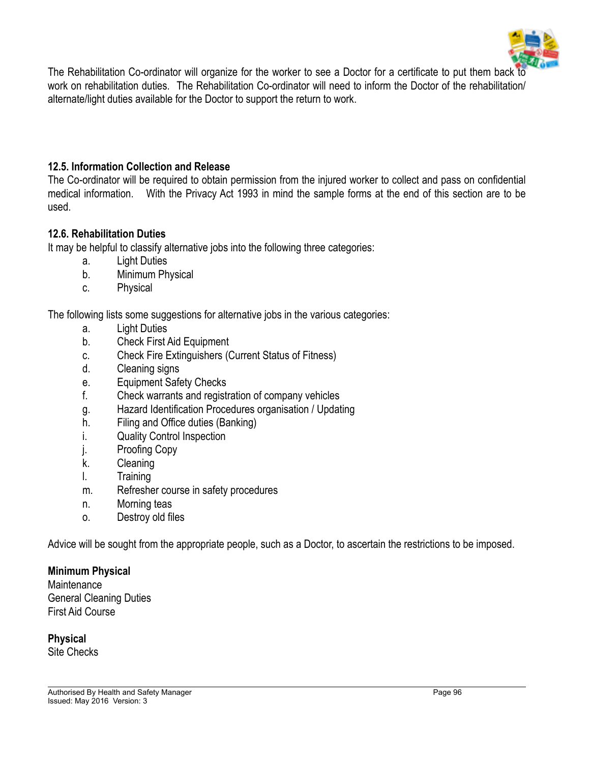

The Rehabilitation Co-ordinator will organize for the worker to see a Doctor for a certificate to put them back to work on rehabilitation duties. The Rehabilitation Co-ordinator will need to inform the Doctor of the rehabilitation/ alternate/light duties available for the Doctor to support the return to work.

#### **12.5. Information Collection and Release**

The Co-ordinator will be required to obtain permission from the injured worker to collect and pass on confidential medical information. With the Privacy Act 1993 in mind the sample forms at the end of this section are to be used.

#### **12.6. Rehabilitation Duties**

It may be helpful to classify alternative jobs into the following three categories:

- a. Light Duties
- b. Minimum Physical
- c. Physical

The following lists some suggestions for alternative jobs in the various categories:

- a. Light Duties
- b. Check First Aid Equipment
- c. Check Fire Extinguishers (Current Status of Fitness)
- d. Cleaning signs
- e. Equipment Safety Checks
- f. Check warrants and registration of company vehicles
- g. Hazard Identification Procedures organisation / Updating
- h. Filing and Office duties (Banking)
- i. Quality Control Inspection
- j. Proofing Copy
- k. Cleaning
- l. Training
- m. Refresher course in safety procedures
- n. Morning teas
- o. Destroy old files

Advice will be sought from the appropriate people, such as a Doctor, to ascertain the restrictions to be imposed.

#### **Minimum Physical**

**Maintenance** General Cleaning Duties First Aid Course

**Physical** Site Checks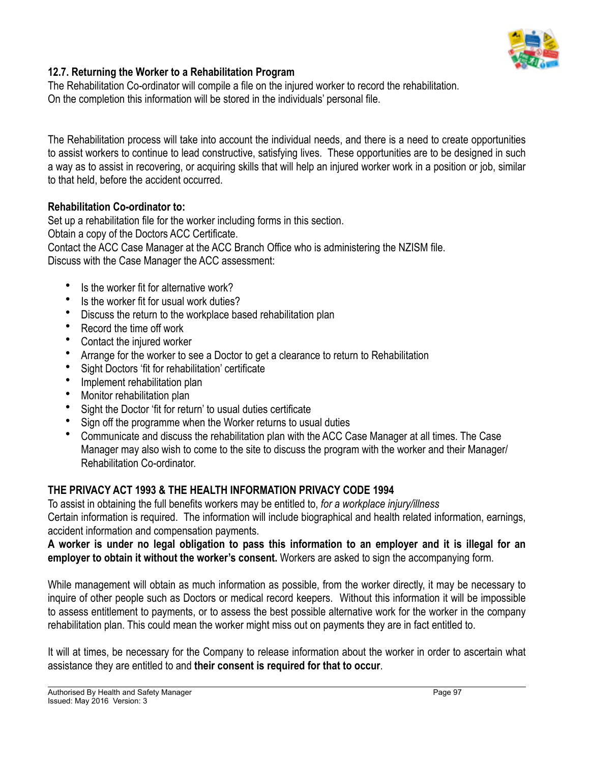

# **12.7. Returning the Worker to a Rehabilitation Program**

The Rehabilitation Co-ordinator will compile a file on the injured worker to record the rehabilitation. On the completion this information will be stored in the individuals' personal file.

The Rehabilitation process will take into account the individual needs, and there is a need to create opportunities to assist workers to continue to lead constructive, satisfying lives. These opportunities are to be designed in such a way as to assist in recovering, or acquiring skills that will help an injured worker work in a position or job, similar to that held, before the accident occurred.

#### **Rehabilitation Co-ordinator to:**

Set up a rehabilitation file for the worker including forms in this section. Obtain a copy of the Doctors ACC Certificate. Contact the ACC Case Manager at the ACC Branch Office who is administering the NZISM file. Discuss with the Case Manager the ACC assessment:

- Is the worker fit for alternative work?
- Is the worker fit for usual work duties?
- Discuss the return to the workplace based rehabilitation plan
- Record the time off work
- Contact the injured worker
- Arrange for the worker to see a Doctor to get a clearance to return to Rehabilitation
- Sight Doctors 'fit for rehabilitation' certificate
- Implement rehabilitation plan
- Monitor rehabilitation plan
- Sight the Doctor 'fit for return' to usual duties certificate
- Sign off the programme when the Worker returns to usual duties
- Communicate and discuss the rehabilitation plan with the ACC Case Manager at all times. The Case Manager may also wish to come to the site to discuss the program with the worker and their Manager/ Rehabilitation Co-ordinator.

#### **THE PRIVACY ACT 1993 & THE HEALTH INFORMATION PRIVACY CODE 1994**

To assist in obtaining the full benefits workers may be entitled to, *for a workplace injury/illness* Certain information is required. The information will include biographical and health related information, earnings, accident information and compensation payments.

#### **A worker is under no legal obligation to pass this information to an employer and it is illegal for an employer to obtain it without the worker's consent.** Workers are asked to sign the accompanying form.

While management will obtain as much information as possible, from the worker directly, it may be necessary to inquire of other people such as Doctors or medical record keepers. Without this information it will be impossible to assess entitlement to payments, or to assess the best possible alternative work for the worker in the company rehabilitation plan. This could mean the worker might miss out on payments they are in fact entitled to.

It will at times, be necessary for the Company to release information about the worker in order to ascertain what assistance they are entitled to and **their consent is required for that to occur**.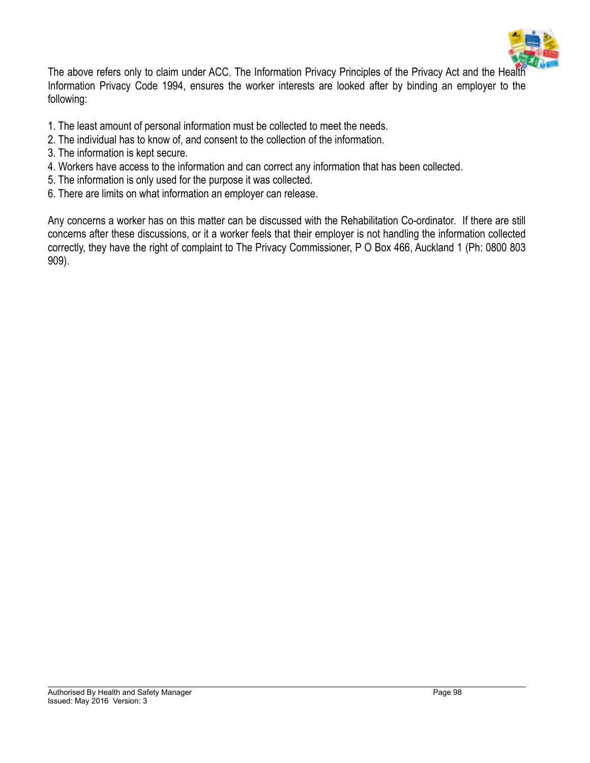

The above refers only to claim under ACC. The Information Privacy Principles of the Privacy Act and the Health Information Privacy Code 1994, ensures the worker interests are looked after by binding an employer to the following:

- 1. The least amount of personal information must be collected to meet the needs.
- 2. The individual has to know of, and consent to the collection of the information.
- 3. The information is kept secure.
- 4. Workers have access to the information and can correct any information that has been collected.
- 5. The information is only used for the purpose it was collected.
- 6. There are limits on what information an employer can release.

Any concerns a worker has on this matter can be discussed with the Rehabilitation Co-ordinator. If there are still concerns after these discussions, or it a worker feels that their employer is not handling the information collected correctly, they have the right of complaint to The Privacy Commissioner, P O Box 466, Auckland 1 (Ph: 0800 803 909).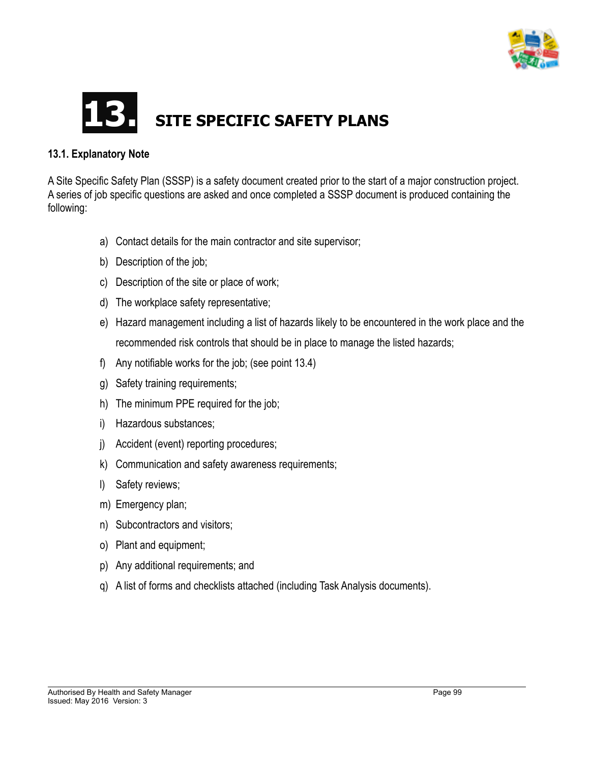

# **SITE SPECIFIC SAFETY PLANS**

#### **13.1. Explanatory Note**

A Site Specific Safety Plan (SSSP) is a safety document created prior to the start of a major construction project. A series of job specific questions are asked and once completed a SSSP document is produced containing the following:

- a) Contact details for the main contractor and site supervisor;
- b) Description of the job;
- c) Description of the site or place of work;
- d) The workplace safety representative;
- e) Hazard management including a list of hazards likely to be encountered in the work place and the recommended risk controls that should be in place to manage the listed hazards;
- f) Any notifiable works for the job; (see point 13.4)
- g) Safety training requirements;
- h) The minimum PPE required for the job;
- i) Hazardous substances;
- j) Accident (event) reporting procedures;
- k) Communication and safety awareness requirements;
- l) Safety reviews;
- m) Emergency plan;
- n) Subcontractors and visitors;
- o) Plant and equipment;
- p) Any additional requirements; and
- q) A list of forms and checklists attached (including Task Analysis documents).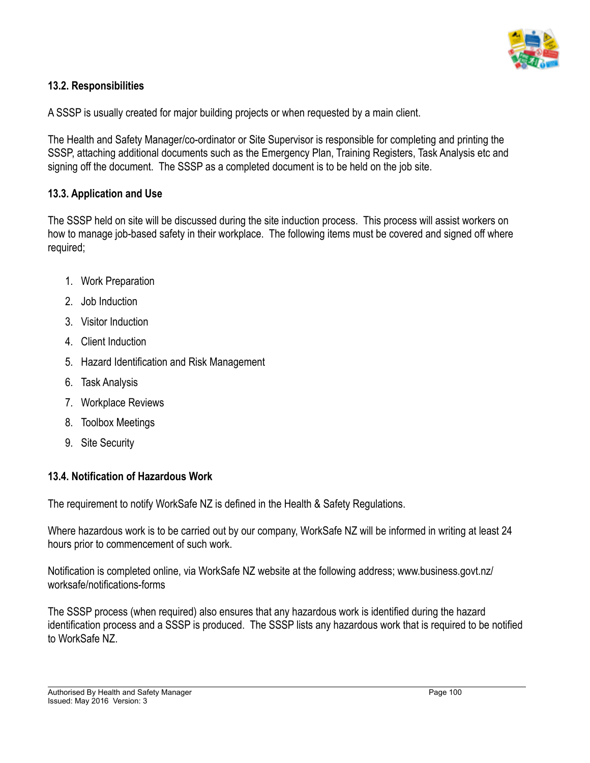

# **13.2. Responsibilities**

A SSSP is usually created for major building projects or when requested by a main client.

The Health and Safety Manager/co-ordinator or Site Supervisor is responsible for completing and printing the SSSP, attaching additional documents such as the Emergency Plan, Training Registers, Task Analysis etc and signing off the document. The SSSP as a completed document is to be held on the job site.

#### **13.3. Application and Use**

The SSSP held on site will be discussed during the site induction process. This process will assist workers on how to manage job-based safety in their workplace. The following items must be covered and signed off where required;

- 1. Work Preparation
- 2. Job Induction
- 3. Visitor Induction
- 4. Client Induction
- 5. Hazard Identification and Risk Management
- 6. Task Analysis
- 7. Workplace Reviews
- 8. Toolbox Meetings
- 9. Site Security

# **13.4. Notification of Hazardous Work**

The requirement to notify WorkSafe NZ is defined in the Health & Safety Regulations.

Where hazardous work is to be carried out by our company, WorkSafe NZ will be informed in writing at least 24 hours prior to commencement of such work.

Notification is completed online, via WorkSafe NZ website at the following address; www.business.govt.nz/ worksafe/notifications-forms

The SSSP process (when required) also ensures that any hazardous work is identified during the hazard identification process and a SSSP is produced. The SSSP lists any hazardous work that is required to be notified to WorkSafe NZ.